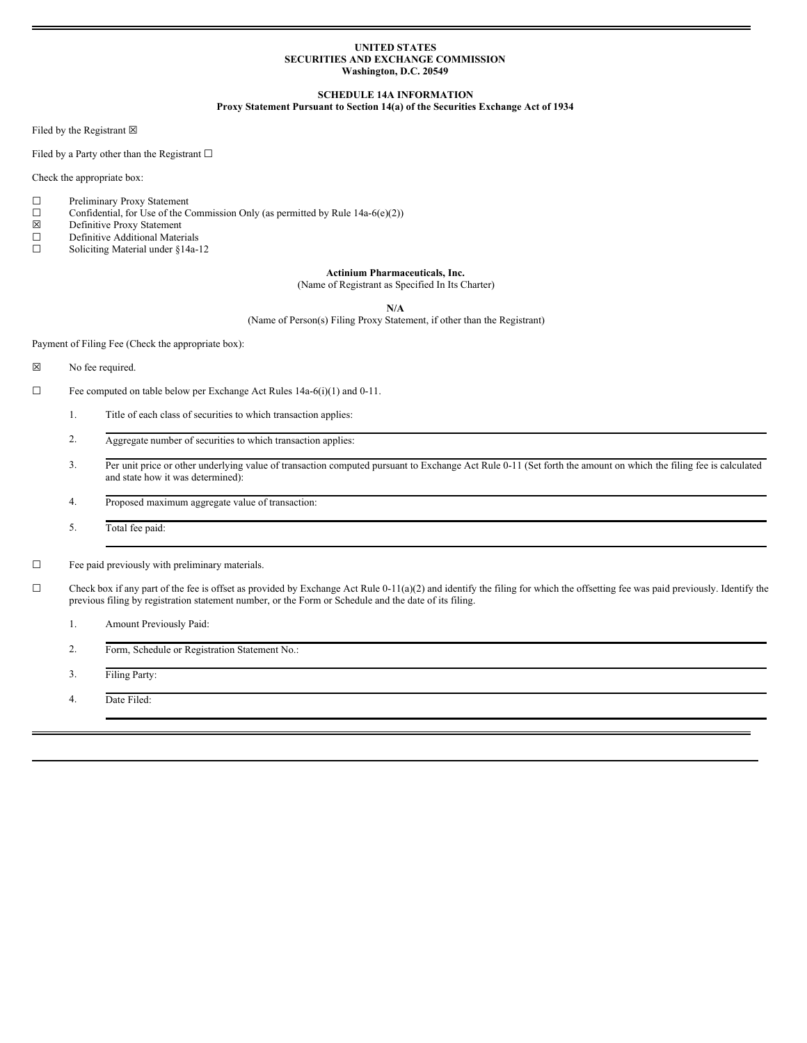### **UNITED STATES SECURITIES AND EXCHANGE COMMISSION Washington, D.C. 20549**

### **SCHEDULE 14A INFORMATION**

## **Proxy Statement Pursuant to Section 14(a) of the Securities Exchange Act of 1934**

Filed by the Registrant  $\boxtimes$ 

Filed by a Party other than the Registrant  $□$ 

Check the appropriate box:

- $\Box$  Preliminary Proxy Statement  $\Box$  Confidential, for Use of the C
- Confidential, for Use of the Commission Only (as permitted by Rule 14a-6(e)(2))
- $\boxtimes$  Definitive Proxy Statement<br>
Definitive Additional Mater
- Definitive Additional Materials
- ☐ Soliciting Material under §14a-12

# **Actinium Pharmaceuticals, Inc.**

(Name of Registrant as Specified In Its Charter)

**N/A**

(Name of Person(s) Filing Proxy Statement, if other than the Registrant)

Payment of Filing Fee (Check the appropriate box):

- ☒ No fee required.
- ☐ Fee computed on table below per Exchange Act Rules 14a-6(i)(1) and 0-11.
	- 1. Title of each class of securities to which transaction applies:
	- 2. Aggregate number of securities to which transaction applies:
	- 3. Per unit price or other underlying value of transaction computed pursuant to Exchange Act Rule 0-11 (Set forth the amount on which the filing fee is calculated and state how it was determined):
	- 4. Proposed maximum aggregate value of transaction:
	- 5. Total fee paid:
- $\hfill\Box$  Fee paid previously with preliminary materials.
- $\Box$  Check box if any part of the fee is offset as provided by Exchange Act Rule 0-11(a)(2) and identify the filing for which the offsetting fee was paid previously. Identify the previous filing by registration statement number, or the Form or Schedule and the date of its filing.
	- 1. Amount Previously Paid:
	- 2. Form, Schedule or Registration Statement No.:
	- 3. Filing Party:
	- 4. Date Filed: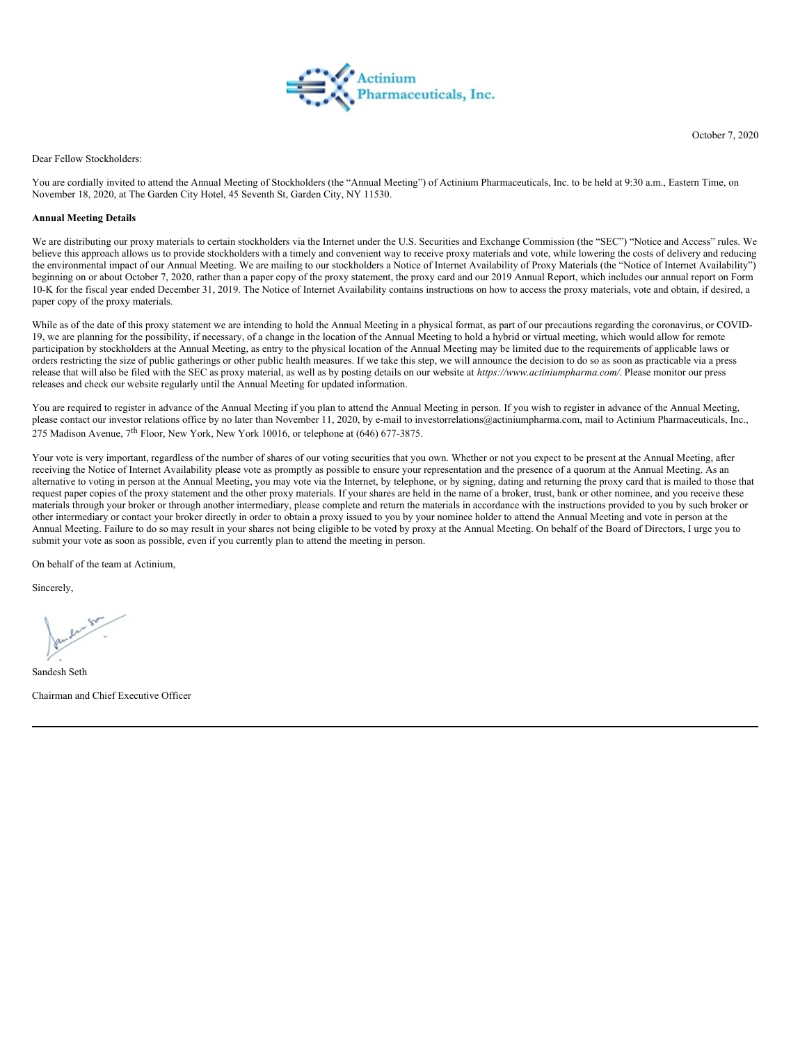

October 7, 2020

Dear Fellow Stockholders:

You are cordially invited to attend the Annual Meeting of Stockholders (the "Annual Meeting") of Actinium Pharmaceuticals, Inc. to be held at 9:30 a.m., Eastern Time, on November 18, 2020, at The Garden City Hotel, 45 Seventh St, Garden City, NY 11530.

## **Annual Meeting Details**

We are distributing our proxy materials to certain stockholders via the Internet under the U.S. Securities and Exchange Commission (the "SEC") "Notice and Access" rules. We believe this approach allows us to provide stockholders with a timely and convenient way to receive proxy materials and vote, while lowering the costs of delivery and reducing the environmental impact of our Annual Meeting. We are mailing to our stockholders a Notice of Internet Availability of Proxy Materials (the "Notice of Internet Availability") beginning on or about October 7, 2020, rather than a paper copy of the proxy statement, the proxy card and our 2019 Annual Report, which includes our annual report on Form 10-K for the fiscal year ended December 31, 2019. The Notice of Internet Availability contains instructions on how to access the proxy materials, vote and obtain, if desired, a paper copy of the proxy materials.

While as of the date of this proxy statement we are intending to hold the Annual Meeting in a physical format, as part of our precautions regarding the coronavirus, or COVID-19, we are planning for the possibility, if necessary, of a change in the location of the Annual Meeting to hold a hybrid or virtual meeting, which would allow for remote participation by stockholders at the Annual Meeting, as entry to the physical location of the Annual Meeting may be limited due to the requirements of applicable laws or orders restricting the size of public gatherings or other public health measures. If we take this step, we will announce the decision to do so as soon as practicable via a press release that will also be filed with the SEC as proxy material, as well as by posting details on our website at *https://www.actiniumpharma.com/*. Please monitor our press releases and check our website regularly until the Annual Meeting for updated information.

You are required to register in advance of the Annual Meeting if you plan to attend the Annual Meeting in person. If you wish to register in advance of the Annual Meeting, please contact our investor relations office by no later than November 11, 2020, by e-mail to investorrelations@actiniumpharma.com, mail to Actinium Pharmaceuticals, Inc., 275 Madison Avenue, 7<sup>th</sup> Floor, New York, New York 10016, or telephone at (646) 677-3875.

Your vote is very important, regardless of the number of shares of our voting securities that you own. Whether or not you expect to be present at the Annual Meeting, after receiving the Notice of Internet Availability please vote as promptly as possible to ensure your representation and the presence of a quorum at the Annual Meeting. As an alternative to voting in person at the Annual Meeting, you may vote via the Internet, by telephone, or by signing, dating and returning the proxy card that is mailed to those that request paper copies of the proxy statement and the other proxy materials. If your shares are held in the name of a broker, trust, bank or other nominee, and you receive these materials through your broker or through another intermediary, please complete and return the materials in accordance with the instructions provided to you by such broker or other intermediary or contact your broker directly in order to obtain a proxy issued to you by your nominee holder to attend the Annual Meeting and vote in person at the Annual Meeting. Failure to do so may result in your shares not being eligible to be voted by proxy at the Annual Meeting. On behalf of the Board of Directors, I urge you to submit your vote as soon as possible, even if you currently plan to attend the meeting in person.

On behalf of the team at Actinium,

Sincerely,

Sandesh Seth

Chairman and Chief Executive Officer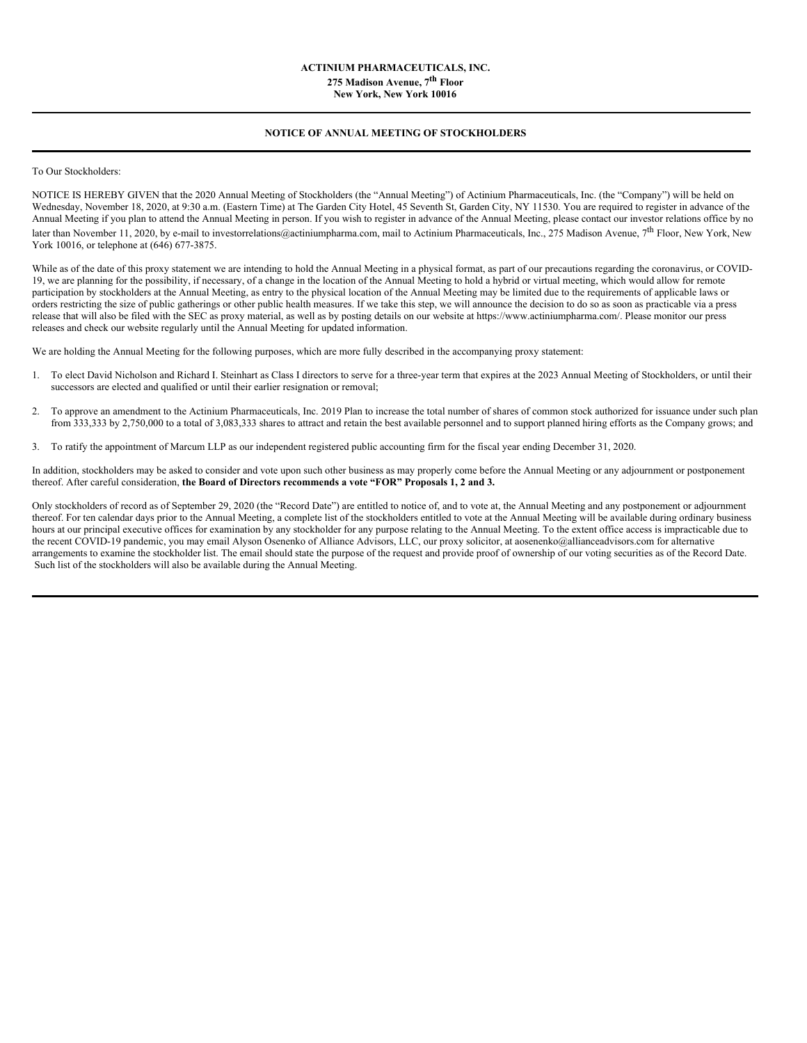# **ACTINIUM PHARMACEUTICALS, INC. 275 Madison Avenue, 7 th Floor New York, New York 10016**

# **NOTICE OF ANNUAL MEETING OF STOCKHOLDERS**

To Our Stockholders:

NOTICE IS HEREBY GIVEN that the 2020 Annual Meeting of Stockholders (the "Annual Meeting") of Actinium Pharmaceuticals, Inc. (the "Company") will be held on Wednesday, November 18, 2020, at 9:30 a.m. (Eastern Time) at The Garden City Hotel, 45 Seventh St, Garden City, NY 11530. You are required to register in advance of the Annual Meeting if you plan to attend the Annual Meeting in person. If you wish to register in advance of the Annual Meeting, please contact our investor relations office by no later than November 11, 2020, by e-mail to investorrelations@actiniumpharma.com, mail to Actinium Pharmaceuticals, Inc., 275 Madison Avenue, 7<sup>th</sup> Floor, New York, New York 10016, or telephone at (646) 677-3875.

While as of the date of this proxy statement we are intending to hold the Annual Meeting in a physical format, as part of our precautions regarding the coronavirus, or COVID-19, we are planning for the possibility, if necessary, of a change in the location of the Annual Meeting to hold a hybrid or virtual meeting, which would allow for remote participation by stockholders at the Annual Meeting, as entry to the physical location of the Annual Meeting may be limited due to the requirements of applicable laws or orders restricting the size of public gatherings or other public health measures. If we take this step, we will announce the decision to do so as soon as practicable via a press release that will also be filed with the SEC as proxy material, as well as by posting details on our website at https://www.actiniumpharma.com/. Please monitor our press releases and check our website regularly until the Annual Meeting for updated information.

We are holding the Annual Meeting for the following purposes, which are more fully described in the accompanying proxy statement:

- 1. To elect David Nicholson and Richard I. Steinhart as Class I directors to serve for a three-year term that expires at the 2023 Annual Meeting of Stockholders, or until their successors are elected and qualified or until their earlier resignation or removal;
- 2. To approve an amendment to the Actinium Pharmaceuticals, Inc. 2019 Plan to increase the total number of shares of common stock authorized for issuance under such plan from 333,333 by 2,750,000 to a total of 3,083,333 shares to attract and retain the best available personnel and to support planned hiring efforts as the Company grows; and
- 3. To ratify the appointment of Marcum LLP as our independent registered public accounting firm for the fiscal year ending December 31, 2020.

In addition, stockholders may be asked to consider and vote upon such other business as may properly come before the Annual Meeting or any adjournment or postponement thereof. After careful consideration, **the Board of Directors recommends a vote "FOR" Proposals 1, 2 and 3.**

Only stockholders of record as of September 29, 2020 (the "Record Date") are entitled to notice of, and to vote at, the Annual Meeting and any postponement or adjournment thereof. For ten calendar days prior to the Annual Meeting, a complete list of the stockholders entitled to vote at the Annual Meeting will be available during ordinary business hours at our principal executive offices for examination by any stockholder for any purpose relating to the Annual Meeting. To the extent office access is impracticable due to the recent COVID-19 pandemic, you may email Alyson Osenenko of Alliance Advisors, LLC, our proxy solicitor, at aosenenko@allianceadvisors.com for alternative arrangements to examine the stockholder list. The email should state the purpose of the request and provide proof of ownership of our voting securities as of the Record Date. Such list of the stockholders will also be available during the Annual Meeting.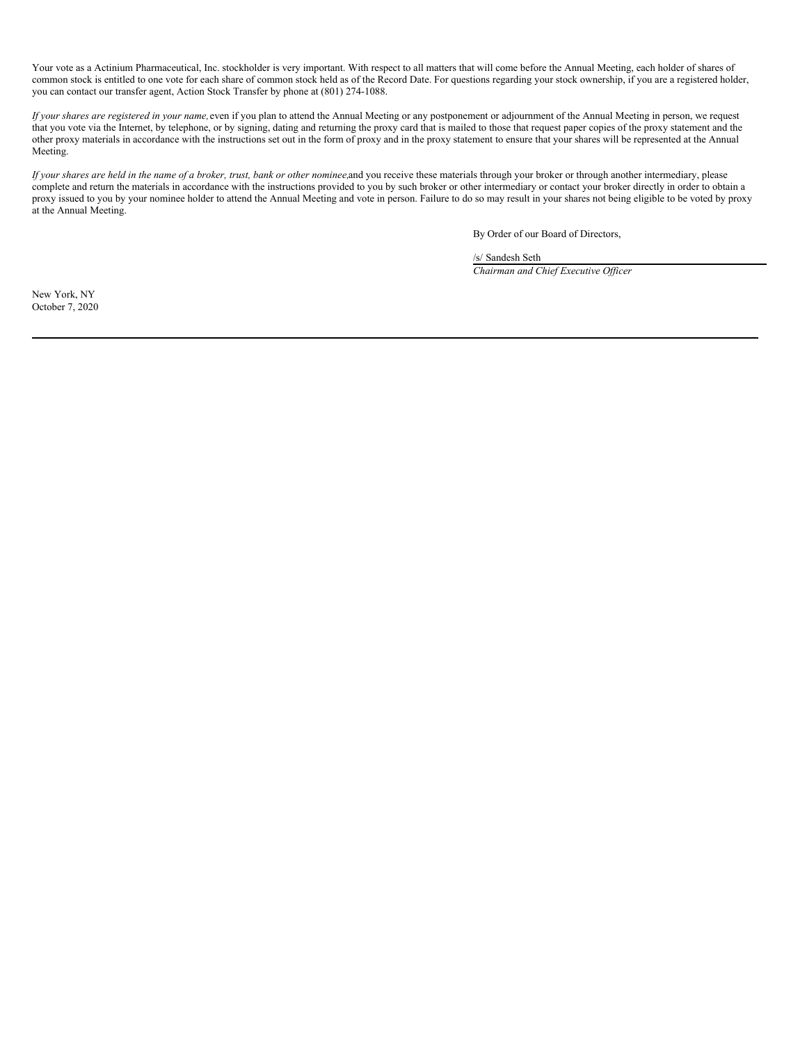Your vote as a Actinium Pharmaceutical, Inc. stockholder is very important. With respect to all matters that will come before the Annual Meeting, each holder of shares of common stock is entitled to one vote for each share of common stock held as of the Record Date. For questions regarding your stock ownership, if you are a registered holder, you can contact our transfer agent, Action Stock Transfer by phone at (801) 274-1088.

*If your shares are registered in your name,*even if you plan to attend the Annual Meeting or any postponement or adjournment of the Annual Meeting in person, we request that you vote via the Internet, by telephone, or by signing, dating and returning the proxy card that is mailed to those that request paper copies of the proxy statement and the other proxy materials in accordance with the instructions set out in the form of proxy and in the proxy statement to ensure that your shares will be represented at the Annual Meeting.

If your shares are held in the name of a broker, trust, bank or other nominee, and you receive these materials through your broker or through another intermediary, please complete and return the materials in accordance with the instructions provided to you by such broker or other intermediary or contact your broker directly in order to obtain a proxy issued to you by your nominee holder to attend the Annual Meeting and vote in person. Failure to do so may result in your shares not being eligible to be voted by proxy at the Annual Meeting.

By Order of our Board of Directors,

/s/ Sandesh Seth *Chairman and Chief Executive Of icer*

New York, NY October 7, 2020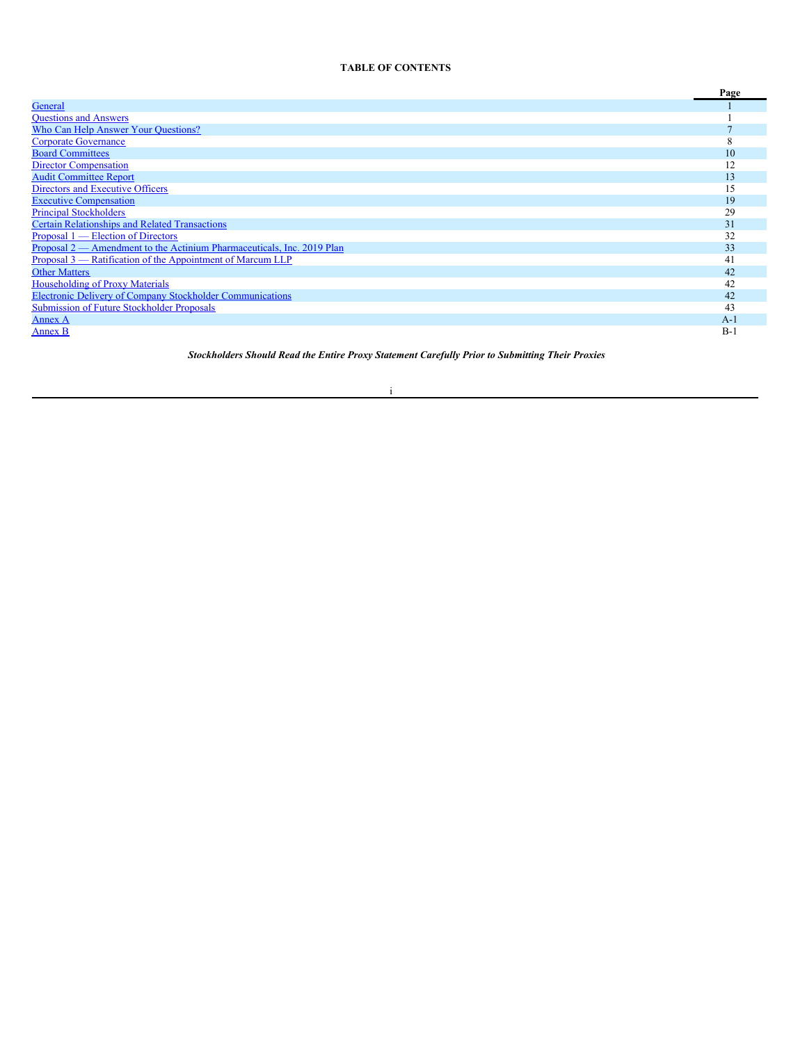# **TABLE OF CONTENTS**

|                                                                        | Page  |
|------------------------------------------------------------------------|-------|
| General                                                                |       |
| <b>Questions and Answers</b>                                           |       |
| Who Can Help Answer Your Questions?                                    |       |
| <b>Corporate Governance</b>                                            |       |
| <b>Board Committees</b>                                                | 10    |
| <b>Director Compensation</b>                                           |       |
| <b>Audit Committee Report</b>                                          | 13    |
| Directors and Executive Officers                                       | 15    |
| <b>Executive Compensation</b>                                          | 19    |
| <b>Principal Stockholders</b>                                          | 29    |
| <b>Certain Relationships and Related Transactions</b>                  | 31    |
| <u>Proposal 1 — Election of Directors</u>                              | 32    |
| Proposal 2 — Amendment to the Actinium Pharmaceuticals, Inc. 2019 Plan | 33    |
| Proposal 3 — Ratification of the Appointment of Marcum LLP             | 41    |
| <b>Other Matters</b>                                                   | 42    |
| <b>Householding of Proxy Materials</b>                                 | 42    |
| <b>Electronic Delivery of Company Stockholder Communications</b>       | 42    |
| <b>Submission of Future Stockholder Proposals</b>                      | 43    |
| Annex A                                                                | $A -$ |
| Annex B                                                                | $B-$  |

*Stockholders Should Read the Entire Proxy Statement Carefully Prior to Submitting Their Proxies*

# i

<u> 1980 - Johann Barn, mars an t-Amerikaansk ferske</u>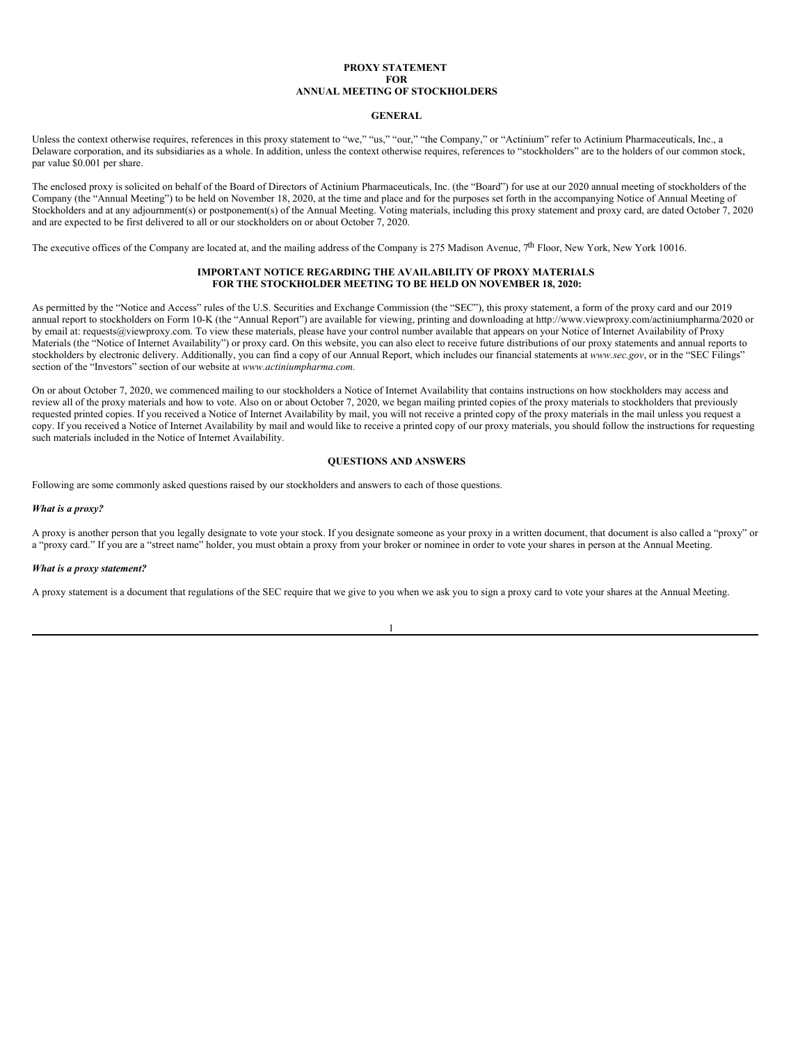#### **PROXY STATEMENT FOR ANNUAL MEETING OF STOCKHOLDERS**

#### <span id="page-5-0"></span>**GENERAL**

Unless the context otherwise requires, references in this proxy statement to "we," "us," "our," "the Company," or "Actinium" refer to Actinium Pharmaceuticals, Inc., a Delaware corporation, and its subsidiaries as a whole. In addition, unless the context otherwise requires, references to "stockholders" are to the holders of our common stock, par value \$0.001 per share.

The enclosed proxy is solicited on behalf of the Board of Directors of Actinium Pharmaceuticals, Inc. (the "Board") for use at our 2020 annual meeting of stockholders of the Company (the "Annual Meeting") to be held on November 18, 2020, at the time and place and for the purposes set forth in the accompanying Notice of Annual Meeting of Stockholders and at any adjournment(s) or postponement(s) of the Annual Meeting. Voting materials, including this proxy statement and proxy card, are dated October 7, 2020 and are expected to be first delivered to all or our stockholders on or about October 7, 2020.

The executive offices of the Company are located at, and the mailing address of the Company is 275 Madison Avenue,  $7<sup>th</sup>$  Floor, New York, New York 10016.

## **IMPORTANT NOTICE REGARDING THE AVAILABILITY OF PROXY MATERIALS FOR THE STOCKHOLDER MEETING TO BE HELD ON NOVEMBER 18, 2020:**

As permitted by the "Notice and Access" rules of the U.S. Securities and Exchange Commission (the "SEC"), this proxy statement, a form of the proxy card and our 2019 annual report to stockholders on Form 10-K (the "Annual Report") are available for viewing, printing and downloading at http://www.viewproxy.com/actiniumpharma/2020 or by email at: requests@viewproxy.com. To view these materials, please have your control number available that appears on your Notice of Internet Availability of Proxy Materials (the "Notice of Internet Availability") or proxy card. On this website, you can also elect to receive future distributions of our proxy statements and annual reports to stockholders by electronic delivery. Additionally, you can find a copy of our Annual Report, which includes our financial statements at *www.sec.gov*, or in the "SEC Filings" section of the "Investors" section of our website at *www.actiniumpharma.com.*

On or about October 7, 2020, we commenced mailing to our stockholders a Notice of Internet Availability that contains instructions on how stockholders may access and review all of the proxy materials and how to vote. Also on or about October 7, 2020, we began mailing printed copies of the proxy materials to stockholders that previously requested printed copies. If you received a Notice of Internet Availability by mail, you will not receive a printed copy of the proxy materials in the mail unless you request a copy. If you received a Notice of Internet Availability by mail and would like to receive a printed copy of our proxy materials, you should follow the instructions for requesting such materials included in the Notice of Internet Availability.

### <span id="page-5-1"></span>**QUESTIONS AND ANSWERS**

Following are some commonly asked questions raised by our stockholders and answers to each of those questions.

### *What is a proxy?*

A proxy is another person that you legally designate to vote your stock. If you designate someone as your proxy in a written document, that document is also called a "proxy" or a "proxy card." If you are a "street name" holder, you must obtain a proxy from your broker or nominee in order to vote your shares in person at the Annual Meeting.

#### *What is a proxy statement?*

A proxy statement is a document that regulations of the SEC require that we give to you when we ask you to sign a proxy card to vote your shares at the Annual Meeting.

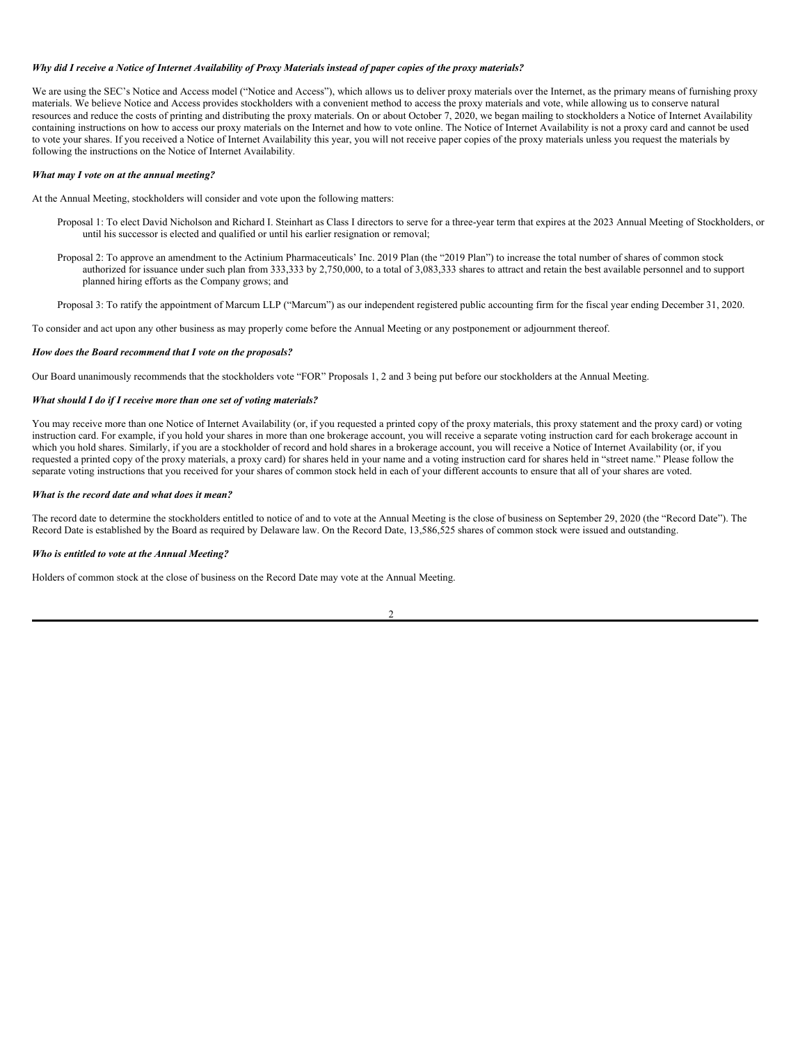#### Why did I receive a Notice of Internet Availability of Proxy Materials instead of paper copies of the proxy materials?

We are using the SEC's Notice and Access model ("Notice and Access"), which allows us to deliver proxy materials over the Internet, as the primary means of furnishing proxy materials. We believe Notice and Access provides stockholders with a convenient method to access the proxy materials and vote, while allowing us to conserve natural resources and reduce the costs of printing and distributing the proxy materials. On or about October 7, 2020, we began mailing to stockholders a Notice of Internet Availability containing instructions on how to access our proxy materials on the Internet and how to vote online. The Notice of Internet Availability is not a proxy card and cannot be used to vote your shares. If you received a Notice of Internet Availability this year, you will not receive paper copies of the proxy materials unless you request the materials by following the instructions on the Notice of Internet Availability*.*

### *What may I vote on at the annual meeting?*

At the Annual Meeting, stockholders will consider and vote upon the following matters:

- Proposal 1: To elect David Nicholson and Richard I. Steinhart as Class I directors to serve for a three-year term that expires at the 2023 Annual Meeting of Stockholders, or until his successor is elected and qualified or until his earlier resignation or removal;
- Proposal 2: To approve an amendment to the Actinium Pharmaceuticals' Inc. 2019 Plan (the "2019 Plan") to increase the total number of shares of common stock authorized for issuance under such plan from 333,333 by 2,750,000, to a total of 3,083,333 shares to attract and retain the best available personnel and to support planned hiring efforts as the Company grows; and
- Proposal 3: To ratify the appointment of Marcum LLP ("Marcum") as our independent registered public accounting firm for the fiscal year ending December 31, 2020.

To consider and act upon any other business as may properly come before the Annual Meeting or any postponement or adjournment thereof.

#### *How does the Board recommend that I vote on the proposals?*

Our Board unanimously recommends that the stockholders vote "FOR" Proposals 1, 2 and 3 being put before our stockholders at the Annual Meeting.

#### *What should I do if I receive more than one set of voting materials?*

You may receive more than one Notice of Internet Availability (or, if you requested a printed copy of the proxy materials, this proxy statement and the proxy card) or voting instruction card. For example, if you hold your shares in more than one brokerage account, you will receive a separate voting instruction card for each brokerage account in which you hold shares. Similarly, if you are a stockholder of record and hold shares in a brokerage account, you will receive a Notice of Internet Availability (or, if you requested a printed copy of the proxy materials, a proxy card) for shares held in your name and a voting instruction card for shares held in "street name." Please follow the separate voting instructions that you received for your shares of common stock held in each of your different accounts to ensure that all of your shares are voted.

### *What is the record date and what does it mean?*

The record date to determine the stockholders entitled to notice of and to vote at the Annual Meeting is the close of business on September 29, 2020 (the "Record Date"). The Record Date is established by the Board as required by Delaware law. On the Record Date, 13,586,525 shares of common stock were issued and outstanding.

#### *Who is entitled to vote at the Annual Meeting?*

Holders of common stock at the close of business on the Record Date may vote at the Annual Meeting.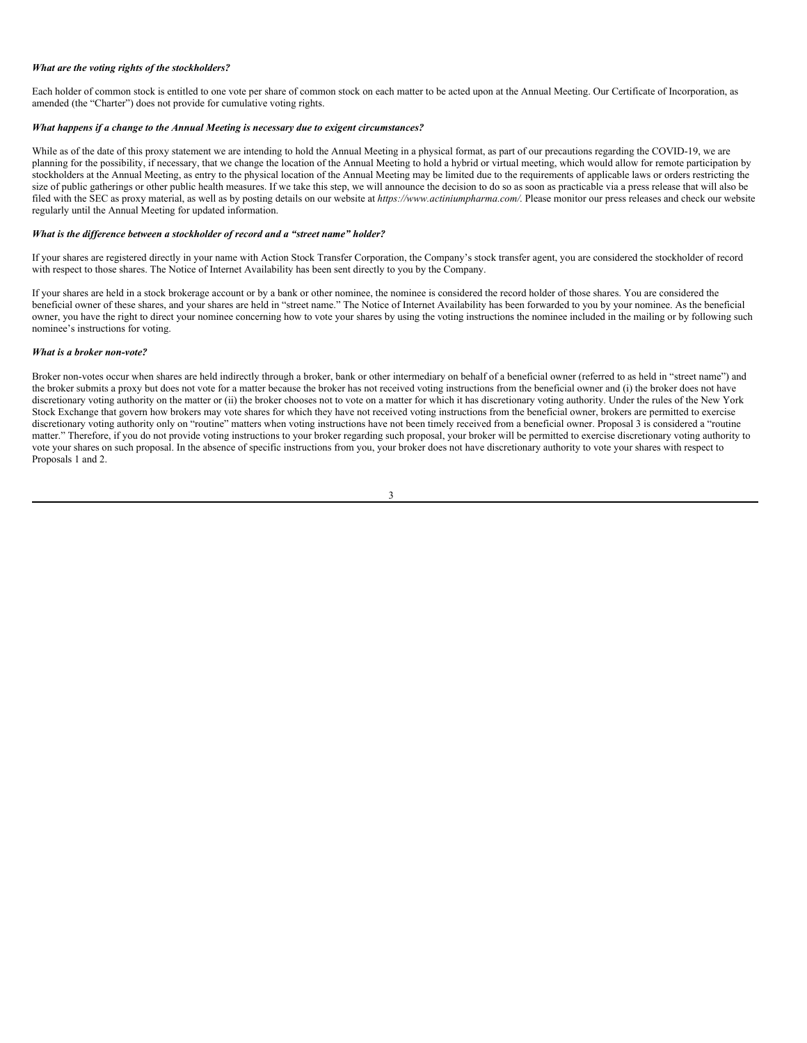#### *What are the voting rights of the stockholders?*

Each holder of common stock is entitled to one vote per share of common stock on each matter to be acted upon at the Annual Meeting. Our Certificate of Incorporation, as amended (the "Charter") does not provide for cumulative voting rights.

### *What happens if a change to the Annual Meeting is necessary due to exigent circumstances?*

While as of the date of this proxy statement we are intending to hold the Annual Meeting in a physical format, as part of our precautions regarding the COVID-19, we are planning for the possibility, if necessary, that we change the location of the Annual Meeting to hold a hybrid or virtual meeting, which would allow for remote participation by stockholders at the Annual Meeting, as entry to the physical location of the Annual Meeting may be limited due to the requirements of applicable laws or orders restricting the size of public gatherings or other public health measures. If we take this step, we will announce the decision to do so as soon as practicable via a press release that will also be filed with the SEC as proxy material, as well as by posting details on our website at *https://www.actiniumpharma.com/*. Please monitor our press releases and check our website regularly until the Annual Meeting for updated information.

#### *What is the dif erence between a stockholder of record and a "street name" holder?*

If your shares are registered directly in your name with Action Stock Transfer Corporation, the Company's stock transfer agent, you are considered the stockholder of record with respect to those shares. The Notice of Internet Availability has been sent directly to you by the Company.

If your shares are held in a stock brokerage account or by a bank or other nominee, the nominee is considered the record holder of those shares. You are considered the beneficial owner of these shares, and your shares are held in "street name." The Notice of Internet Availability has been forwarded to you by your nominee. As the beneficial owner, you have the right to direct your nominee concerning how to vote your shares by using the voting instructions the nominee included in the mailing or by following such nominee's instructions for voting.

#### *What is a broker non-vote?*

Broker non-votes occur when shares are held indirectly through a broker, bank or other intermediary on behalf of a beneficial owner (referred to as held in "street name") and the broker submits a proxy but does not vote for a matter because the broker has not received voting instructions from the beneficial owner and (i) the broker does not have discretionary voting authority on the matter or (ii) the broker chooses not to vote on a matter for which it has discretionary voting authority. Under the rules of the New York Stock Exchange that govern how brokers may vote shares for which they have not received voting instructions from the beneficial owner, brokers are permitted to exercise discretionary voting authority only on "routine" matters when voting instructions have not been timely received from a beneficial owner. Proposal 3 is considered a "routine" matter." Therefore, if you do not provide voting instructions to your broker regarding such proposal, your broker will be permitted to exercise discretionary voting authority to vote your shares on such proposal. In the absence of specific instructions from you, your broker does not have discretionary authority to vote your shares with respect to Proposals 1 and 2.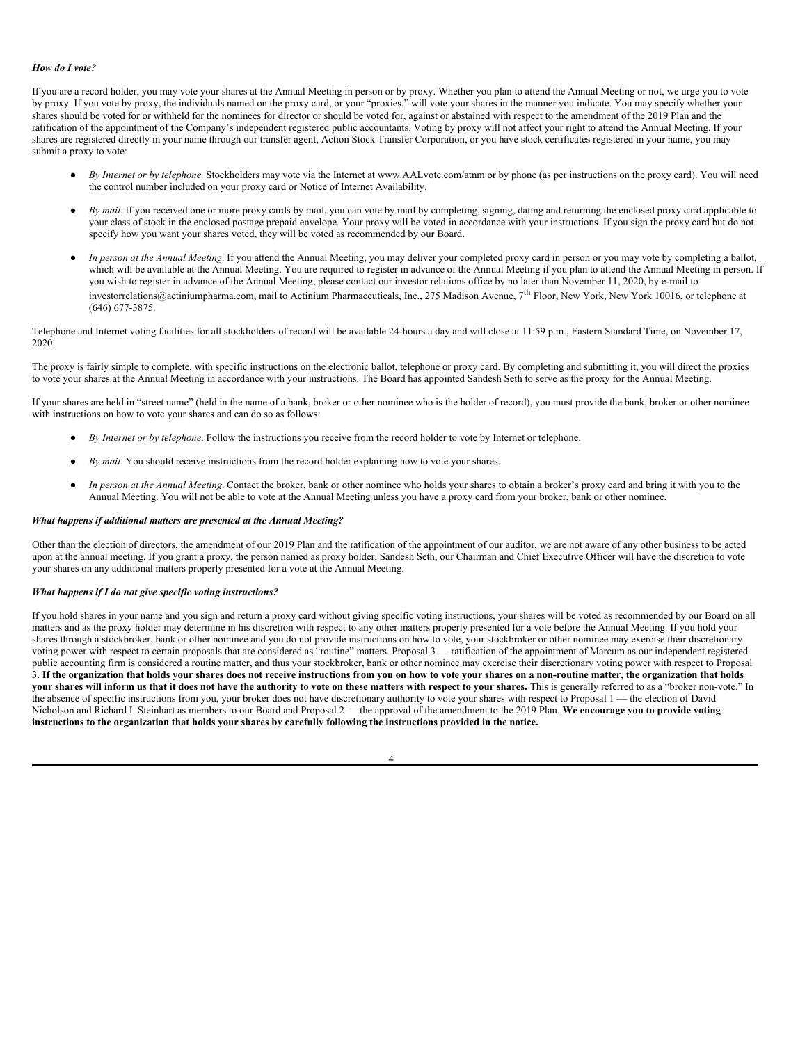### *How do I vote?*

If you are a record holder, you may vote your shares at the Annual Meeting in person or by proxy. Whether you plan to attend the Annual Meeting or not, we urge you to vote by proxy. If you vote by proxy, the individuals named on the proxy card, or your "proxies," will vote your shares in the manner you indicate. You may specify whether your shares should be voted for or withheld for the nominees for director or should be voted for, against or abstained with respect to the amendment of the 2019 Plan and the ratification of the appointment of the Company's independent registered public accountants. Voting by proxy will not affect your right to attend the Annual Meeting. If your shares are registered directly in your name through our transfer agent, Action Stock Transfer Corporation, or you have stock certificates registered in your name, you may submit a proxy to vote:

- *By Internet or by telephone.* Stockholders may vote via the Internet at www.AALvote.com/atnm or by phone (as per instructions on the proxy card). You will need the control number included on your proxy card or Notice of Internet Availability.
- By mail. If you received one or more proxy cards by mail, you can vote by mail by completing, signing, dating and returning the enclosed proxy card applicable to your class of stock in the enclosed postage prepaid envelope. Your proxy will be voted in accordance with your instructions. If you sign the proxy card but do not specify how you want your shares voted, they will be voted as recommended by our Board.
- *In person at the Annual Meeting*. If you attend the Annual Meeting, you may deliver your completed proxy card in person or you may vote by completing a ballot, which will be available at the Annual Meeting. You are required to register in advance of the Annual Meeting if you plan to attend the Annual Meeting in person. If you wish to register in advance of the Annual Meeting, please contact our investor relations office by no later than November 11, 2020, by e-mail to investorrelations@actiniumpharma.com, mail to Actinium Pharmaceuticals, Inc., 275 Madison Avenue, 7<sup>th</sup> Floor, New York, New York 10016, or telephone at (646) 677-3875.

Telephone and Internet voting facilities for all stockholders of record will be available 24-hours a day and will close at 11:59 p.m., Eastern Standard Time, on November 17, 2020.

The proxy is fairly simple to complete, with specific instructions on the electronic ballot, telephone or proxy card. By completing and submitting it, you will direct the proxies to vote your shares at the Annual Meeting in accordance with your instructions. The Board has appointed Sandesh Seth to serve as the proxy for the Annual Meeting.

If your shares are held in "street name" (held in the name of a bank, broker or other nominee who is the holder of record), you must provide the bank, broker or other nominee with instructions on how to vote your shares and can do so as follows:

- *By Internet or by telephone*. Follow the instructions you receive from the record holder to vote by Internet or telephone.
- By mail. You should receive instructions from the record holder explaining how to vote your shares.
- In person at the Annual Meeting. Contact the broker, bank or other nominee who holds your shares to obtain a broker's proxy card and bring it with you to the Annual Meeting. You will not be able to vote at the Annual Meeting unless you have a proxy card from your broker, bank or other nominee.

## *What happens if additional matters are presented at the Annual Meeting?*

Other than the election of directors, the amendment of our 2019 Plan and the ratification of the appointment of our auditor, we are not aware of any other business to be acted upon at the annual meeting. If you grant a proxy, the person named as proxy holder, Sandesh Seth, our Chairman and Chief Executive Officer will have the discretion to vote your shares on any additional matters properly presented for a vote at the Annual Meeting.

# *What happens if I do not give specific voting instructions?*

If you hold shares in your name and you sign and return a proxy card without giving specific voting instructions, your shares will be voted as recommended by our Board on all matters and as the proxy holder may determine in his discretion with respect to any other matters properly presented for a vote before the Annual Meeting. If you hold your shares through a stockbroker, bank or other nominee and you do not provide instructions on how to vote, your stockbroker or other nominee may exercise their discretionary voting power with respect to certain proposals that are considered as "routine" matters. Proposal 3 — ratification of the appointment of Marcum as our independent registered public accounting firm is considered a routine matter, and thus your stockbroker, bank or other nominee may exercise their discretionary voting power with respect to Proposal 3. If the organization that holds your shares does not receive instructions from you on how to vote your shares on a non-routine matter, the organization that holds your shares will inform us that it does not have the authority to vote on these matters with respect to your shares. This is generally referred to as a "broker non-vote." In the absence of specific instructions from you, your broker does not have discretionary authority to vote your shares with respect to Proposal 1 — the election of David Nicholson and Richard I. Steinhart as members to our Board and Proposal 2 — the approval of the amendment to the 2019 Plan. **We encourage you to provide voting** instructions to the organization that holds your shares by carefully following the instructions provided in the notice.

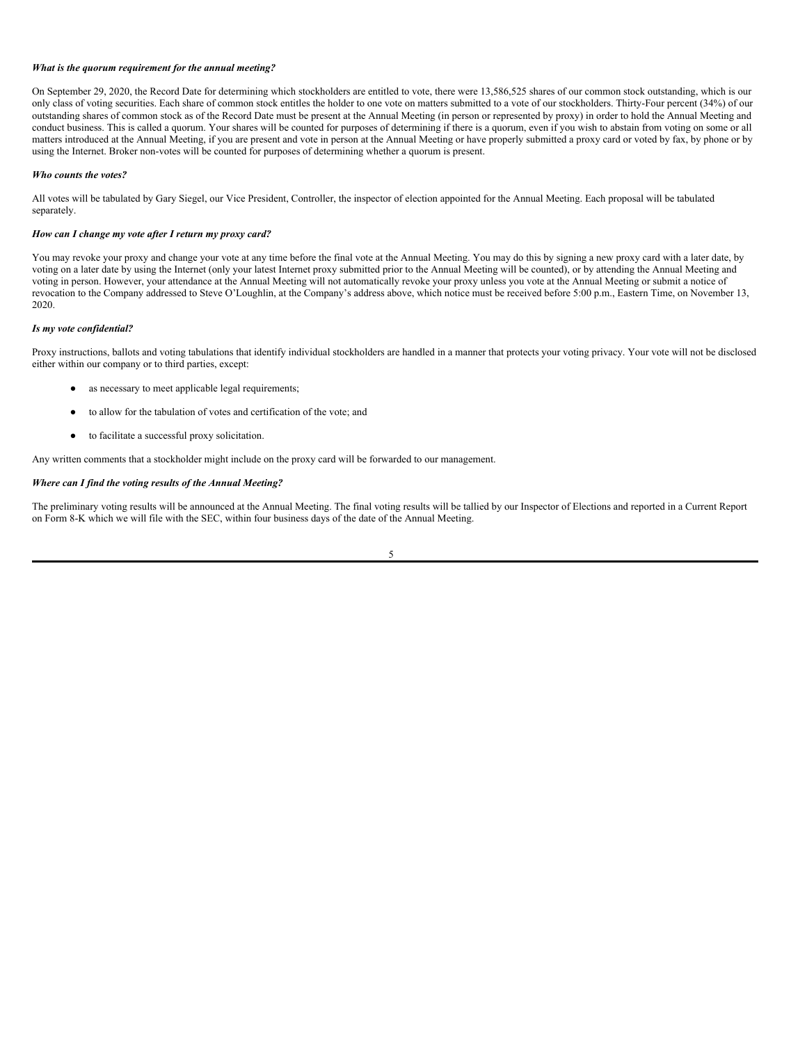#### *What is the quorum requirement for the annual meeting?*

On September 29, 2020, the Record Date for determining which stockholders are entitled to vote, there were 13,586,525 shares of our common stock outstanding, which is our only class of voting securities. Each share of common stock entitles the holder to one vote on matters submitted to a vote of our stockholders. Thirty-Four percent (34%) of our outstanding shares of common stock as of the Record Date must be present at the Annual Meeting (in person or represented by proxy) in order to hold the Annual Meeting and conduct business. This is called a quorum. Your shares will be counted for purposes of determining if there is a quorum, even if you wish to abstain from voting on some or all matters introduced at the Annual Meeting, if you are present and vote in person at the Annual Meeting or have properly submitted a proxy card or voted by fax, by phone or by using the Internet. Broker non-votes will be counted for purposes of determining whether a quorum is present.

### *Who counts the votes?*

All votes will be tabulated by Gary Siegel, our Vice President, Controller, the inspector of election appointed for the Annual Meeting. Each proposal will be tabulated separately.

### *How can I change my vote after I return my proxy card?*

You may revoke your proxy and change your vote at any time before the final vote at the Annual Meeting. You may do this by signing a new proxy card with a later date, by voting on a later date by using the Internet (only your latest Internet proxy submitted prior to the Annual Meeting will be counted), or by attending the Annual Meeting and voting in person. However, your attendance at the Annual Meeting will not automatically revoke your proxy unless you vote at the Annual Meeting or submit a notice of revocation to the Company addressed to Steve O'Loughlin, at the Company's address above, which notice must be received before 5:00 p.m., Eastern Time, on November 13, 2020.

#### *Is my vote confidential?*

Proxy instructions, ballots and voting tabulations that identify individual stockholders are handled in a manner that protects your voting privacy. Your vote will not be disclosed either within our company or to third parties, except:

- as necessary to meet applicable legal requirements;
- to allow for the tabulation of votes and certification of the vote; and
- to facilitate a successful proxy solicitation.

Any written comments that a stockholder might include on the proxy card will be forwarded to our management.

#### *Where can I find the voting results of the Annual Meeting?*

The preliminary voting results will be announced at the Annual Meeting. The final voting results will be tallied by our Inspector of Elections and reported in a Current Report on Form 8-K which we will file with the SEC, within four business days of the date of the Annual Meeting.

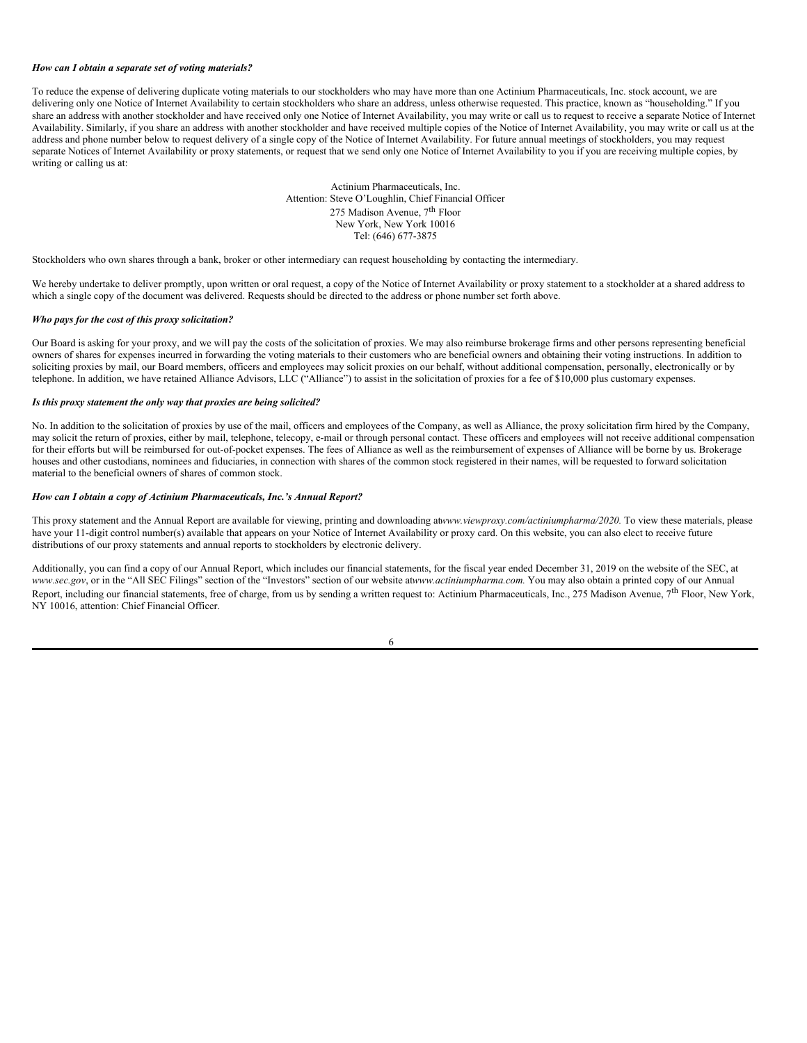#### *How can I obtain a separate set of voting materials?*

To reduce the expense of delivering duplicate voting materials to our stockholders who may have more than one Actinium Pharmaceuticals, Inc. stock account, we are delivering only one Notice of Internet Availability to certain stockholders who share an address, unless otherwise requested. This practice, known as "householding." If you share an address with another stockholder and have received only one Notice of Internet Availability, you may write or call us to request to receive a separate Notice of Internet Availability. Similarly, if you share an address with another stockholder and have received multiple copies of the Notice of Internet Availability, you may write or call us at the address and phone number below to request delivery of a single copy of the Notice of Internet Availability. For future annual meetings of stockholders, you may request separate Notices of Internet Availability or proxy statements, or request that we send only one Notice of Internet Availability to you if you are receiving multiple copies, by writing or calling us at:

> Actinium Pharmaceuticals, Inc. Attention: Steve O'Loughlin, Chief Financial Officer 275 Madison Avenue, 7<sup>th</sup> Floor New York, New York 10016 Tel: (646) 677-3875

Stockholders who own shares through a bank, broker or other intermediary can request householding by contacting the intermediary.

We hereby undertake to deliver promptly, upon written or oral request, a copy of the Notice of Internet Availability or proxy statement to a stockholder at a shared address to which a single copy of the document was delivered. Requests should be directed to the address or phone number set forth above.

### *Who pays for the cost of this proxy solicitation?*

Our Board is asking for your proxy, and we will pay the costs of the solicitation of proxies. We may also reimburse brokerage firms and other persons representing beneficial owners of shares for expenses incurred in forwarding the voting materials to their customers who are beneficial owners and obtaining their voting instructions. In addition to soliciting proxies by mail, our Board members, officers and employees may solicit proxies on our behalf, without additional compensation, personally, electronically or by telephone. In addition, we have retained Alliance Advisors, LLC ("Alliance") to assist in the solicitation of proxies for a fee of \$10,000 plus customary expenses.

#### *Is this proxy statement the only way that proxies are being solicited?*

No. In addition to the solicitation of proxies by use of the mail, officers and employees of the Company, as well as Alliance, the proxy solicitation firm hired by the Company, may solicit the return of proxies, either by mail, telephone, telecopy, e-mail or through personal contact. These officers and employees will not receive additional compensation for their efforts but will be reimbursed for out-of-pocket expenses. The fees of Alliance as well as the reimbursement of expenses of Alliance will be borne by us. Brokerage houses and other custodians, nominees and fiduciaries, in connection with shares of the common stock registered in their names, will be requested to forward solicitation material to the beneficial owners of shares of common stock.

### *How can I obtain a copy of Actinium Pharmaceuticals, Inc.'s Annual Report?*

This proxy statement and the Annual Report are available for viewing, printing and downloading at*www.viewproxy.com/actiniumpharma/2020.* To view these materials, please have your 11-digit control number(s) available that appears on your Notice of Internet Availability or proxy card. On this website, you can also elect to receive future distributions of our proxy statements and annual reports to stockholders by electronic delivery.

Additionally, you can find a copy of our Annual Report, which includes our financial statements, for the fiscal year ended December 31, 2019 on the website of the SEC, at *www.sec.gov*, or in the "All SEC Filings" section of the "Investors" section of our website at*www.actiniumpharma.com.* You may also obtain a printed copy of our Annual Report, including our financial statements, free of charge, from us by sending a written request to: Actinium Pharmaceuticals, Inc., 275 Madison Avenue,  $7<sup>th</sup>$  Floor, New York, NY 10016, attention: Chief Financial Officer.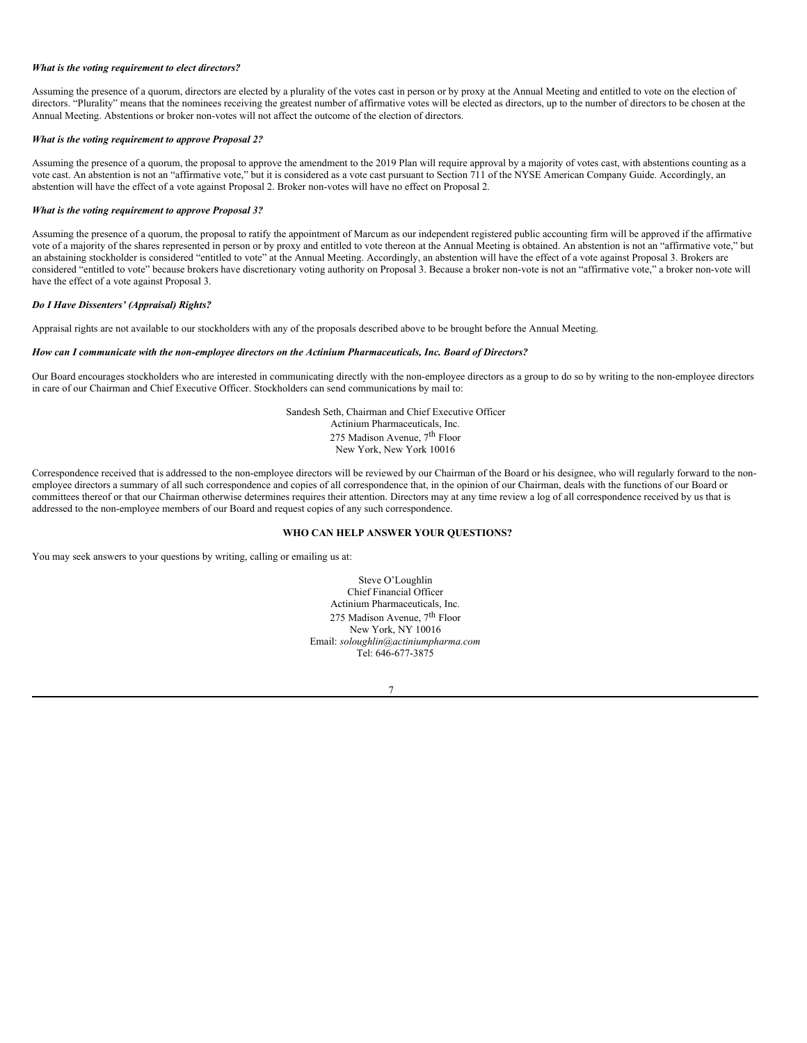#### *What is the voting requirement to elect directors?*

Assuming the presence of a quorum, directors are elected by a plurality of the votes cast in person or by proxy at the Annual Meeting and entitled to vote on the election of directors. "Plurality" means that the nominees receiving the greatest number of affirmative votes will be elected as directors, up to the number of directors to be chosen at the Annual Meeting. Abstentions or broker non-votes will not affect the outcome of the election of directors.

#### *What is the voting requirement to approve Proposal 2?*

Assuming the presence of a quorum, the proposal to approve the amendment to the 2019 Plan will require approval by a majority of votes cast, with abstentions counting as a vote cast. An abstention is not an "affirmative vote," but it is considered as a vote cast pursuant to Section 711 of the NYSE American Company Guide. Accordingly, an abstention will have the effect of a vote against Proposal 2. Broker non-votes will have no effect on Proposal 2.

### *What is the voting requirement to approve Proposal 3?*

Assuming the presence of a quorum, the proposal to ratify the appointment of Marcum as our independent registered public accounting firm will be approved if the affirmative vote of a majority of the shares represented in person or by proxy and entitled to vote thereon at the Annual Meeting is obtained. An abstention is not an "affirmative vote," but an abstaining stockholder is considered "entitled to vote" at the Annual Meeting. Accordingly, an abstention will have the effect of a vote against Proposal 3. Brokers are considered "entitled to vote" because brokers have discretionary voting authority on Proposal 3. Because a broker non-vote is not an "affirmative vote," a broker non-vote will have the effect of a vote against Proposal 3.

#### *Do I Have Dissenters' (Appraisal) Rights?*

Appraisal rights are not available to our stockholders with any of the proposals described above to be brought before the Annual Meeting.

### *How can I communicate with the non-employee directors on the Actinium Pharmaceuticals, Inc. Board of Directors?*

Our Board encourages stockholders who are interested in communicating directly with the non-employee directors as a group to do so by writing to the non-employee directors in care of our Chairman and Chief Executive Officer. Stockholders can send communications by mail to:

> Sandesh Seth, Chairman and Chief Executive Officer Actinium Pharmaceuticals, Inc. 275 Madison Avenue, 7<sup>th</sup> Floor New York, New York 10016

Correspondence received that is addressed to the non-employee directors will be reviewed by our Chairman of the Board or his designee, who will regularly forward to the nonemployee directors a summary of all such correspondence and copies of all correspondence that, in the opinion of our Chairman, deals with the functions of our Board or committees thereof or that our Chairman otherwise determines requires their attention. Directors may at any time review a log of all correspondence received by us that is addressed to the non-employee members of our Board and request copies of any such correspondence.

### <span id="page-11-0"></span>**WHO CAN HELP ANSWER YOUR QUESTIONS?**

You may seek answers to your questions by writing, calling or emailing us at:

Steve O'Loughlin Chief Financial Officer Actinium Pharmaceuticals, Inc. 275 Madison Avenue, 7<sup>th</sup> Floor New York, NY 10016 Email: *soloughlin@actiniumpharma.com* Tel: 646-677-3875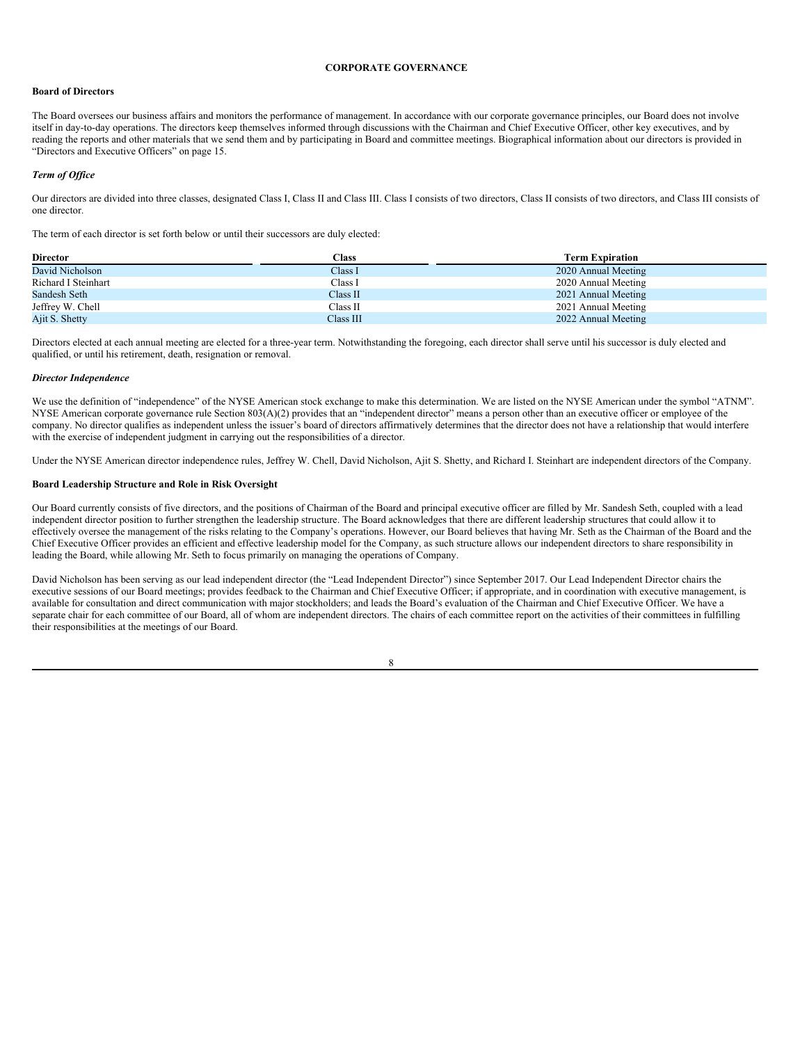#### <span id="page-12-0"></span>**CORPORATE GOVERNANCE**

## **Board of Directors**

The Board oversees our business affairs and monitors the performance of management. In accordance with our corporate governance principles, our Board does not involve itself in day-to-day operations. The directors keep themselves informed through discussions with the Chairman and Chief Executive Officer, other key executives, and by reading the reports and other materials that we send them and by participating in Board and committee meetings. Biographical information about our directors is provided in "Directors and Executive Officers" on page 15.

# *Term of Of ice*

Our directors are divided into three classes, designated Class I, Class II and Class III. Class I consists of two directors, Class II consists of two directors, and Class III consists of one director.

The term of each director is set forth below or until their successors are duly elected:

| <b>Director</b>     | Class     | <b>Term Expiration</b> |
|---------------------|-----------|------------------------|
| David Nicholson     | Class I   | 2020 Annual Meeting    |
| Richard I Steinhart | Class I   | 2020 Annual Meeting    |
| Sandesh Seth        | Class II  | 2021 Annual Meeting    |
| Jeffrey W. Chell    | Class II  | 2021 Annual Meeting    |
| Ajit S. Shetty      | Class III | 2022 Annual Meeting    |

Directors elected at each annual meeting are elected for a three-year term. Notwithstanding the foregoing, each director shall serve until his successor is duly elected and qualified, or until his retirement, death, resignation or removal.

### *Director Independence*

We use the definition of "independence" of the NYSE American stock exchange to make this determination. We are listed on the NYSE American under the symbol "ATNM". NYSE American corporate governance rule Section 803(A)(2) provides that an "independent director" means a person other than an executive officer or employee of the company. No director qualifies as independent unless the issuer's board of directors affirmatively determines that the director does not have a relationship that would interfere with the exercise of independent judgment in carrying out the responsibilities of a director.

Under the NYSE American director independence rules, Jeffrey W. Chell, David Nicholson, Ajit S. Shetty, and Richard I. Steinhart are independent directors of the Company.

### **Board Leadership Structure and Role in Risk Oversight**

Our Board currently consists of five directors, and the positions of Chairman of the Board and principal executive officer are filled by Mr. Sandesh Seth, coupled with a lead independent director position to further strengthen the leadership structure. The Board acknowledges that there are different leadership structures that could allow it to effectively oversee the management of the risks relating to the Company's operations. However, our Board believes that having Mr. Seth as the Chairman of the Board and the Chief Executive Officer provides an efficient and effective leadership model for the Company, as such structure allows our independent directors to share responsibility in leading the Board, while allowing Mr. Seth to focus primarily on managing the operations of Company.

David Nicholson has been serving as our lead independent director (the "Lead Independent Director") since September 2017. Our Lead Independent Director chairs the executive sessions of our Board meetings; provides feedback to the Chairman and Chief Executive Officer; if appropriate, and in coordination with executive management, is available for consultation and direct communication with major stockholders; and leads the Board's evaluation of the Chairman and Chief Executive Officer. We have a separate chair for each committee of our Board, all of whom are independent directors. The chairs of each committee report on the activities of their committees in fulfilling their responsibilities at the meetings of our Board.

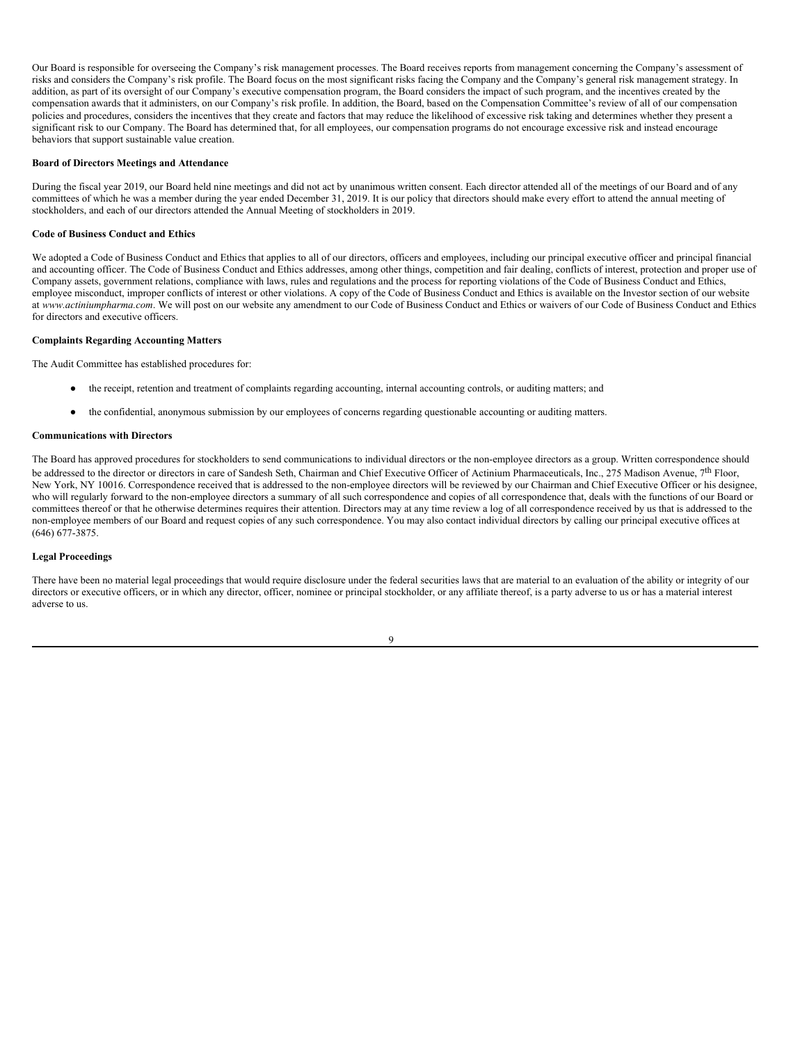Our Board is responsible for overseeing the Company's risk management processes. The Board receives reports from management concerning the Company's assessment of risks and considers the Company's risk profile. The Board focus on the most significant risks facing the Company and the Company's general risk management strategy. In addition, as part of its oversight of our Company's executive compensation program, the Board considers the impact of such program, and the incentives created by the compensation awards that it administers, on our Company's risk profile. In addition, the Board, based on the Compensation Committee's review of all of our compensation policies and procedures, considers the incentives that they create and factors that may reduce the likelihood of excessive risk taking and determines whether they present a significant risk to our Company. The Board has determined that, for all employees, our compensation programs do not encourage excessive risk and instead encourage behaviors that support sustainable value creation.

#### **Board of Directors Meetings and Attendance**

During the fiscal year 2019, our Board held nine meetings and did not act by unanimous written consent. Each director attended all of the meetings of our Board and of any committees of which he was a member during the year ended December 31, 2019. It is our policy that directors should make every effort to attend the annual meeting of stockholders, and each of our directors attended the Annual Meeting of stockholders in 2019.

### **Code of Business Conduct and Ethics**

We adopted a Code of Business Conduct and Ethics that applies to all of our directors, officers and employees, including our principal executive officer and principal financial and accounting officer. The Code of Business Conduct and Ethics addresses, among other things, competition and fair dealing, conflicts of interest, protection and proper use of Company assets, government relations, compliance with laws, rules and regulations and the process for reporting violations of the Code of Business Conduct and Ethics, employee misconduct, improper conflicts of interest or other violations. A copy of the Code of Business Conduct and Ethics is available on the Investor section of our website at *www.actiniumpharma.com*. We will post on our website any amendment to our Code of Business Conduct and Ethics or waivers of our Code of Business Conduct and Ethics for directors and executive officers.

### **Complaints Regarding Accounting Matters**

The Audit Committee has established procedures for:

- the receipt, retention and treatment of complaints regarding accounting, internal accounting controls, or auditing matters; and
- the confidential, anonymous submission by our employees of concerns regarding questionable accounting or auditing matters.

# **Communications with Directors**

The Board has approved procedures for stockholders to send communications to individual directors or the non-employee directors as a group. Written correspondence should be addressed to the director or directors in care of Sandesh Seth, Chairman and Chief Executive Officer of Actinium Pharmaceuticals, Inc., 275 Madison Avenue, 7<sup>th</sup> Floor, New York, NY 10016. Correspondence received that is addressed to the non-employee directors will be reviewed by our Chairman and Chief Executive Officer or his designee, who will regularly forward to the non-employee directors a summary of all such correspondence and copies of all correspondence that, deals with the functions of our Board or committees thereof or that he otherwise determines requires their attention. Directors may at any time review a log of all correspondence received by us that is addressed to the non-employee members of our Board and request copies of any such correspondence. You may also contact individual directors by calling our principal executive offices at (646) 677-3875.

## **Legal Proceedings**

There have been no material legal proceedings that would require disclosure under the federal securities laws that are material to an evaluation of the ability or integrity of our directors or executive officers, or in which any director, officer, nominee or principal stockholder, or any affiliate thereof, is a party adverse to us or has a material interest adverse to us.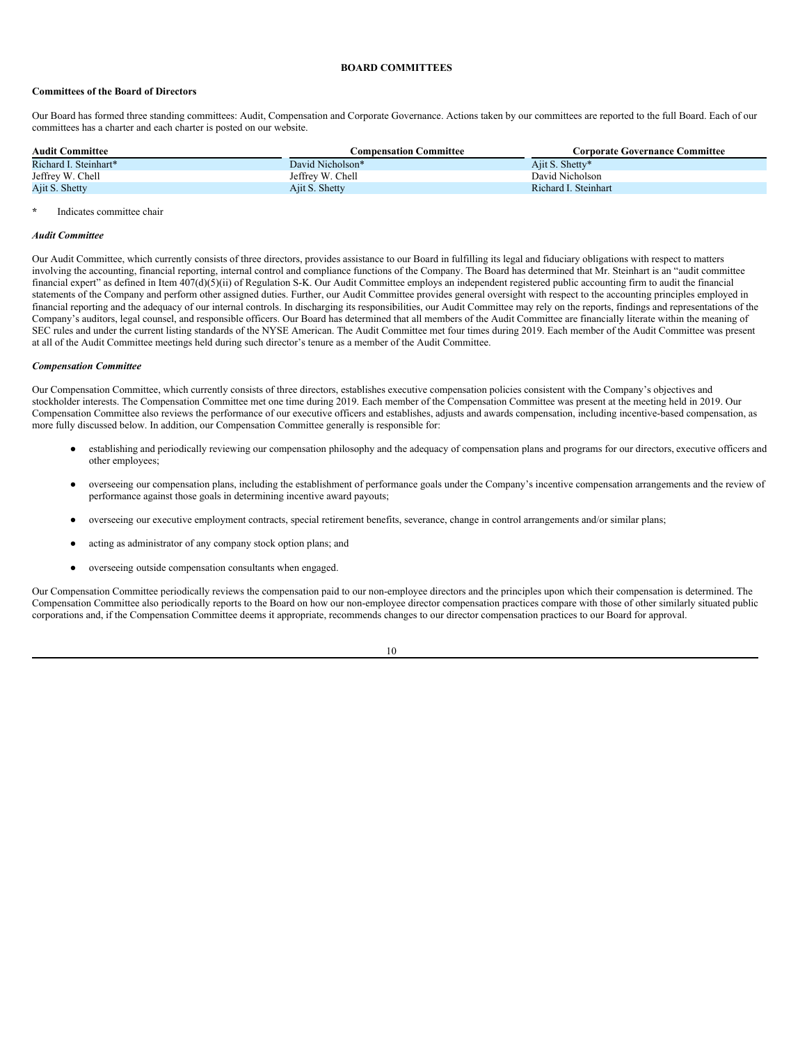#### <span id="page-14-0"></span>**BOARD COMMITTEES**

### **Committees of the Board of Directors**

Our Board has formed three standing committees: Audit, Compensation and Corporate Governance. Actions taken by our committees are reported to the full Board. Each of our committees has a charter and each charter is posted on our website.

| <b>Audit Committee</b> | <b>Compensation Committee</b> | <b>Corporate Governance Committee</b> |
|------------------------|-------------------------------|---------------------------------------|
| Richard I. Steinhart*  | David Nicholson*              | Ajit S. Shetty*                       |
| Jeffrey W. Chell       | Jeffrey W. Chell              | David Nicholson                       |
| Ajit S. Shetty         | Ajit S. Shetty                | Richard I. Steinhart                  |

#### **\*** Indicates committee chair

#### *Audit Committee*

Our Audit Committee, which currently consists of three directors, provides assistance to our Board in fulfilling its legal and fiduciary obligations with respect to matters involving the accounting, financial reporting, internal control and compliance functions of the Company. The Board has determined that Mr. Steinhart is an "audit committee financial expert" as defined in Item 407(d)(5)(ii) of Regulation S-K. Our Audit Committee employs an independent registered public accounting firm to audit the financial statements of the Company and perform other assigned duties. Further, our Audit Committee provides general oversight with respect to the accounting principles employed in financial reporting and the adequacy of our internal controls. In discharging its responsibilities, our Audit Committee may rely on the reports, findings and representations of the Company's auditors, legal counsel, and responsible officers. Our Board has determined that all members of the Audit Committee are financially literate within the meaning of SEC rules and under the current listing standards of the NYSE American. The Audit Committee met four times during 2019. Each member of the Audit Committee was present at all of the Audit Committee meetings held during such director's tenure as a member of the Audit Committee.

#### *Compensation Committee*

Our Compensation Committee, which currently consists of three directors, establishes executive compensation policies consistent with the Company's objectives and stockholder interests. The Compensation Committee met one time during 2019. Each member of the Compensation Committee was present at the meeting held in 2019. Our Compensation Committee also reviews the performance of our executive officers and establishes, adjusts and awards compensation, including incentive-based compensation, as more fully discussed below. In addition, our Compensation Committee generally is responsible for:

- establishing and periodically reviewing our compensation philosophy and the adequacy of compensation plans and programs for our directors, executive officers and other employees;
- overseeing our compensation plans, including the establishment of performance goals under the Company's incentive compensation arrangements and the review of performance against those goals in determining incentive award payouts;
- overseeing our executive employment contracts, special retirement benefits, severance, change in control arrangements and/or similar plans;
- acting as administrator of any company stock option plans; and
- overseeing outside compensation consultants when engaged.

Our Compensation Committee periodically reviews the compensation paid to our non-employee directors and the principles upon which their compensation is determined. The Compensation Committee also periodically reports to the Board on how our non-employee director compensation practices compare with those of other similarly situated public corporations and, if the Compensation Committee deems it appropriate, recommends changes to our director compensation practices to our Board for approval.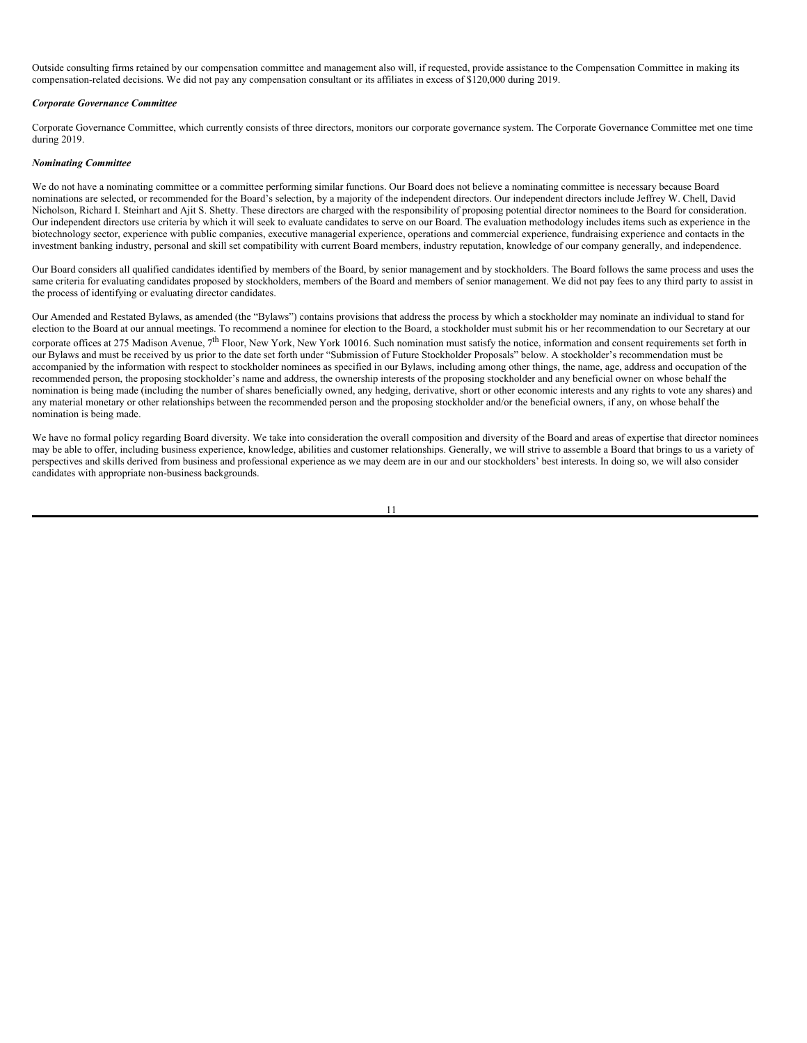Outside consulting firms retained by our compensation committee and management also will, if requested, provide assistance to the Compensation Committee in making its compensation-related decisions. We did not pay any compensation consultant or its affiliates in excess of \$120,000 during 2019.

#### *Corporate Governance Committee*

Corporate Governance Committee, which currently consists of three directors, monitors our corporate governance system. The Corporate Governance Committee met one time during 2019.

#### *Nominating Committee*

We do not have a nominating committee or a committee performing similar functions. Our Board does not believe a nominating committee is necessary because Board nominations are selected, or recommended for the Board's selection, by a majority of the independent directors. Our independent directors include Jeffrey W. Chell, David Nicholson, Richard I. Steinhart and Ajit S. Shetty. These directors are charged with the responsibility of proposing potential director nominees to the Board for consideration. Our independent directors use criteria by which it will seek to evaluate candidates to serve on our Board. The evaluation methodology includes items such as experience in the biotechnology sector, experience with public companies, executive managerial experience, operations and commercial experience, fundraising experience and contacts in the investment banking industry, personal and skill set compatibility with current Board members, industry reputation, knowledge of our company generally, and independence.

Our Board considers all qualified candidates identified by members of the Board, by senior management and by stockholders. The Board follows the same process and uses the same criteria for evaluating candidates proposed by stockholders, members of the Board and members of senior management. We did not pay fees to any third party to assist in the process of identifying or evaluating director candidates.

Our Amended and Restated Bylaws, as amended (the "Bylaws") contains provisions that address the process by which a stockholder may nominate an individual to stand for election to the Board at our annual meetings. To recommend a nominee for election to the Board, a stockholder must submit his or her recommendation to our Secretary at our corporate offices at 275 Madison Avenue, 7<sup>th</sup> Floor, New York, New York 10016. Such nomination must satisfy the notice, information and consent requirements set forth in our Bylaws and must be received by us prior to the date set forth under "Submission of Future Stockholder Proposals" below. A stockholder's recommendation must be accompanied by the information with respect to stockholder nominees as specified in our Bylaws, including among other things, the name, age, address and occupation of the recommended person, the proposing stockholder's name and address, the ownership interests of the proposing stockholder and any beneficial owner on whose behalf the nomination is being made (including the number of shares beneficially owned, any hedging, derivative, short or other economic interests and any rights to vote any shares) and any material monetary or other relationships between the recommended person and the proposing stockholder and/or the beneficial owners, if any, on whose behalf the nomination is being made.

We have no formal policy regarding Board diversity. We take into consideration the overall composition and diversity of the Board and areas of expertise that director nominees may be able to offer, including business experience, knowledge, abilities and customer relationships. Generally, we will strive to assemble a Board that brings to us a variety of perspectives and skills derived from business and professional experience as we may deem are in our and our stockholders' best interests. In doing so, we will also consider candidates with appropriate non-business backgrounds.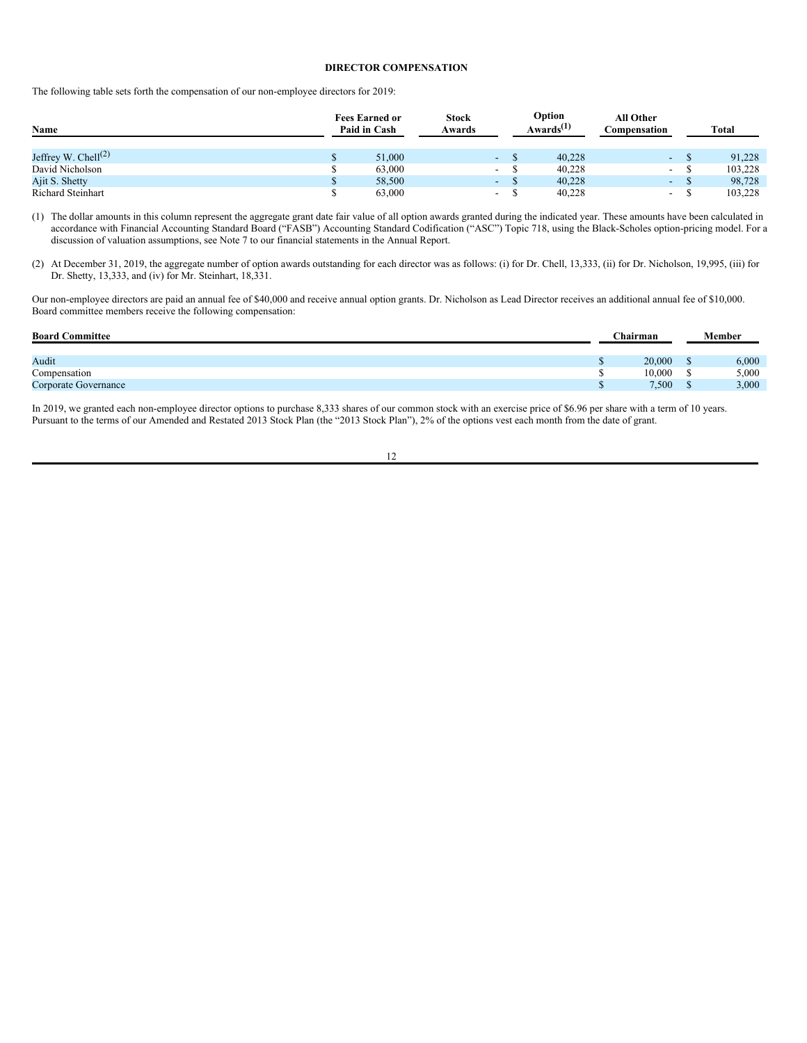# <span id="page-16-0"></span>**DIRECTOR COMPENSATION**

The following table sets forth the compensation of our non-employee directors for 2019:

| Name                      | <b>Fees Earned or</b><br>Paid in Cash |        | <b>Stock</b><br>Awards | Option<br>Awards <sup><math>(1)</math></sup> |  | All Other<br>Compensation | Total                    |         |
|---------------------------|---------------------------------------|--------|------------------------|----------------------------------------------|--|---------------------------|--------------------------|---------|
| Jeffrey W. Chell $^{(2)}$ |                                       | 51,000 |                        | $\sim$                                       |  | 40.228                    | a.                       | 91.228  |
| David Nicholson           |                                       | 63,000 |                        | $\overline{\phantom{a}}$                     |  | 40,228                    | $\sim$                   | 103,228 |
| Ajit S. Shetty            |                                       | 58,500 |                        | ٠                                            |  | 40.228                    | $\sim$                   | 98,728  |
| <b>Richard Steinhart</b>  |                                       | 63,000 |                        | $\overline{\phantom{0}}$                     |  | 40.228                    | $\overline{\phantom{a}}$ | 103,228 |

(1) The dollar amounts in this column represent the aggregate grant date fair value of all option awards granted during the indicated year. These amounts have been calculated in accordance with Financial Accounting Standard Board ("FASB") Accounting Standard Codification ("ASC") Topic 718, using the Black-Scholes option-pricing model. For a discussion of valuation assumptions, see Note 7 to our financial statements in the Annual Report.

(2) At December 31, 2019, the aggregate number of option awards outstanding for each director was as follows: (i) for Dr. Chell, 13,333, (ii) for Dr. Nicholson, 19,995, (iii) for Dr. Shetty, 13,333, and (iv) for Mr. Steinhart, 18,331.

Our non-employee directors are paid an annual fee of \$40,000 and receive annual option grants. Dr. Nicholson as Lead Director receives an additional annual fee of \$10,000. Board committee members receive the following compensation:

| <b>Board Committee</b> |  | Chairman | <b>Member</b> |       |  |
|------------------------|--|----------|---------------|-------|--|
| Audit                  |  | 20,000   |               | 6,000 |  |
| Compensation           |  | 10.000   |               | 5,000 |  |
| Corporate Governance   |  | 7,500    | m             | 3,000 |  |

In 2019, we granted each non-employee director options to purchase 8,333 shares of our common stock with an exercise price of \$6.96 per share with a term of 10 years. Pursuant to the terms of our Amended and Restated 2013 Stock Plan (the "2013 Stock Plan"), 2% of the options vest each month from the date of grant.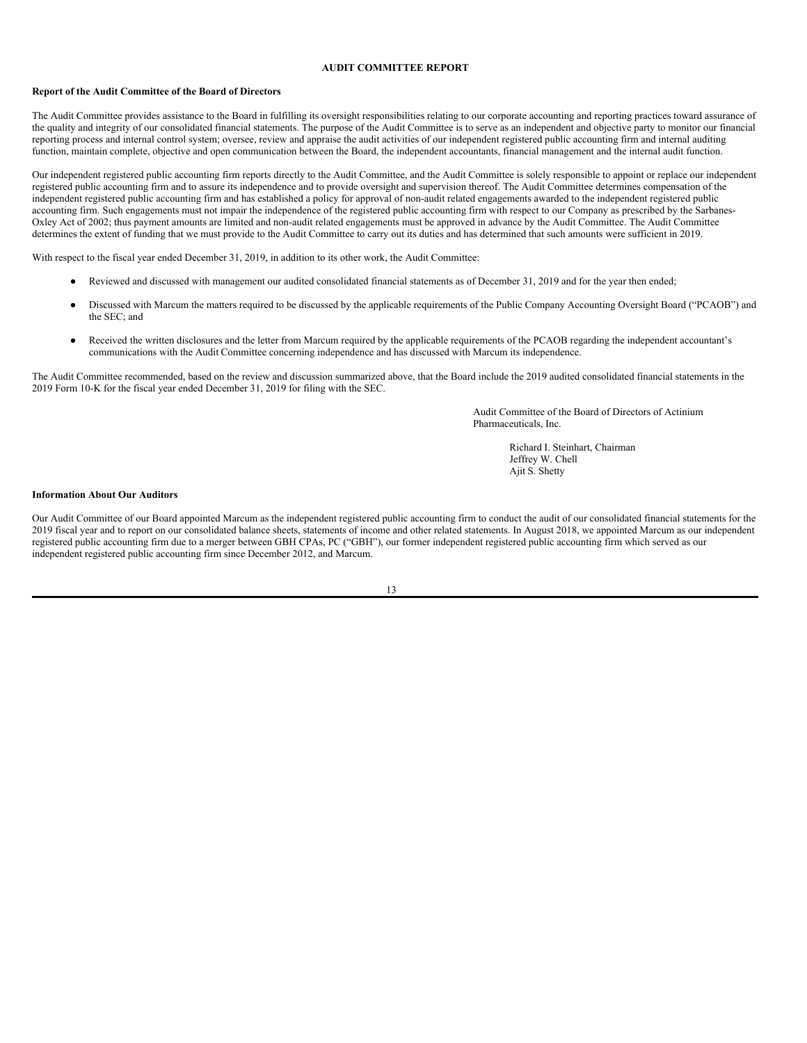### <span id="page-17-0"></span>**AUDIT COMMITTEE REPORT**

### **Report of the Audit Committee of the Board of Directors**

The Audit Committee provides assistance to the Board in fulfilling its oversight responsibilities relating to our corporate accounting and reporting practices toward assurance of the quality and integrity of our consolidated financial statements. The purpose of the Audit Committee is to serve as an independent and objective party to monitor our financial reporting process and internal control system; oversee, review and appraise the audit activities of our independent registered public accounting firm and internal auditing function, maintain complete, objective and open communication between the Board, the independent accountants, financial management and the internal audit function.

Our independent registered public accounting firm reports directly to the Audit Committee, and the Audit Committee is solely responsible to appoint or replace our independent registered public accounting firm and to assure its independence and to provide oversight and supervision thereof. The Audit Committee determines compensation of the independent registered public accounting firm and has established a policy for approval of non-audit related engagements awarded to the independent registered public accounting firm. Such engagements must not impair the independence of the registered public accounting firm with respect to our Company as prescribed by the Sarbanes-Oxley Act of 2002; thus payment amounts are limited and non-audit related engagements must be approved in advance by the Audit Committee. The Audit Committee determines the extent of funding that we must provide to the Audit Committee to carry out its duties and has determined that such amounts were sufficient in 2019.

With respect to the fiscal year ended December 31, 2019, in addition to its other work, the Audit Committee:

- Reviewed and discussed with management our audited consolidated financial statements as of December 31, 2019 and for the year then ended;
- Discussed with Marcum the matters required to be discussed by the applicable requirements of the Public Company Accounting Oversight Board ("PCAOB") and the SEC; and
- Received the written disclosures and the letter from Marcum required by the applicable requirements of the PCAOB regarding the independent accountant's communications with the Audit Committee concerning independence and has discussed with Marcum its independence.

The Audit Committee recommended, based on the review and discussion summarized above, that the Board include the 2019 audited consolidated financial statements in the 2019 Form 10-K for the fiscal year ended December 31, 2019 for filing with the SEC.

> Audit Committee of the Board of Directors of Actinium Pharmaceuticals, Inc.

> > Richard I. Steinhart, Chairman Jeffrey W. Chell Ajit S. Shetty

#### **Information About Our Auditors**

Our Audit Committee of our Board appointed Marcum as the independent registered public accounting firm to conduct the audit of our consolidated financial statements for the 2019 fiscal year and to report on our consolidated balance sheets, statements of income and other related statements. In August 2018, we appointed Marcum as our independent registered public accounting firm due to a merger between GBH CPAs, PC ("GBH"), our former independent registered public accounting firm which served as our independent registered public accounting firm since December 2012, and Marcum.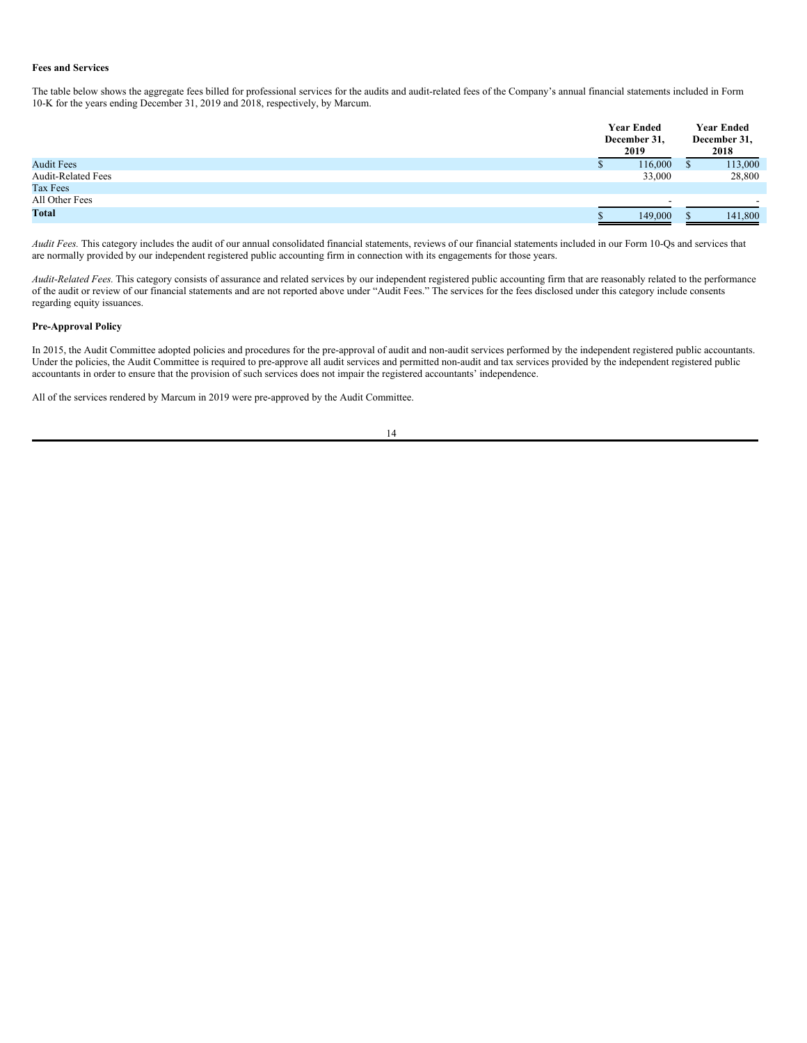# **Fees and Services**

The table below shows the aggregate fees billed for professional services for the audits and audit-related fees of the Company's annual financial statements included in Form 10-K for the years ending December 31, 2019 and 2018, respectively, by Marcum.

|                           | <b>Year Ended</b><br>December 31,<br>2019 |         |  | <b>Year Ended</b><br>December 31,<br>2018 |  |  |
|---------------------------|-------------------------------------------|---------|--|-------------------------------------------|--|--|
| <b>Audit Fees</b>         |                                           | 116,000 |  | 113,000                                   |  |  |
| <b>Audit-Related Fees</b> |                                           | 33,000  |  | 28,800                                    |  |  |
| Tax Fees                  |                                           |         |  |                                           |  |  |
| All Other Fees            |                                           |         |  |                                           |  |  |
| <b>Total</b>              |                                           | 149,000 |  | 141,800                                   |  |  |

*Audit Fees.* This category includes the audit of our annual consolidated financial statements, reviews of our financial statements included in our Form 10-Qs and services that are normally provided by our independent registered public accounting firm in connection with its engagements for those years.

*Audit-Related Fees.* This category consists of assurance and related services by our independent registered public accounting firm that are reasonably related to the performance of the audit or review of our financial statements and are not reported above under "Audit Fees." The services for the fees disclosed under this category include consents regarding equity issuances.

### **Pre-Approval Policy**

In 2015, the Audit Committee adopted policies and procedures for the pre-approval of audit and non-audit services performed by the independent registered public accountants. Under the policies, the Audit Committee is required to pre-approve all audit services and permitted non-audit and tax services provided by the independent registered public accountants in order to ensure that the provision of such services does not impair the registered accountants' independence.

All of the services rendered by Marcum in 2019 were pre-approved by the Audit Committee.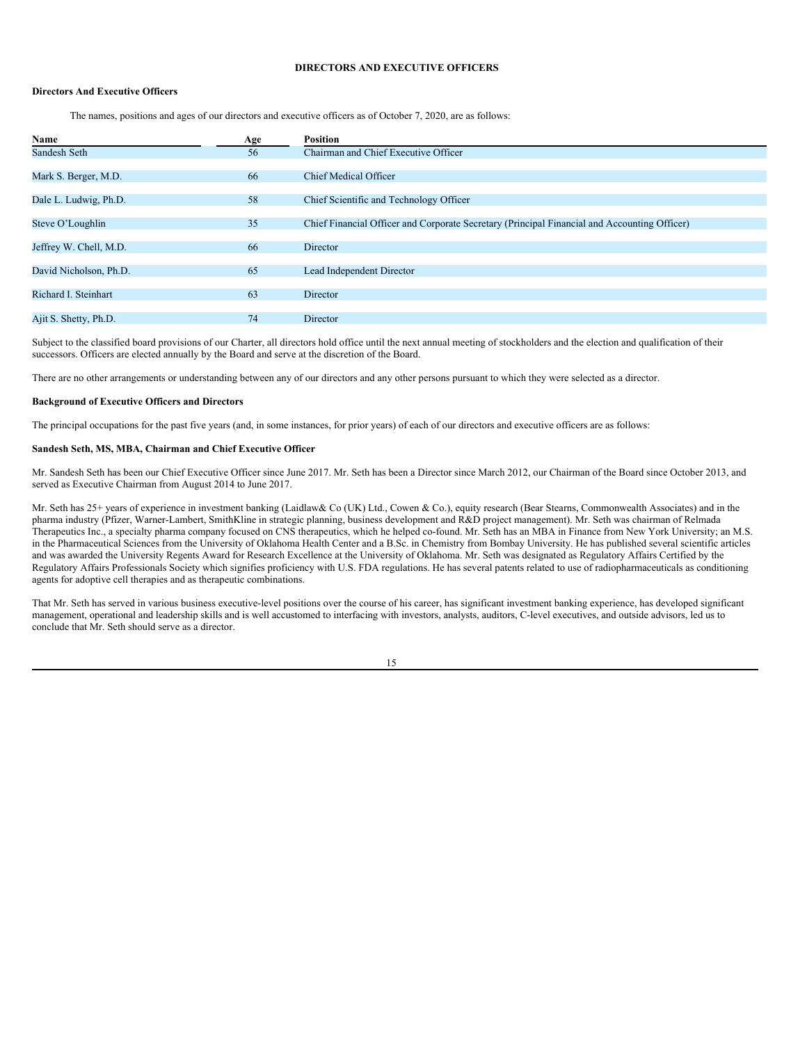# <span id="page-19-0"></span>**DIRECTORS AND EXECUTIVE OFFICERS**

### **Directors And Executive Officers**

The names, positions and ages of our directors and executive officers as of October 7, 2020, are as follows:

| Name                   | Age | <b>Position</b>                                                                              |
|------------------------|-----|----------------------------------------------------------------------------------------------|
| Sandesh Seth           | 56  | Chairman and Chief Executive Officer                                                         |
|                        |     |                                                                                              |
| Mark S. Berger, M.D.   | 66  | Chief Medical Officer                                                                        |
|                        |     |                                                                                              |
| Dale L. Ludwig, Ph.D.  | 58  | Chief Scientific and Technology Officer                                                      |
|                        |     |                                                                                              |
| Steve O'Loughlin       | 35  | Chief Financial Officer and Corporate Secretary (Principal Financial and Accounting Officer) |
|                        |     |                                                                                              |
| Jeffrey W. Chell, M.D. | 66  | Director                                                                                     |
|                        |     |                                                                                              |
| David Nicholson, Ph.D. | 65  | Lead Independent Director                                                                    |
|                        |     |                                                                                              |
| Richard I. Steinhart   | 63  | Director                                                                                     |
|                        |     |                                                                                              |
| Ajit S. Shetty, Ph.D.  | 74  | Director                                                                                     |

Subject to the classified board provisions of our Charter, all directors hold office until the next annual meeting of stockholders and the election and qualification of their successors. Officers are elected annually by the Board and serve at the discretion of the Board.

There are no other arrangements or understanding between any of our directors and any other persons pursuant to which they were selected as a director.

#### **Background of Executive Officers and Directors**

The principal occupations for the past five years (and, in some instances, for prior years) of each of our directors and executive officers are as follows:

## **Sandesh Seth, MS, MBA, Chairman and Chief Executive Officer**

Mr. Sandesh Seth has been our Chief Executive Officer since June 2017. Mr. Seth has been a Director since March 2012, our Chairman of the Board since October 2013, and served as Executive Chairman from August 2014 to June 2017.

Mr. Seth has 25+ years of experience in investment banking (Laidlaw& Co (UK) Ltd., Cowen & Co.), equity research (Bear Stearns, Commonwealth Associates) and in the pharma industry (Pfizer, Warner-Lambert, SmithKline in strategic planning, business development and R&D project management). Mr. Seth was chairman of Relmada Therapeutics Inc., a specialty pharma company focused on CNS therapeutics, which he helped co-found. Mr. Seth has an MBA in Finance from New York University; an M.S. in the Pharmaceutical Sciences from the University of Oklahoma Health Center and a B.Sc. in Chemistry from Bombay University. He has published several scientific articles and was awarded the University Regents Award for Research Excellence at the University of Oklahoma. Mr. Seth was designated as Regulatory Affairs Certified by the Regulatory Affairs Professionals Society which signifies proficiency with U.S. FDA regulations. He has several patents related to use of radiopharmaceuticals as conditioning agents for adoptive cell therapies and as therapeutic combinations.

That Mr. Seth has served in various business executive-level positions over the course of his career, has significant investment banking experience, has developed significant management, operational and leadership skills and is well accustomed to interfacing with investors, analysts, auditors, C-level executives, and outside advisors, led us to conclude that Mr. Seth should serve as a director.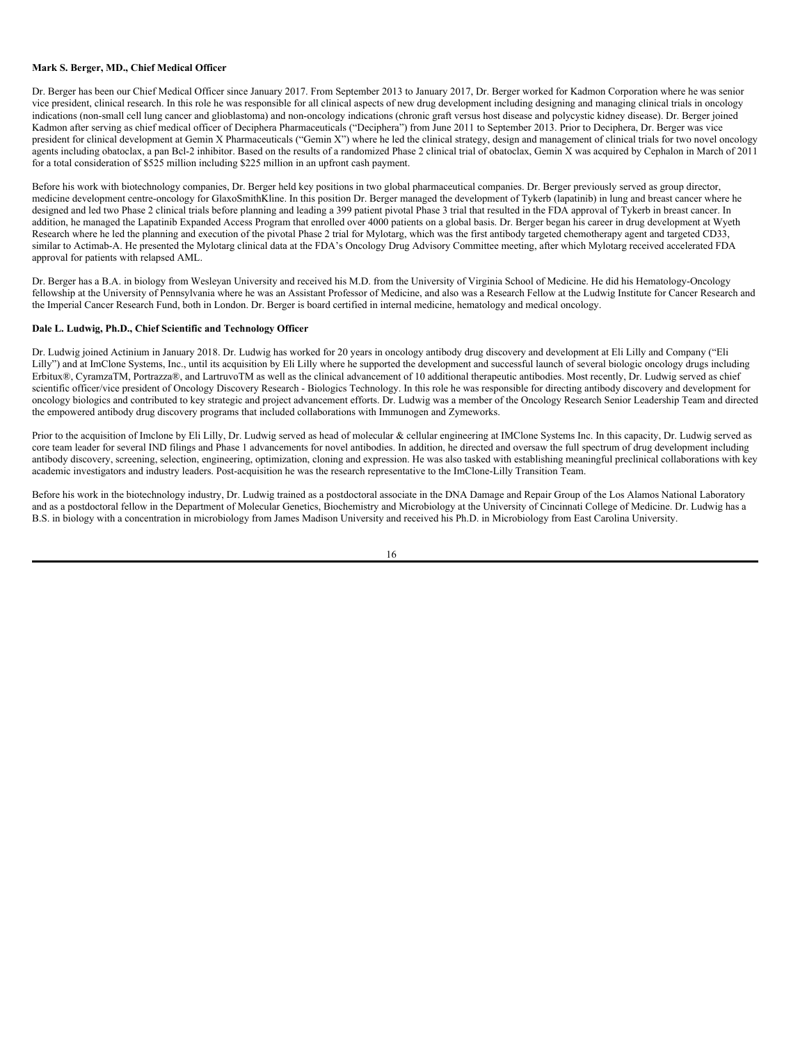#### **Mark S. Berger, MD., Chief Medical Officer**

Dr. Berger has been our Chief Medical Officer since January 2017. From September 2013 to January 2017, Dr. Berger worked for Kadmon Corporation where he was senior vice president, clinical research. In this role he was responsible for all clinical aspects of new drug development including designing and managing clinical trials in oncology indications (non-small cell lung cancer and glioblastoma) and non-oncology indications (chronic graft versus host disease and polycystic kidney disease). Dr. Berger joined Kadmon after serving as chief medical officer of Deciphera Pharmaceuticals ("Deciphera") from June 2011 to September 2013. Prior to Deciphera, Dr. Berger was vice president for clinical development at Gemin X Pharmaceuticals ("Gemin X") where he led the clinical strategy, design and management of clinical trials for two novel oncology agents including obatoclax, a pan Bcl-2 inhibitor. Based on the results of a randomized Phase 2 clinical trial of obatoclax, Gemin X was acquired by Cephalon in March of 2011 for a total consideration of \$525 million including \$225 million in an upfront cash payment.

Before his work with biotechnology companies, Dr. Berger held key positions in two global pharmaceutical companies. Dr. Berger previously served as group director, medicine development centre-oncology for GlaxoSmithKline. In this position Dr. Berger managed the development of Tykerb (lapatinib) in lung and breast cancer where he designed and led two Phase 2 clinical trials before planning and leading a 399 patient pivotal Phase 3 trial that resulted in the FDA approval of Tykerb in breast cancer. In addition, he managed the Lapatinib Expanded Access Program that enrolled over 4000 patients on a global basis. Dr. Berger began his career in drug development at Wyeth Research where he led the planning and execution of the pivotal Phase 2 trial for Mylotarg, which was the first antibody targeted chemotherapy agent and targeted CD33, similar to Actimab-A. He presented the Mylotarg clinical data at the FDA's Oncology Drug Advisory Committee meeting, after which Mylotarg received accelerated FDA approval for patients with relapsed AML.

Dr. Berger has a B.A. in biology from Wesleyan University and received his M.D. from the University of Virginia School of Medicine. He did his Hematology-Oncology fellowship at the University of Pennsylvania where he was an Assistant Professor of Medicine, and also was a Research Fellow at the Ludwig Institute for Cancer Research and the Imperial Cancer Research Fund, both in London. Dr. Berger is board certified in internal medicine, hematology and medical oncology.

### **Dale L. Ludwig, Ph.D., Chief Scientific and Technology Officer**

Dr. Ludwig joined Actinium in January 2018. Dr. Ludwig has worked for 20 years in oncology antibody drug discovery and development at Eli Lilly and Company ("Eli Lilly") and at ImClone Systems, Inc., until its acquisition by Eli Lilly where he supported the development and successful launch of several biologic oncology drugs including Erbitux®, CyramzaTM, Portrazza®, and LartruvoTM as well as the clinical advancement of 10 additional therapeutic antibodies. Most recently, Dr. Ludwig served as chief scientific officer/vice president of Oncology Discovery Research - Biologics Technology. In this role he was responsible for directing antibody discovery and development for oncology biologics and contributed to key strategic and project advancement efforts. Dr. Ludwig was a member of the Oncology Research Senior Leadership Team and directed the empowered antibody drug discovery programs that included collaborations with Immunogen and Zymeworks.

Prior to the acquisition of Imclone by Eli Lilly, Dr. Ludwig served as head of molecular & cellular engineering at IMClone Systems Inc. In this capacity, Dr. Ludwig served as core team leader for several IND filings and Phase 1 advancements for novel antibodies. In addition, he directed and oversaw the full spectrum of drug development including antibody discovery, screening, selection, engineering, optimization, cloning and expression. He was also tasked with establishing meaningful preclinical collaborations with key academic investigators and industry leaders. Post-acquisition he was the research representative to the ImClone-Lilly Transition Team.

Before his work in the biotechnology industry, Dr. Ludwig trained as a postdoctoral associate in the DNA Damage and Repair Group of the Los Alamos National Laboratory and as a postdoctoral fellow in the Department of Molecular Genetics, Biochemistry and Microbiology at the University of Cincinnati College of Medicine. Dr. Ludwig has a B.S. in biology with a concentration in microbiology from James Madison University and received his Ph.D. in Microbiology from East Carolina University.

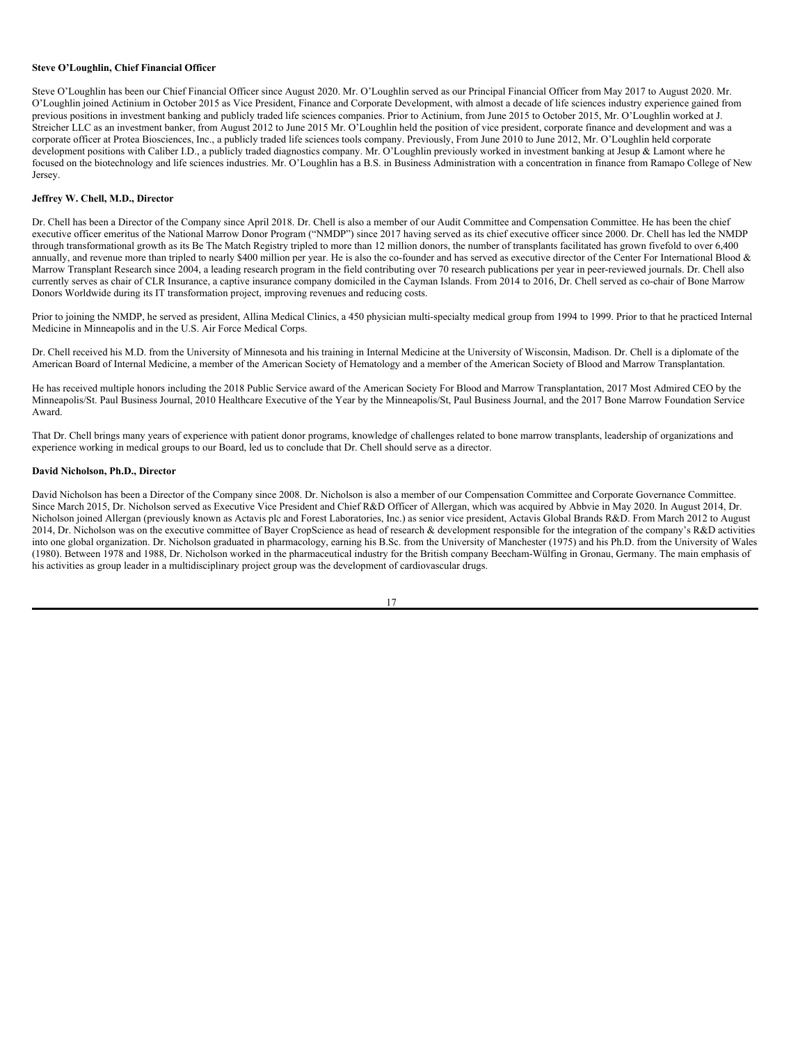#### **Steve O'Loughlin, Chief Financial Officer**

Steve O'Loughlin has been our Chief Financial Officer since August 2020. Mr. O'Loughlin served as our Principal Financial Officer from May 2017 to August 2020. Mr. O'Loughlin joined Actinium in October 2015 as Vice President, Finance and Corporate Development, with almost a decade of life sciences industry experience gained from previous positions in investment banking and publicly traded life sciences companies. Prior to Actinium, from June 2015 to October 2015, Mr. O'Loughlin worked at J. Streicher LLC as an investment banker, from August 2012 to June 2015 Mr. O'Loughlin held the position of vice president, corporate finance and development and was a corporate officer at Protea Biosciences, Inc., a publicly traded life sciences tools company. Previously, From June 2010 to June 2012, Mr. O'Loughlin held corporate development positions with Caliber I.D., a publicly traded diagnostics company. Mr. O'Loughlin previously worked in investment banking at Jesup & Lamont where he focused on the biotechnology and life sciences industries. Mr. O'Loughlin has a B.S. in Business Administration with a concentration in finance from Ramapo College of New Jersey.

### **Jeffrey W. Chell, M.D., Director**

Dr. Chell has been a Director of the Company since April 2018. Dr. Chell is also a member of our Audit Committee and Compensation Committee. He has been the chief executive officer emeritus of the National Marrow Donor Program ("NMDP") since 2017 having served as its chief executive officer since 2000. Dr. Chell has led the NMDP through transformational growth as its Be The Match Registry tripled to more than 12 million donors, the number of transplants facilitated has grown fivefold to over 6,400 annually, and revenue more than tripled to nearly \$400 million per year. He is also the co-founder and has served as executive director of the Center For International Blood  $\&$ Marrow Transplant Research since 2004, a leading research program in the field contributing over 70 research publications per year in peer-reviewed journals. Dr. Chell also currently serves as chair of CLR Insurance, a captive insurance company domiciled in the Cayman Islands. From 2014 to 2016, Dr. Chell served as co-chair of Bone Marrow Donors Worldwide during its IT transformation project, improving revenues and reducing costs.

Prior to joining the NMDP, he served as president, Allina Medical Clinics, a 450 physician multi-specialty medical group from 1994 to 1999. Prior to that he practiced Internal Medicine in Minneapolis and in the U.S. Air Force Medical Corps.

Dr. Chell received his M.D. from the University of Minnesota and his training in Internal Medicine at the University of Wisconsin, Madison. Dr. Chell is a diplomate of the American Board of Internal Medicine, a member of the American Society of Hematology and a member of the American Society of Blood and Marrow Transplantation.

He has received multiple honors including the 2018 Public Service award of the American Society For Blood and Marrow Transplantation, 2017 Most Admired CEO by the Minneapolis/St. Paul Business Journal, 2010 Healthcare Executive of the Year by the Minneapolis/St, Paul Business Journal, and the 2017 Bone Marrow Foundation Service Award.

That Dr. Chell brings many years of experience with patient donor programs, knowledge of challenges related to bone marrow transplants, leadership of organizations and experience working in medical groups to our Board, led us to conclude that Dr. Chell should serve as a director.

### **David Nicholson, Ph.D., Director**

David Nicholson has been a Director of the Company since 2008. Dr. Nicholson is also a member of our Compensation Committee and Corporate Governance Committee. Since March 2015, Dr. Nicholson served as Executive Vice President and Chief R&D Officer of Allergan, which was acquired by Abbvie in May 2020. In August 2014, Dr. Nicholson joined Allergan (previously known as Actavis plc and Forest Laboratories, Inc.) as senior vice president, Actavis Global Brands R&D. From March 2012 to August 2014, Dr. Nicholson was on the executive committee of Bayer CropScience as head of research & development responsible for the integration of the company's R&D activities into one global organization. Dr. Nicholson graduated in pharmacology, earning his B.Sc. from the University of Manchester (1975) and his Ph.D. from the University of Wales (1980). Between 1978 and 1988, Dr. Nicholson worked in the pharmaceutical industry for the British company Beecham-Wülfing in Gronau, Germany. The main emphasis of his activities as group leader in a multidisciplinary project group was the development of cardiovascular drugs.

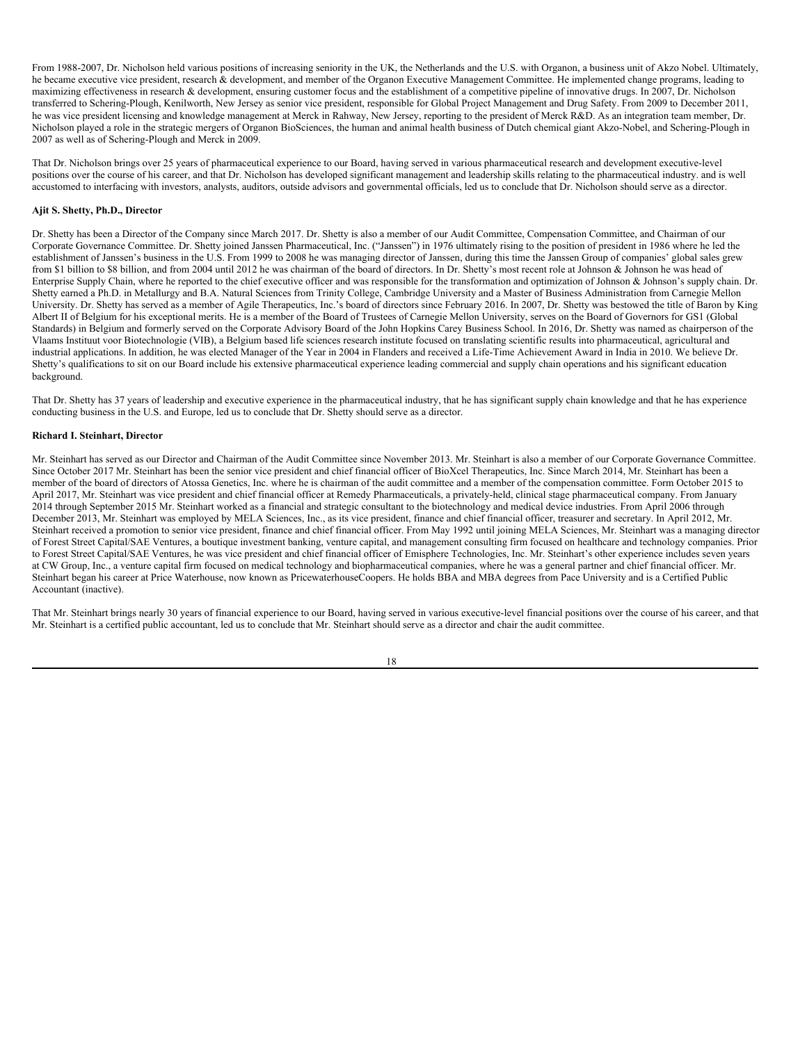From 1988-2007, Dr. Nicholson held various positions of increasing seniority in the UK, the Netherlands and the U.S. with Organon, a business unit of Akzo Nobel. Ultimately, he became executive vice president, research & development, and member of the Organon Executive Management Committee. He implemented change programs, leading to maximizing effectiveness in research & development, ensuring customer focus and the establishment of a competitive pipeline of innovative drugs. In 2007, Dr. Nicholson transferred to Schering-Plough, Kenilworth, New Jersey as senior vice president, responsible for Global Project Management and Drug Safety. From 2009 to December 2011, he was vice president licensing and knowledge management at Merck in Rahway, New Jersey, reporting to the president of Merck R&D. As an integration team member, Dr. Nicholson played a role in the strategic mergers of Organon BioSciences, the human and animal health business of Dutch chemical giant Akzo-Nobel, and Schering-Plough in 2007 as well as of Schering-Plough and Merck in 2009.

That Dr. Nicholson brings over 25 years of pharmaceutical experience to our Board, having served in various pharmaceutical research and development executive-level positions over the course of his career, and that Dr. Nicholson has developed significant management and leadership skills relating to the pharmaceutical industry. and is well accustomed to interfacing with investors, analysts, auditors, outside advisors and governmental officials, led us to conclude that Dr. Nicholson should serve as a director.

### **Ajit S. Shetty, Ph.D., Director**

Dr. Shetty has been a Director of the Company since March 2017. Dr. Shetty is also a member of our Audit Committee, Compensation Committee, and Chairman of our Corporate Governance Committee. Dr. Shetty joined Janssen Pharmaceutical, Inc. ("Janssen") in 1976 ultimately rising to the position of president in 1986 where he led the establishment of Janssen's business in the U.S. From 1999 to 2008 he was managing director of Janssen, during this time the Janssen Group of companies' global sales grew from \$1 billion to \$8 billion, and from 2004 until 2012 he was chairman of the board of directors. In Dr. Shetty's most recent role at Johnson & Johnson he was head of Enterprise Supply Chain, where he reported to the chief executive officer and was responsible for the transformation and optimization of Johnson & Johnson's supply chain. Dr. Shetty earned a Ph.D. in Metallurgy and B.A. Natural Sciences from Trinity College, Cambridge University and a Master of Business Administration from Carnegie Mellon University. Dr. Shetty has served as a member of Agile Therapeutics, Inc.'s board of directors since February 2016. In 2007, Dr. Shetty was bestowed the title of Baron by King Albert II of Belgium for his exceptional merits. He is a member of the Board of Trustees of Carnegie Mellon University, serves on the Board of Governors for GS1 (Global Standards) in Belgium and formerly served on the Corporate Advisory Board of the John Hopkins Carey Business School. In 2016, Dr. Shetty was named as chairperson of the Vlaams Instituut voor Biotechnologie (VIB), a Belgium based life sciences research institute focused on translating scientific results into pharmaceutical, agricultural and industrial applications. In addition, he was elected Manager of the Year in 2004 in Flanders and received a Life-Time Achievement Award in India in 2010. We believe Dr. Shetty's qualifications to sit on our Board include his extensive pharmaceutical experience leading commercial and supply chain operations and his significant education background.

That Dr. Shetty has 37 years of leadership and executive experience in the pharmaceutical industry, that he has significant supply chain knowledge and that he has experience conducting business in the U.S. and Europe, led us to conclude that Dr. Shetty should serve as a director.

### **Richard I. Steinhart, Director**

Mr. Steinhart has served as our Director and Chairman of the Audit Committee since November 2013. Mr. Steinhart is also a member of our Corporate Governance Committee. Since October 2017 Mr. Steinhart has been the senior vice president and chief financial officer of BioXcel Therapeutics, Inc. Since March 2014, Mr. Steinhart has been a member of the board of directors of Atossa Genetics, Inc. where he is chairman of the audit committee and a member of the compensation committee. Form October 2015 to April 2017, Mr. Steinhart was vice president and chief financial officer at Remedy Pharmaceuticals, a privately-held, clinical stage pharmaceutical company. From January 2014 through September 2015 Mr. Steinhart worked as a financial and strategic consultant to the biotechnology and medical device industries. From April 2006 through December 2013, Mr. Steinhart was employed by MELA Sciences, Inc., as its vice president, finance and chief financial officer, treasurer and secretary. In April 2012, Mr. Steinhart received a promotion to senior vice president, finance and chief financial officer. From May 1992 until joining MELA Sciences, Mr. Steinhart was a managing director of Forest Street Capital/SAE Ventures, a boutique investment banking, venture capital, and management consulting firm focused on healthcare and technology companies. Prior to Forest Street Capital/SAE Ventures, he was vice president and chief financial officer of Emisphere Technologies, Inc. Mr. Steinhart's other experience includes seven years at CW Group, Inc., a venture capital firm focused on medical technology and biopharmaceutical companies, where he was a general partner and chief financial officer. Mr. Steinhart began his career at Price Waterhouse, now known as PricewaterhouseCoopers. He holds BBA and MBA degrees from Pace University and is a Certified Public Accountant (inactive).

That Mr. Steinhart brings nearly 30 years of financial experience to our Board, having served in various executive-level financial positions over the course of his career, and that Mr. Steinhart is a certified public accountant, led us to conclude that Mr. Steinhart should serve as a director and chair the audit committee.

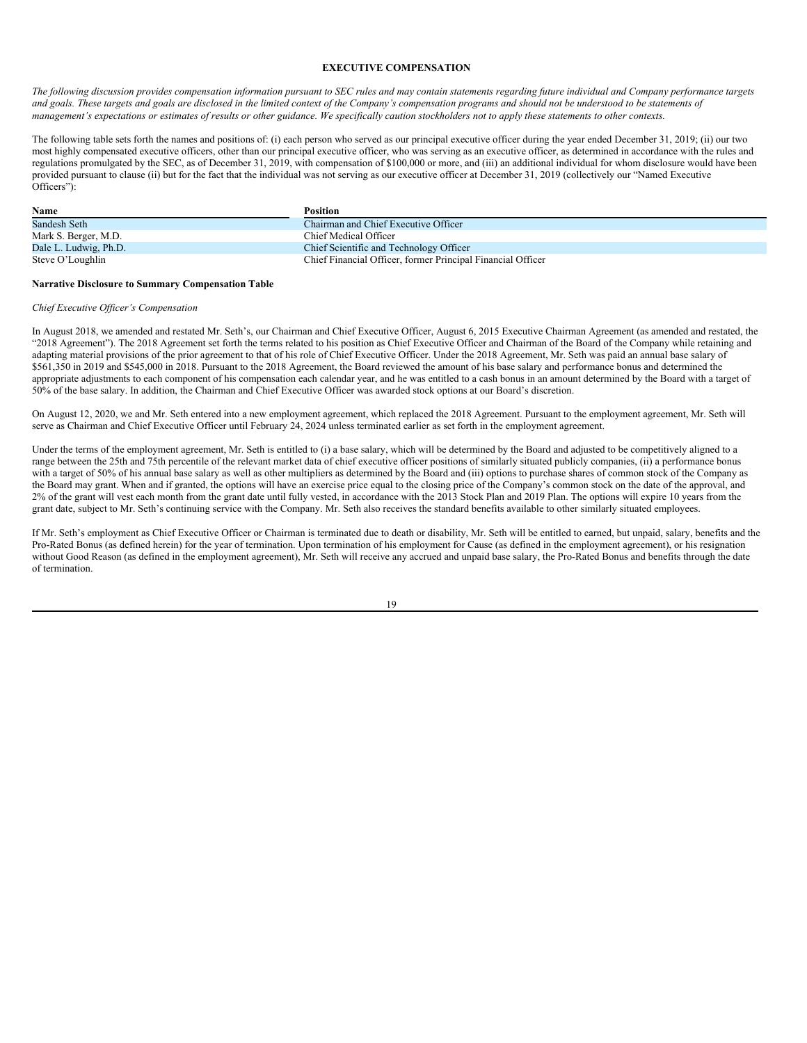### <span id="page-23-0"></span>**EXECUTIVE COMPENSATION**

The following discussion provides compensation information pursuant to SEC rules and may contain statements regarding future individual and Company performance targets and goals. These targets and goals are disclosed in the limited context of the Company's compensation programs and should not be understood to be statements of management's expectations or estimates of results or other guidance. We specifically caution stockholders not to apply these statements to other contexts.

The following table sets forth the names and positions of: (i) each person who served as our principal executive officer during the year ended December 31, 2019; (ii) our two most highly compensated executive officers, other than our principal executive officer, who was serving as an executive officer, as determined in accordance with the rules and regulations promulgated by the SEC, as of December 31, 2019, with compensation of \$100,000 or more, and (iii) an additional individual for whom disclosure would have been provided pursuant to clause (ii) but for the fact that the individual was not serving as our executive officer at December 31, 2019 (collectively our "Named Executive Officers"):

| Name                  | <b>Position</b>                                             |
|-----------------------|-------------------------------------------------------------|
| Sandesh Seth          | Chairman and Chief Executive Officer                        |
| Mark S. Berger, M.D.  | Chief Medical Officer                                       |
| Dale L. Ludwig, Ph.D. | Chief Scientific and Technology Officer                     |
| Steve O'Loughlin      | Chief Financial Officer, former Principal Financial Officer |

#### **Narrative Disclosure to Summary Compensation Table**

#### *Chief Executive Of icer's Compensation*

In August 2018, we amended and restated Mr. Seth's, our Chairman and Chief Executive Officer, August 6, 2015 Executive Chairman Agreement (as amended and restated, the "2018 Agreement"). The 2018 Agreement set forth the terms related to his position as Chief Executive Officer and Chairman of the Board of the Company while retaining and adapting material provisions of the prior agreement to that of his role of Chief Executive Officer. Under the 2018 Agreement, Mr. Seth was paid an annual base salary of \$561,350 in 2019 and \$545,000 in 2018. Pursuant to the 2018 Agreement, the Board reviewed the amount of his base salary and performance bonus and determined the appropriate adjustments to each component of his compensation each calendar year, and he was entitled to a cash bonus in an amount determined by the Board with a target of 50% of the base salary. In addition, the Chairman and Chief Executive Officer was awarded stock options at our Board's discretion.

On August 12, 2020, we and Mr. Seth entered into a new employment agreement, which replaced the 2018 Agreement. Pursuant to the employment agreement, Mr. Seth will serve as Chairman and Chief Executive Officer until February 24, 2024 unless terminated earlier as set forth in the employment agreement.

Under the terms of the employment agreement, Mr. Seth is entitled to (i) a base salary, which will be determined by the Board and adjusted to be competitively aligned to a range between the 25th and 75th percentile of the relevant market data of chief executive officer positions of similarly situated publicly companies, (ii) a performance bonus with a target of 50% of his annual base salary as well as other multipliers as determined by the Board and (iii) options to purchase shares of common stock of the Company as the Board may grant. When and if granted, the options will have an exercise price equal to the closing price of the Company's common stock on the date of the approval, and 2% of the grant will vest each month from the grant date until fully vested, in accordance with the 2013 Stock Plan and 2019 Plan. The options will expire 10 years from the grant date, subject to Mr. Seth's continuing service with the Company. Mr. Seth also receives the standard benefits available to other similarly situated employees.

If Mr. Seth's employment as Chief Executive Officer or Chairman is terminated due to death or disability, Mr. Seth will be entitled to earned, but unpaid, salary, benefits and the Pro-Rated Bonus (as defined herein) for the year of termination. Upon termination of his employment for Cause (as defined in the employment agreement), or his resignation without Good Reason (as defined in the employment agreement), Mr. Seth will receive any accrued and unpaid base salary, the Pro-Rated Bonus and benefits through the date of termination.

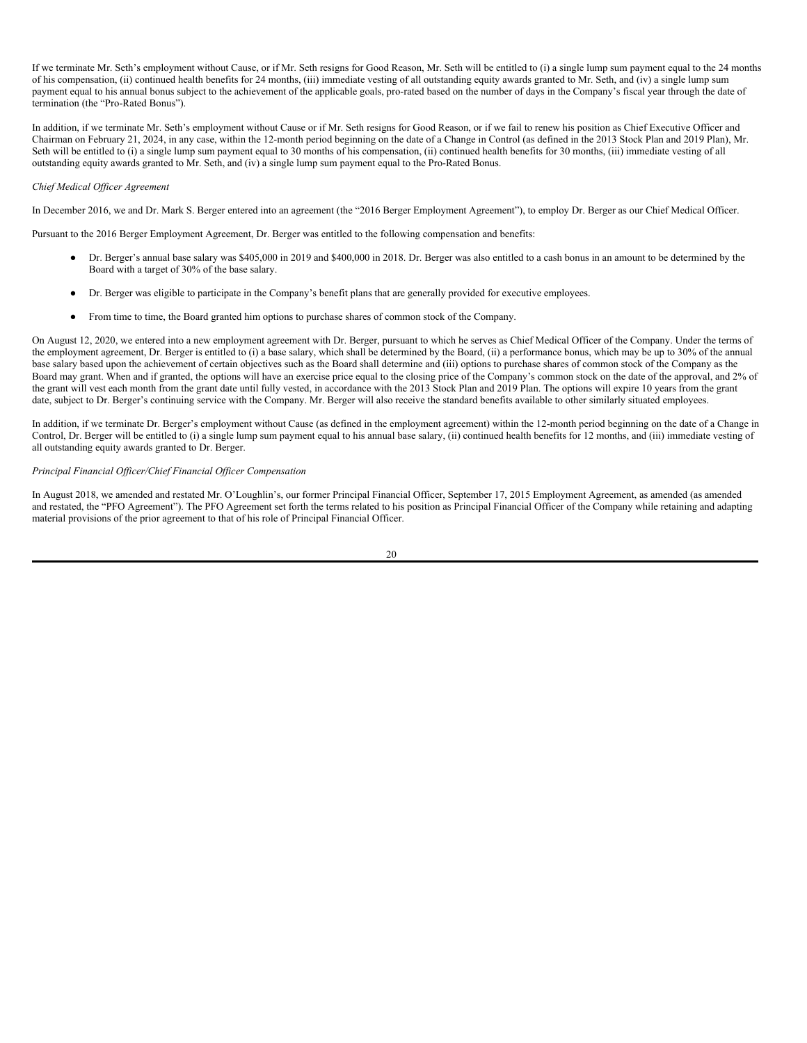If we terminate Mr. Seth's employment without Cause, or if Mr. Seth resigns for Good Reason, Mr. Seth will be entitled to (i) a single lump sum payment equal to the 24 months of his compensation, (ii) continued health benefits for 24 months, (iii) immediate vesting of all outstanding equity awards granted to Mr. Seth, and (iv) a single lump sum payment equal to his annual bonus subject to the achievement of the applicable goals, pro-rated based on the number of days in the Company's fiscal year through the date of termination (the "Pro-Rated Bonus").

In addition, if we terminate Mr. Seth's employment without Cause or if Mr. Seth resigns for Good Reason, or if we fail to renew his position as Chief Executive Officer and Chairman on February 21, 2024, in any case, within the 12-month period beginning on the date of a Change in Control (as defined in the 2013 Stock Plan and 2019 Plan), Mr. Seth will be entitled to (i) a single lump sum payment equal to 30 months of his compensation, (ii) continued health benefits for 30 months, (iii) immediate vesting of all outstanding equity awards granted to Mr. Seth, and (iv) a single lump sum payment equal to the Pro-Rated Bonus.

## *Chief Medical Of icer Agreement*

In December 2016, we and Dr. Mark S. Berger entered into an agreement (the "2016 Berger Employment Agreement"), to employ Dr. Berger as our Chief Medical Officer.

Pursuant to the 2016 Berger Employment Agreement, Dr. Berger was entitled to the following compensation and benefits:

- Dr. Berger's annual base salary was \$405,000 in 2019 and \$400,000 in 2018. Dr. Berger was also entitled to a cash bonus in an amount to be determined by the Board with a target of 30% of the base salary.
- Dr. Berger was eligible to participate in the Company's benefit plans that are generally provided for executive employees.
- From time to time, the Board granted him options to purchase shares of common stock of the Company.

On August 12, 2020, we entered into a new employment agreement with Dr. Berger, pursuant to which he serves as Chief Medical Officer of the Company. Under the terms of the employment agreement, Dr. Berger is entitled to (i) a base salary, which shall be determined by the Board, (ii) a performance bonus, which may be up to 30% of the annual base salary based upon the achievement of certain objectives such as the Board shall determine and (iii) options to purchase shares of common stock of the Company as the Board may grant. When and if granted, the options will have an exercise price equal to the closing price of the Company's common stock on the date of the approval, and 2% of the grant will vest each month from the grant date until fully vested, in accordance with the 2013 Stock Plan and 2019 Plan. The options will expire 10 years from the grant date, subject to Dr. Berger's continuing service with the Company. Mr. Berger will also receive the standard benefits available to other similarly situated employees.

In addition, if we terminate Dr. Berger's employment without Cause (as defined in the employment agreement) within the 12-month period beginning on the date of a Change in Control, Dr. Berger will be entitled to (i) a single lump sum payment equal to his annual base salary, (ii) continued health benefits for 12 months, and (iii) immediate vesting of all outstanding equity awards granted to Dr. Berger.

# *Principal Financial Of icer/Chief Financial Of icer Compensation*

In August 2018, we amended and restated Mr. O'Loughlin's, our former Principal Financial Officer, September 17, 2015 Employment Agreement, as amended (as amended and restated, the "PFO Agreement"). The PFO Agreement set forth the terms related to his position as Principal Financial Officer of the Company while retaining and adapting material provisions of the prior agreement to that of his role of Principal Financial Officer.

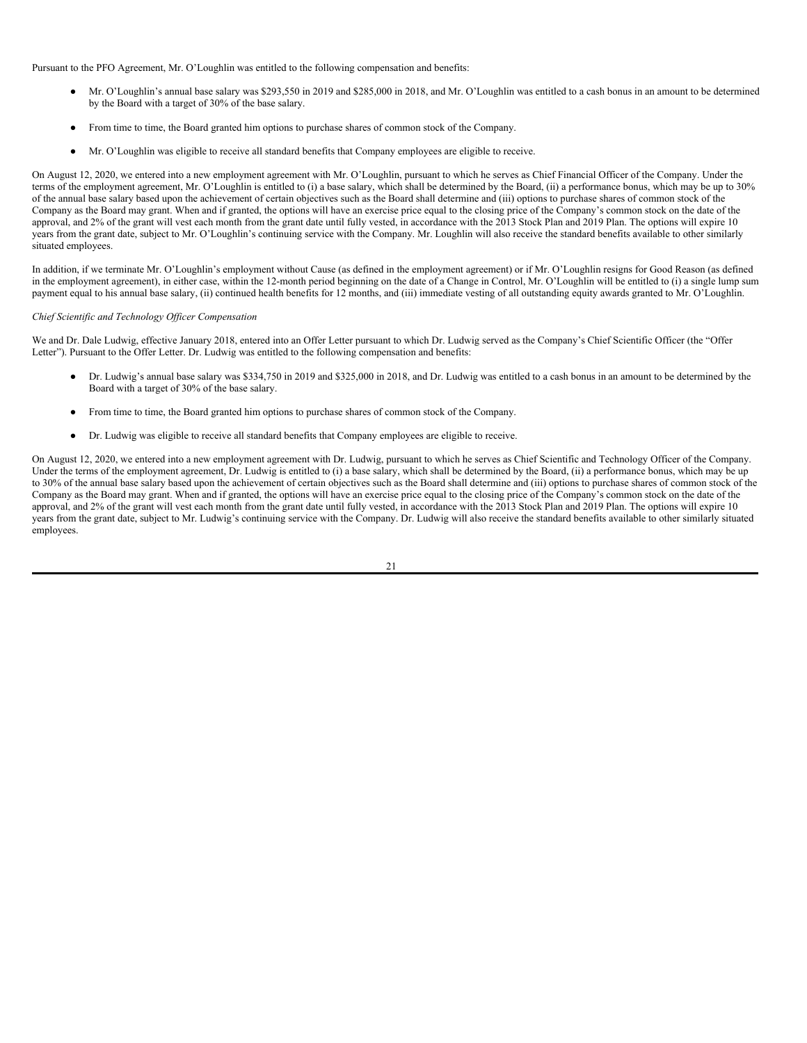Pursuant to the PFO Agreement, Mr. O'Loughlin was entitled to the following compensation and benefits:

- Mr. O'Loughlin's annual base salary was \$293,550 in 2019 and \$285,000 in 2018, and Mr. O'Loughlin was entitled to a cash bonus in an amount to be determined by the Board with a target of 30% of the base salary.
- From time to time, the Board granted him options to purchase shares of common stock of the Company.
- Mr. O'Loughlin was eligible to receive all standard benefits that Company employees are eligible to receive.

On August 12, 2020, we entered into a new employment agreement with Mr. O'Loughlin, pursuant to which he serves as Chief Financial Officer of the Company. Under the terms of the employment agreement, Mr. O'Loughlin is entitled to (i) a base salary, which shall be determined by the Board, (ii) a performance bonus, which may be up to 30% of the annual base salary based upon the achievement of certain objectives such as the Board shall determine and (iii) options to purchase shares of common stock of the Company as the Board may grant. When and if granted, the options will have an exercise price equal to the closing price of the Company's common stock on the date of the approval, and 2% of the grant will vest each month from the grant date until fully vested, in accordance with the 2013 Stock Plan and 2019 Plan. The options will expire 10 years from the grant date, subject to Mr. O'Loughlin's continuing service with the Company. Mr. Loughlin will also receive the standard benefits available to other similarly situated employees.

In addition, if we terminate Mr. O'Loughlin's employment without Cause (as defined in the employment agreement) or if Mr. O'Loughlin resigns for Good Reason (as defined in the employment agreement), in either case, within the 12-month period beginning on the date of a Change in Control, Mr. O'Loughlin will be entitled to (i) a single lump sum payment equal to his annual base salary, (ii) continued health benefits for 12 months, and (iii) immediate vesting of all outstanding equity awards granted to Mr. O'Loughlin.

## *Chief Scientific and Technology Of icer Compensation*

We and Dr. Dale Ludwig, effective January 2018, entered into an Offer Letter pursuant to which Dr. Ludwig served as the Company's Chief Scientific Officer (the "Offer Letter"). Pursuant to the Offer Letter. Dr. Ludwig was entitled to the following compensation and benefits:

- Dr. Ludwig's annual base salary was \$334,750 in 2019 and \$325,000 in 2018, and Dr. Ludwig was entitled to a cash bonus in an amount to be determined by the Board with a target of 30% of the base salary.
- From time to time, the Board granted him options to purchase shares of common stock of the Company.
- Dr. Ludwig was eligible to receive all standard benefits that Company employees are eligible to receive.

On August 12, 2020, we entered into a new employment agreement with Dr. Ludwig, pursuant to which he serves as Chief Scientific and Technology Officer of the Company. Under the terms of the employment agreement, Dr. Ludwig is entitled to (i) a base salary, which shall be determined by the Board, (ii) a performance bonus, which may be up to 30% of the annual base salary based upon the achievement of certain objectives such as the Board shall determine and (iii) options to purchase shares of common stock of the Company as the Board may grant. When and if granted, the options will have an exercise price equal to the closing price of the Company's common stock on the date of the approval, and 2% of the grant will vest each month from the grant date until fully vested, in accordance with the 2013 Stock Plan and 2019 Plan. The options will expire 10 years from the grant date, subject to Mr. Ludwig's continuing service with the Company. Dr. Ludwig will also receive the standard benefits available to other similarly situated employees.

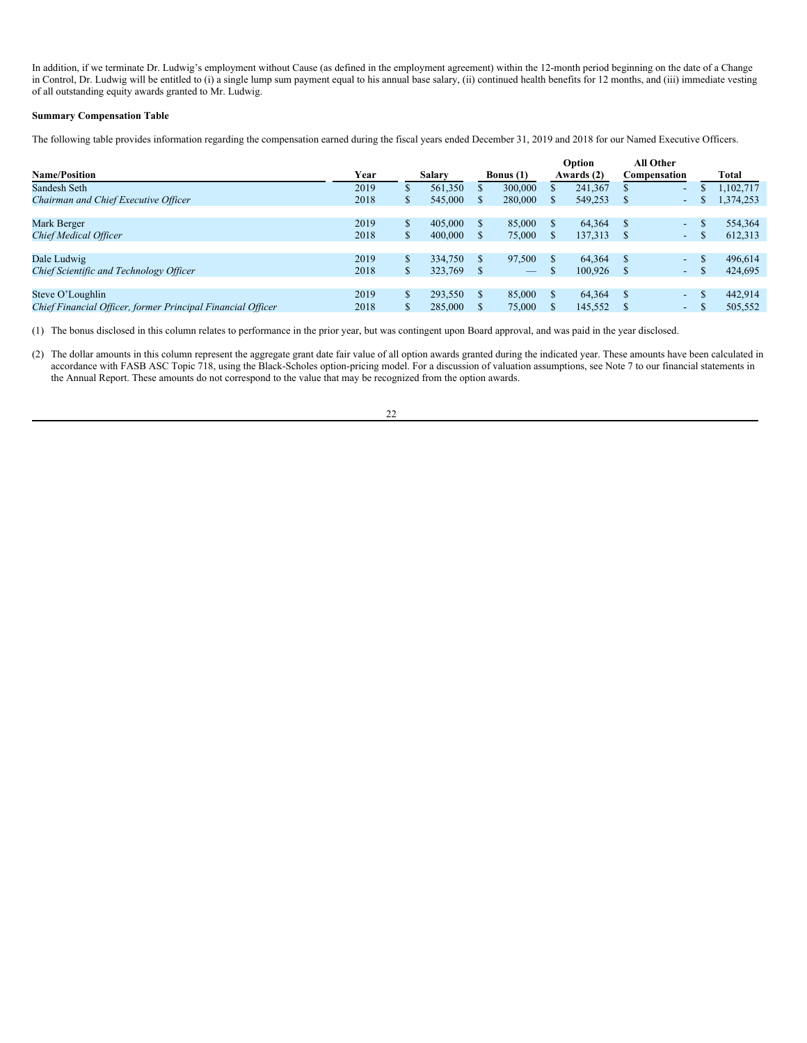In addition, if we terminate Dr. Ludwig's employment without Cause (as defined in the employment agreement) within the 12-month period beginning on the date of a Change in Control, Dr. Ludwig will be entitled to (i) a single lump sum payment equal to his annual base salary, (ii) continued health benefits for 12 months, and (iii) immediate vesting of all outstanding equity awards granted to Mr. Ludwig.

# **Summary Compensation Table**

The following table provides information regarding the compensation earned during the fiscal years ended December 31, 2019 and 2018 for our Named Executive Officers.

|                                                             |      |   |         |                          |    | Option     | <b>All Other</b> |                 |          |           |
|-------------------------------------------------------------|------|---|---------|--------------------------|----|------------|------------------|-----------------|----------|-----------|
| <b>Name/Position</b>                                        | Year |   | Salary  | <b>Bonus</b> (1)         |    | Awards (2) | Compensation     |                 |          | Total     |
| Sandesh Seth                                                | 2019 | S | 561.350 | 300,000                  |    | 241,367    |                  | ٠               |          | 1,102,717 |
| Chairman and Chief Executive Officer                        | 2018 | S | 545,000 | 280,000                  | S  | 549,253    |                  | $\sim$          | æ        | 1,374,253 |
|                                                             |      |   |         |                          |    |            |                  |                 |          |           |
| Mark Berger                                                 | 2019 | S | 405,000 | 85,000                   | \$ | 64.364     | - 8              | $\sim$ $-$      |          | 554,364   |
| Chief Medical Officer                                       | 2018 | S | 400,000 | 75,000                   | S. | 137,313    |                  | $\sim 100$      | D        | 612,313   |
|                                                             |      |   |         |                          |    |            |                  |                 |          |           |
| Dale Ludwig                                                 | 2019 | S | 334,750 | 97,500                   | \$ | 64.364     |                  | $\sim$ $-$      |          | 496,614   |
| Chief Scientific and Technology Officer                     | 2018 | S | 323,769 | $\overline{\phantom{m}}$ |    | 100,926    |                  | $\sim$ 10 $\,$  | <b>J</b> | 424,695   |
|                                                             |      |   |         |                          |    |            |                  |                 |          |           |
| Steve O'Loughlin                                            | 2019 | S | 293,550 | 85,000                   | \$ | 64.364     | -S               | $\sim$ 10 $\pm$ |          | 442,914   |
| Chief Financial Officer, former Principal Financial Officer | 2018 | S | 285,000 | 75,000                   |    | 145,552    |                  | $-$             |          | 505,552   |

(1) The bonus disclosed in this column relates to performance in the prior year, but was contingent upon Board approval, and was paid in the year disclosed.

(2) The dollar amounts in this column represent the aggregate grant date fair value of all option awards granted during the indicated year. These amounts have been calculated in accordance with FASB ASC Topic 718, using the Black-Scholes option-pricing model. For a discussion of valuation assumptions, see Note 7 to our financial statements in the Annual Report. These amounts do not correspond to the value that may be recognized from the option awards.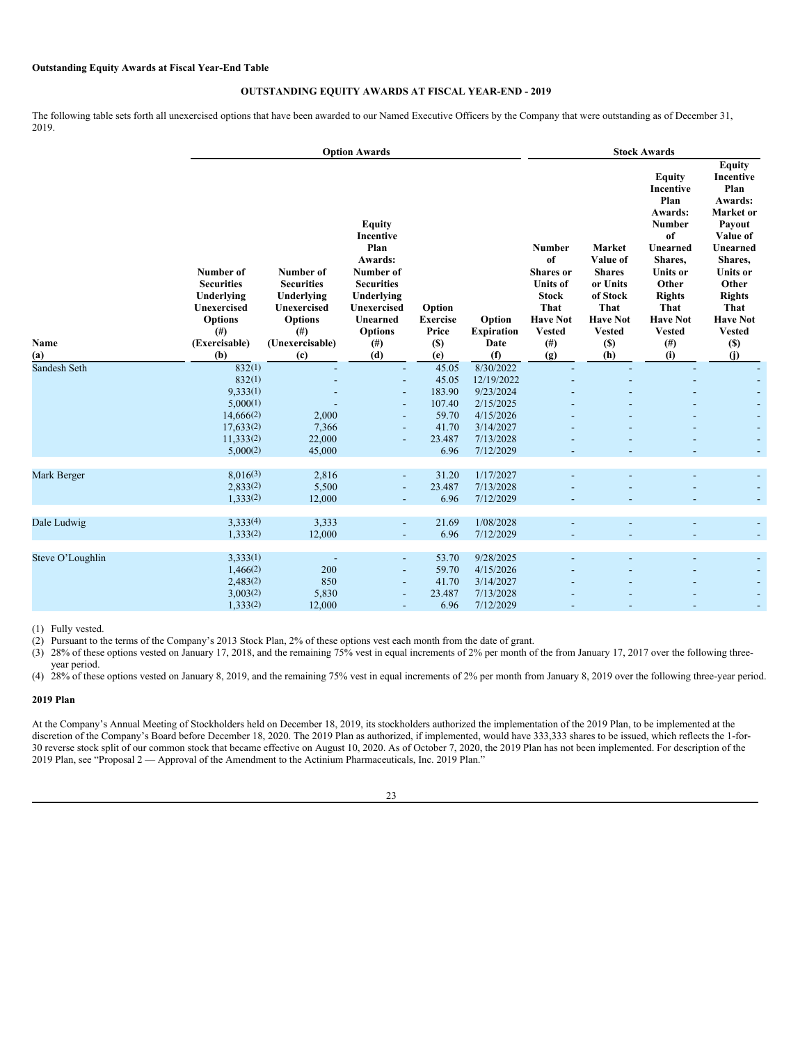# **OUTSTANDING EQUITY AWARDS AT FISCAL YEAR-END - 2019**

The following table sets forth all unexercised options that have been awarded to our Named Executive Officers by the Company that were outstanding as of December 31, 2019.

|                  |                                                                                                                           |                                                                                                                      | <b>Option Awards</b>                                                                                                                                          | <b>Stock Awards</b>                                |                                            |                                                                                                                                         |                                                                                                                          |                                                                                                                                                                                                       |                                                                                                                                                                                                                  |  |
|------------------|---------------------------------------------------------------------------------------------------------------------------|----------------------------------------------------------------------------------------------------------------------|---------------------------------------------------------------------------------------------------------------------------------------------------------------|----------------------------------------------------|--------------------------------------------|-----------------------------------------------------------------------------------------------------------------------------------------|--------------------------------------------------------------------------------------------------------------------------|-------------------------------------------------------------------------------------------------------------------------------------------------------------------------------------------------------|------------------------------------------------------------------------------------------------------------------------------------------------------------------------------------------------------------------|--|
| Name<br>(a)      | Number of<br><b>Securities</b><br>Underlying<br><b>Unexercised</b><br><b>Options</b><br>$($ # $)$<br>(Exercisable)<br>(b) | Number of<br><b>Securities</b><br>Underlying<br>Unexercised<br><b>Options</b><br>$($ # $)$<br>(Unexercisable)<br>(c) | <b>Equity</b><br>Incentive<br>Plan<br>Awards:<br>Number of<br><b>Securities</b><br>Underlying<br>Unexercised<br>Unearned<br><b>Options</b><br>$^{(#)}$<br>(d) | Option<br><b>Exercise</b><br>Price<br>$(S)$<br>(e) | Option<br><b>Expiration</b><br>Date<br>(f) | <b>Number</b><br>of<br><b>Shares</b> or<br><b>Units of</b><br><b>Stock</b><br>That<br><b>Have Not</b><br><b>Vested</b><br>$(\#)$<br>(g) | Market<br>Value of<br><b>Shares</b><br>or Units<br>of Stock<br>That<br><b>Have Not</b><br><b>Vested</b><br>$(\$)$<br>(h) | <b>Equity</b><br>Incentive<br>Plan<br>Awards:<br><b>Number</b><br>of<br>Unearned<br>Shares,<br><b>Units or</b><br>Other<br><b>Rights</b><br>That<br><b>Have Not</b><br><b>Vested</b><br>$(\#)$<br>(i) | <b>Equity</b><br>Incentive<br>Plan<br>Awards:<br>Market or<br>Payout<br>Value of<br>Unearned<br>Shares,<br><b>Units or</b><br>Other<br><b>Rights</b><br>That<br><b>Have Not</b><br><b>Vested</b><br>$(S)$<br>(i) |  |
| Sandesh Seth     | 832(1)                                                                                                                    |                                                                                                                      |                                                                                                                                                               | 45.05                                              | 8/30/2022                                  |                                                                                                                                         |                                                                                                                          |                                                                                                                                                                                                       |                                                                                                                                                                                                                  |  |
|                  | 832(1)                                                                                                                    |                                                                                                                      |                                                                                                                                                               | 45.05                                              | 12/19/2022                                 |                                                                                                                                         |                                                                                                                          |                                                                                                                                                                                                       |                                                                                                                                                                                                                  |  |
|                  | 9,333(1)                                                                                                                  |                                                                                                                      |                                                                                                                                                               | 183.90                                             | 9/23/2024                                  |                                                                                                                                         |                                                                                                                          |                                                                                                                                                                                                       |                                                                                                                                                                                                                  |  |
|                  | 5,000(1)                                                                                                                  |                                                                                                                      |                                                                                                                                                               | 107.40                                             | 2/15/2025                                  |                                                                                                                                         |                                                                                                                          |                                                                                                                                                                                                       |                                                                                                                                                                                                                  |  |
|                  | 14,666(2)                                                                                                                 | 2,000                                                                                                                |                                                                                                                                                               | 59.70                                              | 4/15/2026                                  |                                                                                                                                         |                                                                                                                          |                                                                                                                                                                                                       |                                                                                                                                                                                                                  |  |
|                  | 17,633(2)                                                                                                                 | 7,366                                                                                                                |                                                                                                                                                               | 41.70                                              | 3/14/2027                                  |                                                                                                                                         |                                                                                                                          |                                                                                                                                                                                                       |                                                                                                                                                                                                                  |  |
|                  | 11,333(2)                                                                                                                 | 22,000                                                                                                               |                                                                                                                                                               | 23.487                                             | 7/13/2028                                  |                                                                                                                                         |                                                                                                                          |                                                                                                                                                                                                       |                                                                                                                                                                                                                  |  |
|                  | 5,000(2)                                                                                                                  | 45,000                                                                                                               |                                                                                                                                                               | 6.96                                               | 7/12/2029                                  |                                                                                                                                         |                                                                                                                          |                                                                                                                                                                                                       |                                                                                                                                                                                                                  |  |
| Mark Berger      | 8,016(3)                                                                                                                  | 2,816                                                                                                                | $\blacksquare$                                                                                                                                                | 31.20                                              | 1/17/2027                                  |                                                                                                                                         |                                                                                                                          |                                                                                                                                                                                                       |                                                                                                                                                                                                                  |  |
|                  | 2,833(2)                                                                                                                  | 5,500                                                                                                                | $\overline{\phantom{a}}$                                                                                                                                      | 23.487                                             | 7/13/2028                                  |                                                                                                                                         |                                                                                                                          |                                                                                                                                                                                                       |                                                                                                                                                                                                                  |  |
|                  | 1,333(2)                                                                                                                  | 12,000                                                                                                               | $\overline{\phantom{a}}$                                                                                                                                      | 6.96                                               | 7/12/2029                                  |                                                                                                                                         |                                                                                                                          |                                                                                                                                                                                                       |                                                                                                                                                                                                                  |  |
| Dale Ludwig      | 3,333(4)                                                                                                                  | 3,333                                                                                                                | $\blacksquare$                                                                                                                                                | 21.69                                              | 1/08/2028                                  |                                                                                                                                         |                                                                                                                          |                                                                                                                                                                                                       |                                                                                                                                                                                                                  |  |
|                  | 1,333(2)                                                                                                                  | 12,000                                                                                                               |                                                                                                                                                               | 6.96                                               | 7/12/2029                                  |                                                                                                                                         |                                                                                                                          |                                                                                                                                                                                                       |                                                                                                                                                                                                                  |  |
|                  |                                                                                                                           |                                                                                                                      |                                                                                                                                                               |                                                    |                                            |                                                                                                                                         |                                                                                                                          |                                                                                                                                                                                                       |                                                                                                                                                                                                                  |  |
| Steve O'Loughlin | 3,333(1)                                                                                                                  | $\overline{\phantom{a}}$                                                                                             | $\blacksquare$                                                                                                                                                | 53.70                                              | 9/28/2025                                  |                                                                                                                                         |                                                                                                                          |                                                                                                                                                                                                       |                                                                                                                                                                                                                  |  |
|                  | 1,466(2)                                                                                                                  | 200                                                                                                                  |                                                                                                                                                               | 59.70                                              | 4/15/2026                                  |                                                                                                                                         |                                                                                                                          |                                                                                                                                                                                                       |                                                                                                                                                                                                                  |  |
|                  | 2,483(2)                                                                                                                  | 850                                                                                                                  | $\overline{\phantom{a}}$                                                                                                                                      | 41.70                                              | 3/14/2027                                  |                                                                                                                                         |                                                                                                                          |                                                                                                                                                                                                       |                                                                                                                                                                                                                  |  |
|                  | 3,003(2)                                                                                                                  | 5,830                                                                                                                |                                                                                                                                                               | 23.487                                             | 7/13/2028                                  |                                                                                                                                         |                                                                                                                          |                                                                                                                                                                                                       |                                                                                                                                                                                                                  |  |
|                  | 1,333(2)                                                                                                                  | 12,000                                                                                                               |                                                                                                                                                               | 6.96                                               | 7/12/2029                                  |                                                                                                                                         |                                                                                                                          |                                                                                                                                                                                                       |                                                                                                                                                                                                                  |  |

(1) Fully vested.

(2) Pursuant to the terms of the Company's 2013 Stock Plan, 2% of these options vest each month from the date of grant.

(3) 28% of these options vested on January 17, 2018, and the remaining 75% vest in equal increments of 2% per month of the from January 17, 2017 over the following threeyear period.

(4) 28% of these options vested on January 8, 2019, and the remaining 75% vest in equal increments of 2% per month from January 8, 2019 over the following three-year period.

## **2019 Plan**

At the Company's Annual Meeting of Stockholders held on December 18, 2019, its stockholders authorized the implementation of the 2019 Plan, to be implemented at the discretion of the Company's Board before December 18, 2020. The 2019 Plan as authorized, if implemented, would have 333,333 shares to be issued, which reflects the 1-for-30 reverse stock split of our common stock that became effective on August 10, 2020. As of October 7, 2020, the 2019 Plan has not been implemented. For description of the 2019 Plan, see "Proposal 2 — Approval of the Amendment to the Actinium Pharmaceuticals, Inc. 2019 Plan."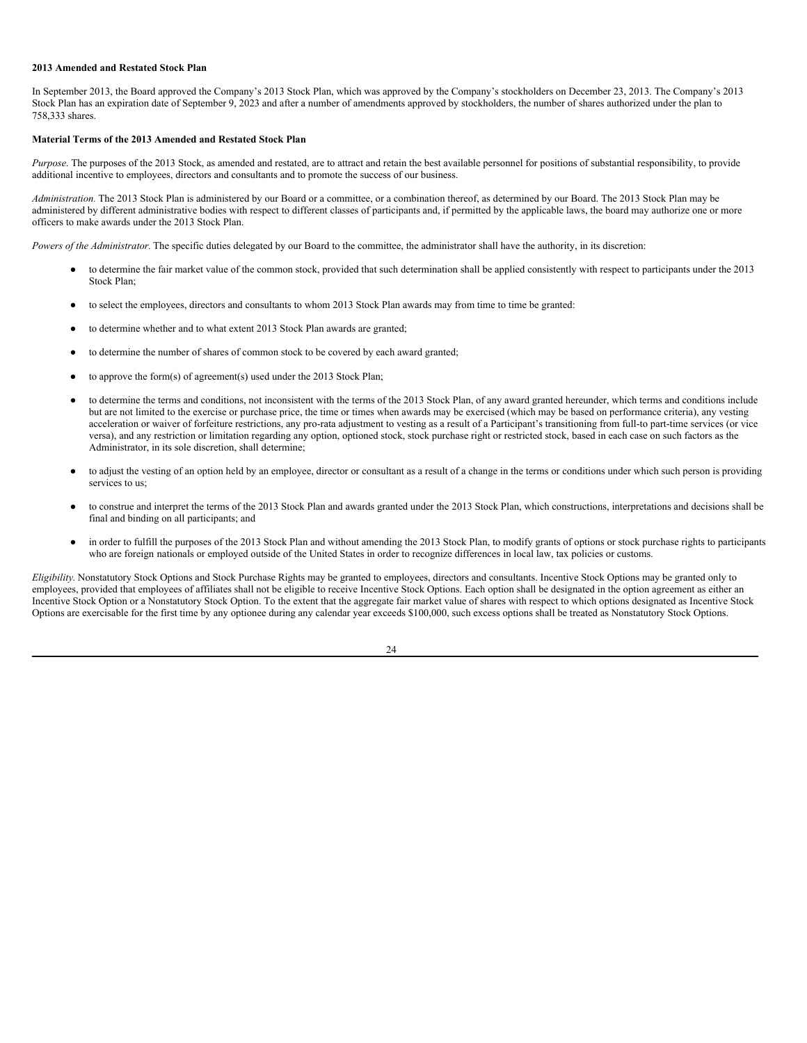### **2013 Amended and Restated Stock Plan**

In September 2013, the Board approved the Company's 2013 Stock Plan, which was approved by the Company's stockholders on December 23, 2013. The Company's 2013 Stock Plan has an expiration date of September 9, 2023 and after a number of amendments approved by stockholders, the number of shares authorized under the plan to 758,333 shares.

## **Material Terms of the 2013 Amended and Restated Stock Plan**

*Purpose*. The purposes of the 2013 Stock, as amended and restated, are to attract and retain the best available personnel for positions of substantial responsibility, to provide additional incentive to employees, directors and consultants and to promote the success of our business.

*Administration*. The 2013 Stock Plan is administered by our Board or a committee, or a combination thereof, as determined by our Board. The 2013 Stock Plan may be administered by different administrative bodies with respect to different classes of participants and, if permitted by the applicable laws, the board may authorize one or more officers to make awards under the 2013 Stock Plan.

*Powers of the Administrator.* The specific duties delegated by our Board to the committee, the administrator shall have the authority, in its discretion:

- to determine the fair market value of the common stock, provided that such determination shall be applied consistently with respect to participants under the 2013 Stock Plan;
- to select the employees, directors and consultants to whom 2013 Stock Plan awards may from time to time be granted:
- to determine whether and to what extent 2013 Stock Plan awards are granted;
- to determine the number of shares of common stock to be covered by each award granted;
- to approve the form(s) of agreement(s) used under the 2013 Stock Plan;
- to determine the terms and conditions, not inconsistent with the terms of the 2013 Stock Plan, of any award granted hereunder, which terms and conditions include but are not limited to the exercise or purchase price, the time or times when awards may be exercised (which may be based on performance criteria), any vesting acceleration or waiver of forfeiture restrictions, any pro-rata adjustment to vesting as a result of a Participant's transitioning from full-to part-time services (or vice versa), and any restriction or limitation regarding any option, optioned stock, stock purchase right or restricted stock, based in each case on such factors as the Administrator, in its sole discretion, shall determine;
- to adjust the vesting of an option held by an employee, director or consultant as a result of a change in the terms or conditions under which such person is providing services to us;
- to construe and interpret the terms of the 2013 Stock Plan and awards granted under the 2013 Stock Plan, which constructions, interpretations and decisions shall be final and binding on all participants; and
- in order to fulfill the purposes of the 2013 Stock Plan and without amending the 2013 Stock Plan, to modify grants of options or stock purchase rights to participants who are foreign nationals or employed outside of the United States in order to recognize differences in local law, tax policies or customs.

*Eligibility.* Nonstatutory Stock Options and Stock Purchase Rights may be granted to employees, directors and consultants. Incentive Stock Options may be granted only to employees, provided that employees of affiliates shall not be eligible to receive Incentive Stock Options. Each option shall be designated in the option agreement as either an Incentive Stock Option or a Nonstatutory Stock Option. To the extent that the aggregate fair market value of shares with respect to which options designated as Incentive Stock Options are exercisable for the first time by any optionee during any calendar year exceeds \$100,000, such excess options shall be treated as Nonstatutory Stock Options.

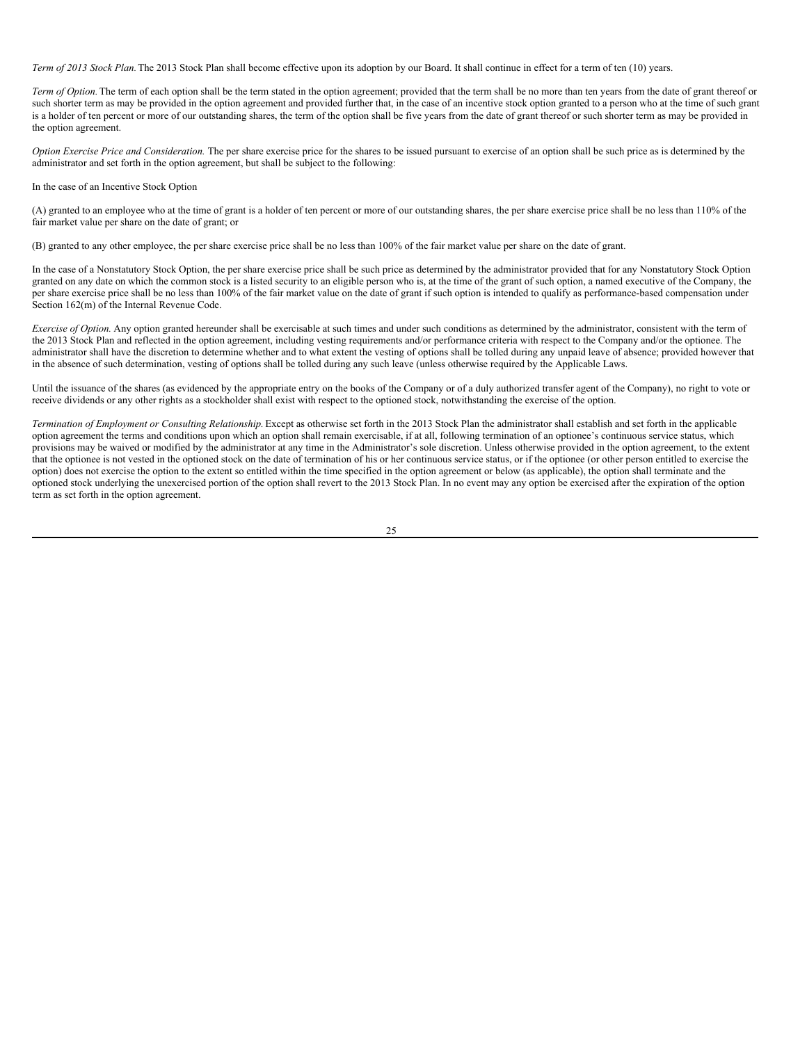*Term of 2013 Stock Plan.*The 2013 Stock Plan shall become effective upon its adoption by our Board. It shall continue in effect for a term of ten (10) years.

*Term of Option*. The term of each option shall be the term stated in the option agreement; provided that the term shall be no more than ten years from the date of grant thereof or such shorter term as may be provided in the option agreement and provided further that, in the case of an incentive stock option granted to a person who at the time of such grant is a holder of ten percent or more of our outstanding shares, the term of the option shall be five years from the date of grant thereof or such shorter term as may be provided in the option agreement.

*Option Exercise Price and Consideration.* The per share exercise price for the shares to be issued pursuant to exercise of an option shall be such price as is determined by the administrator and set forth in the option agreement, but shall be subject to the following:

In the case of an Incentive Stock Option

(A) granted to an employee who at the time of grant is a holder of ten percent or more of our outstanding shares, the per share exercise price shall be no less than 110% of the fair market value per share on the date of grant; or

(B) granted to any other employee, the per share exercise price shall be no less than 100% of the fair market value per share on the date of grant.

In the case of a Nonstatutory Stock Option, the per share exercise price shall be such price as determined by the administrator provided that for any Nonstatutory Stock Option granted on any date on which the common stock is a listed security to an eligible person who is, at the time of the grant of such option, a named executive of the Company, the per share exercise price shall be no less than 100% of the fair market value on the date of grant if such option is intended to qualify as performance-based compensation under Section 162(m) of the Internal Revenue Code.

*Exercise of Option*. Any option granted hereunder shall be exercisable at such times and under such conditions as determined by the administrator, consistent with the term of the 2013 Stock Plan and reflected in the option agreement, including vesting requirements and/or performance criteria with respect to the Company and/or the optionee. The administrator shall have the discretion to determine whether and to what extent the vesting of options shall be tolled during any unpaid leave of absence; provided however that in the absence of such determination, vesting of options shall be tolled during any such leave (unless otherwise required by the Applicable Laws.

Until the issuance of the shares (as evidenced by the appropriate entry on the books of the Company or of a duly authorized transfer agent of the Company), no right to vote or receive dividends or any other rights as a stockholder shall exist with respect to the optioned stock, notwithstanding the exercise of the option.

*Termination of Employment or Consulting Relationship.* Except as otherwise set forth in the 2013 Stock Plan the administrator shall establish and set forth in the applicable option agreement the terms and conditions upon which an option shall remain exercisable, if at all, following termination of an optionee's continuous service status, which provisions may be waived or modified by the administrator at any time in the Administrator's sole discretion. Unless otherwise provided in the option agreement, to the extent that the optionee is not vested in the optioned stock on the date of termination of his or her continuous service status, or if the optionee (or other person entitled to exercise the option) does not exercise the option to the extent so entitled within the time specified in the option agreement or below (as applicable), the option shall terminate and the optioned stock underlying the unexercised portion of the option shall revert to the 2013 Stock Plan. In no event may any option be exercised after the expiration of the option term as set forth in the option agreement.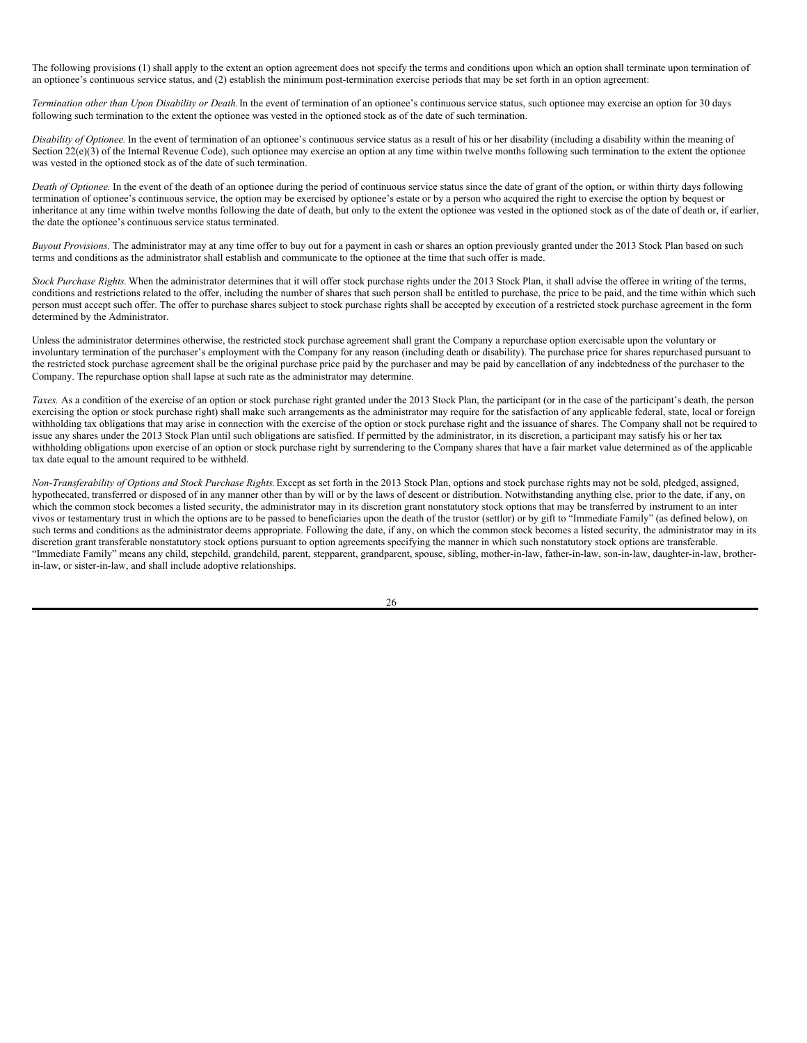The following provisions (1) shall apply to the extent an option agreement does not specify the terms and conditions upon which an option shall terminate upon termination of an optionee's continuous service status, and (2) establish the minimum post-termination exercise periods that may be set forth in an option agreement:

*Termination other than Upon Disability or Death.*In the event of termination of an optionee's continuous service status, such optionee may exercise an option for 30 days following such termination to the extent the optionee was vested in the optioned stock as of the date of such termination.

*Disability of Optionee.* In the event of termination of an optionee's continuous service status as a result of his or her disability (including a disability within the meaning of Section  $22(e)(3)$  of the Internal Revenue Code), such optionee may exercise an option at any time within twelve months following such termination to the extent the optionee was vested in the optioned stock as of the date of such termination.

*Death of Optionee.* In the event of the death of an optionee during the period of continuous service status since the date of grant of the option, or within thirty days following termination of optionee's continuous service, the option may be exercised by optionee's estate or by a person who acquired the right to exercise the option by bequest or inheritance at any time within twelve months following the date of death, but only to the extent the optionee was vested in the optioned stock as of the date of death or, if earlier, the date the optionee's continuous service status terminated.

*Buyout Provisions.* The administrator may at any time offer to buy out for a payment in cash or shares an option previously granted under the 2013 Stock Plan based on such terms and conditions as the administrator shall establish and communicate to the optionee at the time that such offer is made.

*Stock Purchase Rights.* When the administrator determines that it will offer stock purchase rights under the 2013 Stock Plan, it shall advise the offeree in writing of the terms, conditions and restrictions related to the offer, including the number of shares that such person shall be entitled to purchase, the price to be paid, and the time within which such person must accept such offer. The offer to purchase shares subject to stock purchase rights shall be accepted by execution of a restricted stock purchase agreement in the form determined by the Administrator.

Unless the administrator determines otherwise, the restricted stock purchase agreement shall grant the Company a repurchase option exercisable upon the voluntary or involuntary termination of the purchaser's employment with the Company for any reason (including death or disability). The purchase price for shares repurchased pursuant to the restricted stock purchase agreement shall be the original purchase price paid by the purchaser and may be paid by cancellation of any indebtedness of the purchaser to the Company. The repurchase option shall lapse at such rate as the administrator may determine.

Taxes. As a condition of the exercise of an option or stock purchase right granted under the 2013 Stock Plan, the participant (or in the case of the participant's death, the person exercising the option or stock purchase right) shall make such arrangements as the administrator may require for the satisfaction of any applicable federal, state, local or foreign withholding tax obligations that may arise in connection with the exercise of the option or stock purchase right and the issuance of shares. The Company shall not be required to issue any shares under the 2013 Stock Plan until such obligations are satisfied. If permitted by the administrator, in its discretion, a participant may satisfy his or her tax withholding obligations upon exercise of an option or stock purchase right by surrendering to the Company shares that have a fair market value determined as of the applicable tax date equal to the amount required to be withheld.

*Non-Transferability of Options and Stock Purchase Rights.*Except as set forth in the 2013 Stock Plan, options and stock purchase rights may not be sold, pledged, assigned, hypothecated, transferred or disposed of in any manner other than by will or by the laws of descent or distribution. Notwithstanding anything else, prior to the date, if any, on which the common stock becomes a listed security, the administrator may in its discretion grant nonstatutory stock options that may be transferred by instrument to an inter vivos or testamentary trust in which the options are to be passed to beneficiaries upon the death of the trustor (settlor) or by gift to "Immediate Family" (as defined below), on such terms and conditions as the administrator deems appropriate. Following the date, if any, on which the common stock becomes a listed security, the administrator may in its discretion grant transferable nonstatutory stock options pursuant to option agreements specifying the manner in which such nonstatutory stock options are transferable. "Immediate Family" means any child, stepchild, grandchild, parent, stepparent, grandparent, spouse, sibling, mother-in-law, father-in-law, son-in-law, daughter-in-law, brotherin-law, or sister-in-law, and shall include adoptive relationships.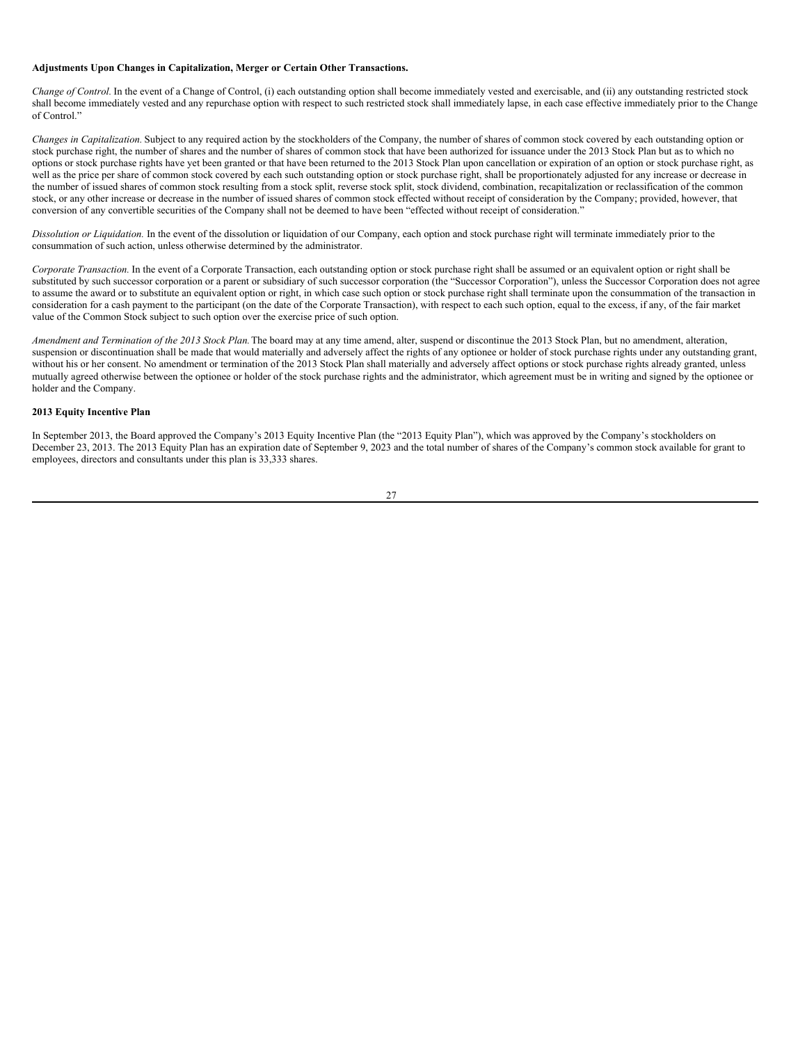#### **Adjustments Upon Changes in Capitalization, Merger or Certain Other Transactions.**

*Change of Control*. In the event of a Change of Control, (i) each outstanding option shall become immediately vested and exercisable, and (ii) any outstanding restricted stock shall become immediately vested and any repurchase option with respect to such restricted stock shall immediately lapse, in each case effective immediately prior to the Change of Control."

*Changes in Capitalization.* Subject to any required action by the stockholders of the Company, the number of shares of common stock covered by each outstanding option or stock purchase right, the number of shares and the number of shares of common stock that have been authorized for issuance under the 2013 Stock Plan but as to which no options or stock purchase rights have yet been granted or that have been returned to the 2013 Stock Plan upon cancellation or expiration of an option or stock purchase right, as well as the price per share of common stock covered by each such outstanding option or stock purchase right, shall be proportionately adjusted for any increase or decrease in the number of issued shares of common stock resulting from a stock split, reverse stock split, stock dividend, combination, recapitalization or reclassification of the common stock, or any other increase or decrease in the number of issued shares of common stock effected without receipt of consideration by the Company; provided, however, that conversion of any convertible securities of the Company shall not be deemed to have been "effected without receipt of consideration."

*Dissolution or Liquidation.* In the event of the dissolution or liquidation of our Company, each option and stock purchase right will terminate immediately prior to the consummation of such action, unless otherwise determined by the administrator.

*Corporate Transaction.* In the event of a Corporate Transaction, each outstanding option or stock purchase right shall be assumed or an equivalent option or right shall be substituted by such successor corporation or a parent or subsidiary of such successor corporation (the "Successor Corporation"), unless the Successor Corporation does not agree to assume the award or to substitute an equivalent option or right, in which case such option or stock purchase right shall terminate upon the consummation of the transaction in consideration for a cash payment to the participant (on the date of the Corporate Transaction), with respect to each such option, equal to the excess, if any, of the fair market value of the Common Stock subject to such option over the exercise price of such option.

*Amendment and Termination of the 2013 Stock Plan.*The board may at any time amend, alter, suspend or discontinue the 2013 Stock Plan, but no amendment, alteration, suspension or discontinuation shall be made that would materially and adversely affect the rights of any optionee or holder of stock purchase rights under any outstanding grant, without his or her consent. No amendment or termination of the 2013 Stock Plan shall materially and adversely affect options or stock purchase rights already granted, unless mutually agreed otherwise between the optionee or holder of the stock purchase rights and the administrator, which agreement must be in writing and signed by the optionee or holder and the Company.

# **2013 Equity Incentive Plan**

In September 2013, the Board approved the Company's 2013 Equity Incentive Plan (the "2013 Equity Plan"), which was approved by the Company's stockholders on December 23, 2013. The 2013 Equity Plan has an expiration date of September 9, 2023 and the total number of shares of the Company's common stock available for grant to employees, directors and consultants under this plan is 33,333 shares.

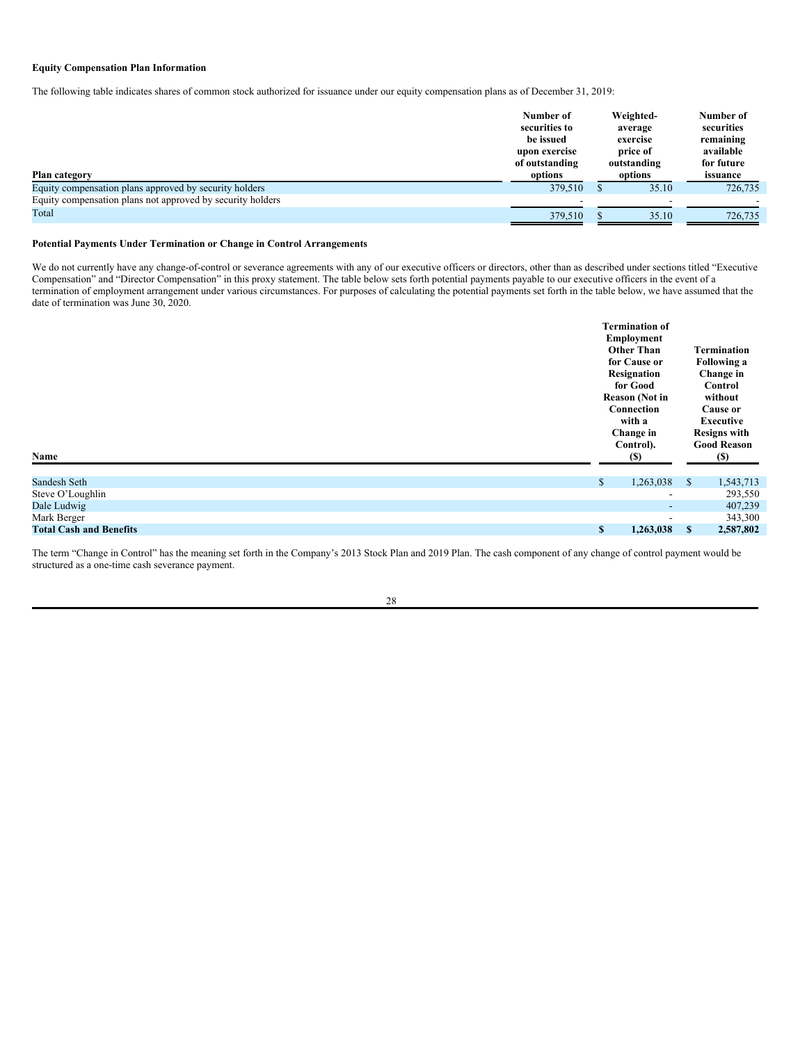## **Equity Compensation Plan Information**

The following table indicates shares of common stock authorized for issuance under our equity compensation plans as of December 31, 2019:

| Plan category                                              | Number of<br>securities to<br>be issued<br>upon exercise<br>of outstanding<br>options | Weighted-<br>average<br>exercise<br>price of<br>outstanding<br>options | Number of<br>securities<br>remaining<br>available<br>for future<br>issuance |  |
|------------------------------------------------------------|---------------------------------------------------------------------------------------|------------------------------------------------------------------------|-----------------------------------------------------------------------------|--|
| Equity compensation plans approved by security holders     | 379,510                                                                               | 35.10                                                                  | 726,735                                                                     |  |
| Equity compensation plans not approved by security holders |                                                                                       |                                                                        |                                                                             |  |
| Total                                                      | 379,510                                                                               | 35.10                                                                  | 726,735                                                                     |  |

### **Potential Payments Under Termination or Change in Control Arrangements**

We do not currently have any change-of-control or severance agreements with any of our executive officers or directors, other than as described under sections titled "Executive Compensation" and "Director Compensation" in this proxy statement. The table below sets forth potential payments payable to our executive officers in the event of a termination of employment arrangement under various circumstances. For purposes of calculating the potential payments set forth in the table below, we have assumed that the date of termination was June 30, 2020.

| Name                           |              | <b>Termination of</b><br>Employment<br><b>Other Than</b><br>for Cause or<br>Resignation<br>for Good<br><b>Reason (Not in</b><br>Connection<br>with a<br>Change in<br>Control).<br>(S) |               | <b>Termination</b><br><b>Following a</b><br>Change in<br>Control<br>without<br>Cause or<br>Executive<br><b>Resigns with</b><br><b>Good Reason</b><br>(S) |
|--------------------------------|--------------|---------------------------------------------------------------------------------------------------------------------------------------------------------------------------------------|---------------|----------------------------------------------------------------------------------------------------------------------------------------------------------|
| Sandesh Seth                   | $\mathbb{S}$ | 1,263,038                                                                                                                                                                             | <sup>\$</sup> | 1,543,713                                                                                                                                                |
| Steve O'Loughlin               |              | $\overline{\phantom{a}}$                                                                                                                                                              |               | 293,550                                                                                                                                                  |
| Dale Ludwig                    |              | $\overline{\phantom{a}}$                                                                                                                                                              |               | 407,239                                                                                                                                                  |
| Mark Berger                    |              | $\blacksquare$                                                                                                                                                                        |               | 343,300                                                                                                                                                  |
| <b>Total Cash and Benefits</b> | \$           | 1,263,038                                                                                                                                                                             | S             | 2,587,802                                                                                                                                                |

The term "Change in Control" has the meaning set forth in the Company's 2013 Stock Plan and 2019 Plan. The cash component of any change of control payment would be structured as a one-time cash severance payment.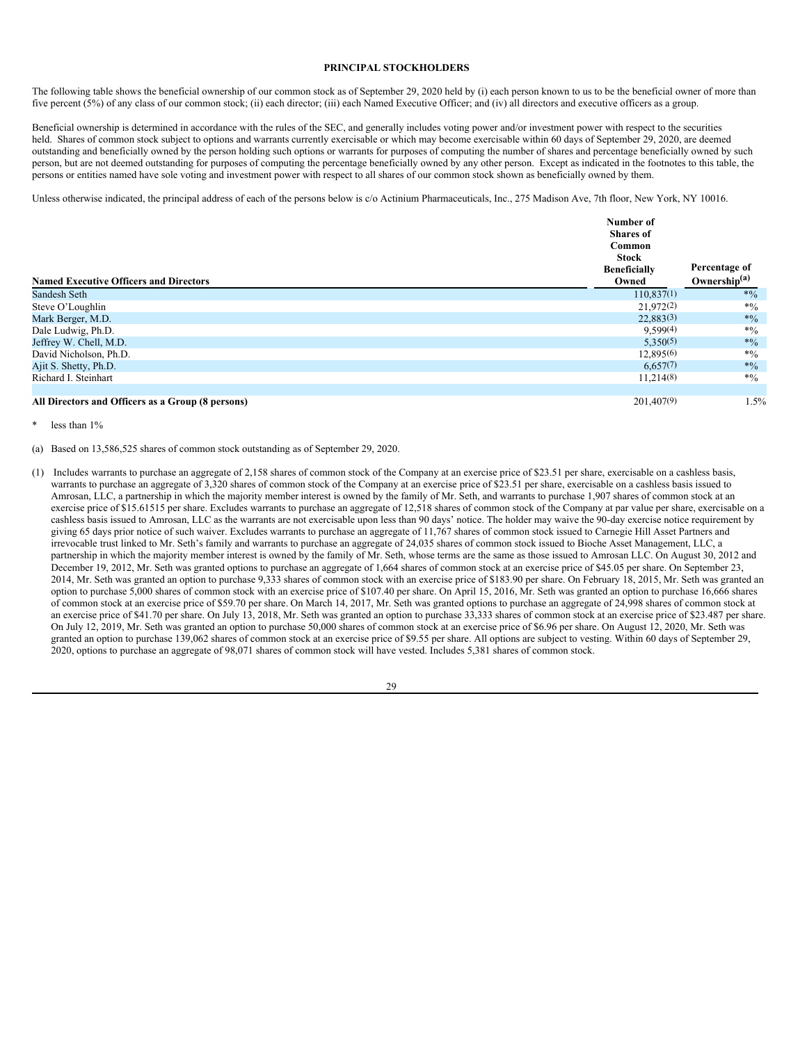### <span id="page-33-0"></span>**PRINCIPAL STOCKHOLDERS**

The following table shows the beneficial ownership of our common stock as of September 29, 2020 held by (i) each person known to us to be the beneficial owner of more than five percent (5%) of any class of our common stock; (ii) each director; (iii) each Named Executive Officer; and (iv) all directors and executive officers as a group.

Beneficial ownership is determined in accordance with the rules of the SEC, and generally includes voting power and/or investment power with respect to the securities held. Shares of common stock subject to options and warrants currently exercisable or which may become exercisable within 60 days of September 29, 2020, are deemed outstanding and beneficially owned by the person holding such options or warrants for purposes of computing the number of shares and percentage beneficially owned by such person, but are not deemed outstanding for purposes of computing the percentage beneficially owned by any other person. Except as indicated in the footnotes to this table, the persons or entities named have sole voting and investment power with respect to all shares of our common stock shown as beneficially owned by them.

Unless otherwise indicated, the principal address of each of the persons below is c/o Actinium Pharmaceuticals, Inc., 275 Madison Ave, 7th floor, New York, NY 10016.

| <b>Named Executive Officers and Directors</b>     | Number of<br><b>Shares</b> of<br>Common<br>Stock<br><b>Beneficially</b><br>Owned | Percentage of<br>Ownership $(a)$ |
|---------------------------------------------------|----------------------------------------------------------------------------------|----------------------------------|
| Sandesh Seth                                      | 110,837(1)                                                                       | $*9/0$                           |
| Steve O'Loughlin                                  | 21,972(2)                                                                        | $*9/0$                           |
| Mark Berger, M.D.                                 | 22,883(3)                                                                        | $*0/0$                           |
| Dale Ludwig, Ph.D.                                | 9,599(4)                                                                         | $*9/0$                           |
| Jeffrey W. Chell, M.D.                            | 5,350(5)                                                                         | $*_{\%}$                         |
| David Nicholson, Ph.D.                            | 12,895(6)                                                                        | $*9/0$                           |
| Ajit S. Shetty, Ph.D.                             | 6,657(7)                                                                         | $*9/0$                           |
| Richard I. Steinhart                              | 11,214(8)                                                                        | $*0/0$                           |
| All Directors and Officers as a Group (8 persons) | 201,407(9)                                                                       | 1.5%                             |

#### less than 1%

(a) Based on 13,586,525 shares of common stock outstanding as of September 29, 2020.

(1) Includes warrants to purchase an aggregate of 2,158 shares of common stock of the Company at an exercise price of \$23.51 per share, exercisable on a cashless basis, warrants to purchase an aggregate of 3,320 shares of common stock of the Company at an exercise price of \$23.51 per share, exercisable on a cashless basis issued to Amrosan, LLC, a partnership in which the majority member interest is owned by the family of Mr. Seth, and warrants to purchase 1,907 shares of common stock at an exercise price of \$15.61515 per share. Excludes warrants to purchase an aggregate of 12,518 shares of common stock of the Company at par value per share, exercisable on a cashless basis issued to Amrosan, LLC as the warrants are not exercisable upon less than 90 days' notice. The holder may waive the 90-day exercise notice requirement by giving 65 days prior notice of such waiver. Excludes warrants to purchase an aggregate of 11,767 shares of common stock issued to Carnegie Hill Asset Partners and irrevocable trust linked to Mr. Seth's family and warrants to purchase an aggregate of 24,035 shares of common stock issued to Bioche Asset Management, LLC, a partnership in which the majority member interest is owned by the family of Mr. Seth, whose terms are the same as those issued to Amrosan LLC. On August 30, 2012 and December 19, 2012, Mr. Seth was granted options to purchase an aggregate of 1,664 shares of common stock at an exercise price of \$45.05 per share. On September 23, 2014, Mr. Seth was granted an option to purchase 9,333 shares of common stock with an exercise price of \$183.90 per share. On February 18, 2015, Mr. Seth was granted an option to purchase 5,000 shares of common stock with an exercise price of \$107.40 per share. On April 15, 2016, Mr. Seth was granted an option to purchase 16,666 shares of common stock at an exercise price of \$59.70 per share. On March 14, 2017, Mr. Seth was granted options to purchase an aggregate of 24,998 shares of common stock at an exercise price of \$41.70 per share. On July 13, 2018, Mr. Seth was granted an option to purchase 33,333 shares of common stock at an exercise price of \$23.487 per share. On July 12, 2019, Mr. Seth was granted an option to purchase 50,000 shares of common stock at an exercise price of \$6.96 per share. On August 12, 2020, Mr. Seth was granted an option to purchase 139,062 shares of common stock at an exercise price of \$9.55 per share. All options are subject to vesting. Within 60 days of September 29, 2020, options to purchase an aggregate of 98,071 shares of common stock will have vested. Includes 5,381 shares of common stock.

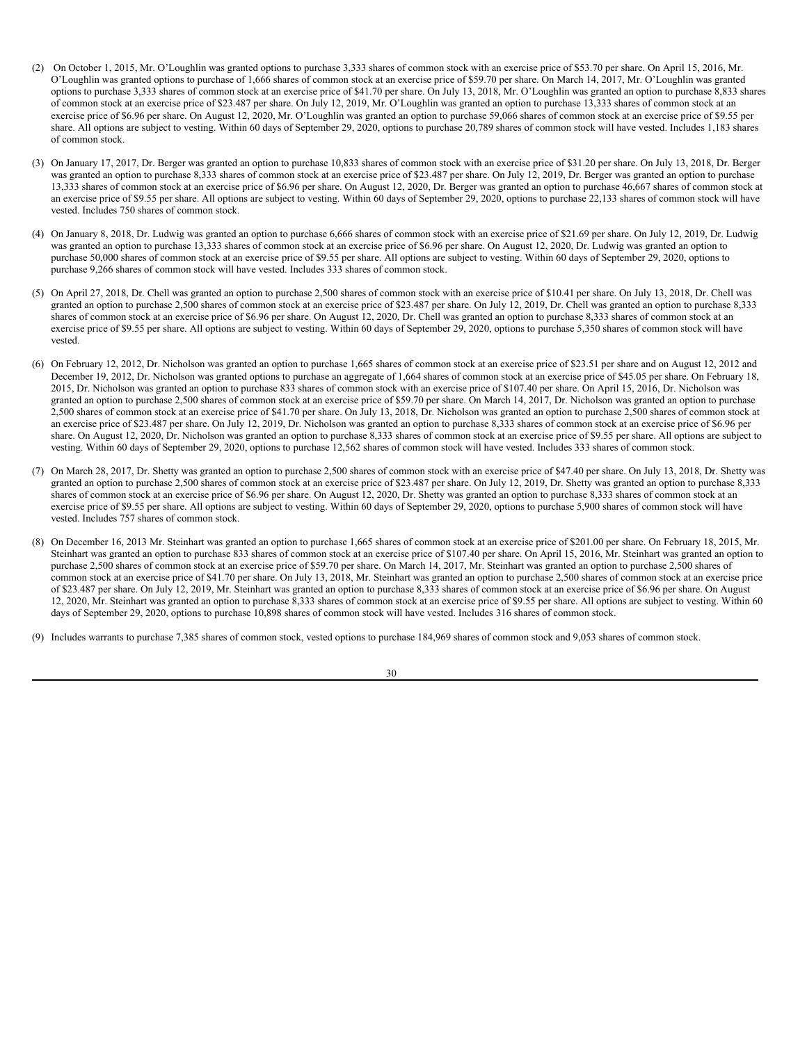- (2) On October 1, 2015, Mr. O'Loughlin was granted options to purchase 3,333 shares of common stock with an exercise price of \$53.70 per share. On April 15, 2016, Mr. O'Loughlin was granted options to purchase of 1,666 shares of common stock at an exercise price of \$59.70 per share. On March 14, 2017, Mr. O'Loughlin was granted options to purchase 3,333 shares of common stock at an exercise price of \$41.70 per share. On July 13, 2018, Mr. O'Loughlin was granted an option to purchase 8,833 shares of common stock at an exercise price of \$23.487 per share. On July 12, 2019, Mr. O'Loughlin was granted an option to purchase 13,333 shares of common stock at an exercise price of \$6.96 per share. On August 12, 2020, Mr. O'Loughlin was granted an option to purchase 59,066 shares of common stock at an exercise price of \$9.55 per share. All options are subject to vesting. Within 60 days of September 29, 2020, options to purchase 20,789 shares of common stock will have vested. Includes 1,183 shares of common stock.
- (3) On January 17, 2017, Dr. Berger was granted an option to purchase 10,833 shares of common stock with an exercise price of \$31.20 per share. On July 13, 2018, Dr. Berger was granted an option to purchase 8,333 shares of common stock at an exercise price of \$23.487 per share. On July 12, 2019, Dr. Berger was granted an option to purchase 13,333 shares of common stock at an exercise price of \$6.96 per share. On August 12, 2020, Dr. Berger was granted an option to purchase 46,667 shares of common stock at an exercise price of \$9.55 per share. All options are subject to vesting. Within 60 days of September 29, 2020, options to purchase 22,133 shares of common stock will have vested. Includes 750 shares of common stock.
- (4) On January 8, 2018, Dr. Ludwig was granted an option to purchase 6,666 shares of common stock with an exercise price of \$21.69 per share. On July 12, 2019, Dr. Ludwig was granted an option to purchase 13,333 shares of common stock at an exercise price of \$6.96 per share. On August 12, 2020, Dr. Ludwig was granted an option to purchase 50,000 shares of common stock at an exercise price of \$9.55 per share. All options are subject to vesting. Within 60 days of September 29, 2020, options to purchase 9,266 shares of common stock will have vested. Includes 333 shares of common stock.
- (5) On April 27, 2018, Dr. Chell was granted an option to purchase 2,500 shares of common stock with an exercise price of \$10.41 per share. On July 13, 2018, Dr. Chell was granted an option to purchase 2,500 shares of common stock at an exercise price of \$23.487 per share. On July 12, 2019, Dr. Chell was granted an option to purchase 8,333 shares of common stock at an exercise price of \$6.96 per share. On August 12, 2020, Dr. Chell was granted an option to purchase 8,333 shares of common stock at an exercise price of \$9.55 per share. All options are subject to vesting. Within 60 days of September 29, 2020, options to purchase 5,350 shares of common stock will have vested.
- (6) On February 12, 2012, Dr. Nicholson was granted an option to purchase 1,665 shares of common stock at an exercise price of \$23.51 per share and on August 12, 2012 and December 19, 2012, Dr. Nicholson was granted options to purchase an aggregate of 1,664 shares of common stock at an exercise price of \$45.05 per share. On February 18, 2015, Dr. Nicholson was granted an option to purchase 833 shares of common stock with an exercise price of \$107.40 per share. On April 15, 2016, Dr. Nicholson was granted an option to purchase 2,500 shares of common stock at an exercise price of \$59.70 per share. On March 14, 2017, Dr. Nicholson was granted an option to purchase  $2,500$  shares of common stock at an exercise price of \$41.70 per share. On July 13, 2018, Dr. Nicholson was granted an option to purchase 2,500 shares of common stock at an exercise price of \$23.487 per share. On July 12, 2019, Dr. Nicholson was granted an option to purchase 8,333 shares of common stock at an exercise price of \$6.96 per share. On August 12, 2020, Dr. Nicholson was granted an option to purchase 8,333 shares of common stock at an exercise price of \$9.55 per share. All options are subject to vesting. Within 60 days of September 29, 2020, options to purchase 12,562 shares of common stock will have vested. Includes 333 shares of common stock.
- (7) On March 28, 2017, Dr. Shetty was granted an option to purchase 2,500 shares of common stock with an exercise price of \$47.40 per share. On July 13, 2018, Dr. Shetty was granted an option to purchase 2,500 shares of common stock at an exercise price of \$23.487 per share. On July 12, 2019, Dr. Shetty was granted an option to purchase 8,333 shares of common stock at an exercise price of \$6.96 per share. On August 12, 2020, Dr. Shetty was granted an option to purchase 8,333 shares of common stock at an exercise price of \$9.55 per share. All options are subject to vesting. Within 60 days of September 29, 2020, options to purchase 5,900 shares of common stock will have vested. Includes 757 shares of common stock.
- (8) On December 16, 2013 Mr. Steinhart was granted an option to purchase 1,665 shares of common stock at an exercise price of \$201.00 per share. On February 18, 2015, Mr. Steinhart was granted an option to purchase 833 shares of common stock at an exercise price of \$107.40 per share. On April 15, 2016, Mr. Steinhart was granted an option to purchase 2,500 shares of common stock at an exercise price of \$59.70 per share. On March 14, 2017, Mr. Steinhart was granted an option to purchase 2,500 shares of common stock at an exercise price of \$41.70 per share. On July 13, 2018, Mr. Steinhart was granted an option to purchase 2,500 shares of common stock at an exercise price of \$23.487 per share. On July 12, 2019, Mr. Steinhart was granted an option to purchase 8,333 shares of common stock at an exercise price of \$6.96 per share. On August 12, 2020, Mr. Steinhart was granted an option to purchase 8,333 shares of common stock at an exercise price of \$9.55 per share. All options are subject to vesting. Within 60 days of September 29, 2020, options to purchase 10,898 shares of common stock will have vested. Includes 316 shares of common stock.
- (9) Includes warrants to purchase 7,385 shares of common stock, vested options to purchase 184,969 shares of common stock and 9,053 shares of common stock.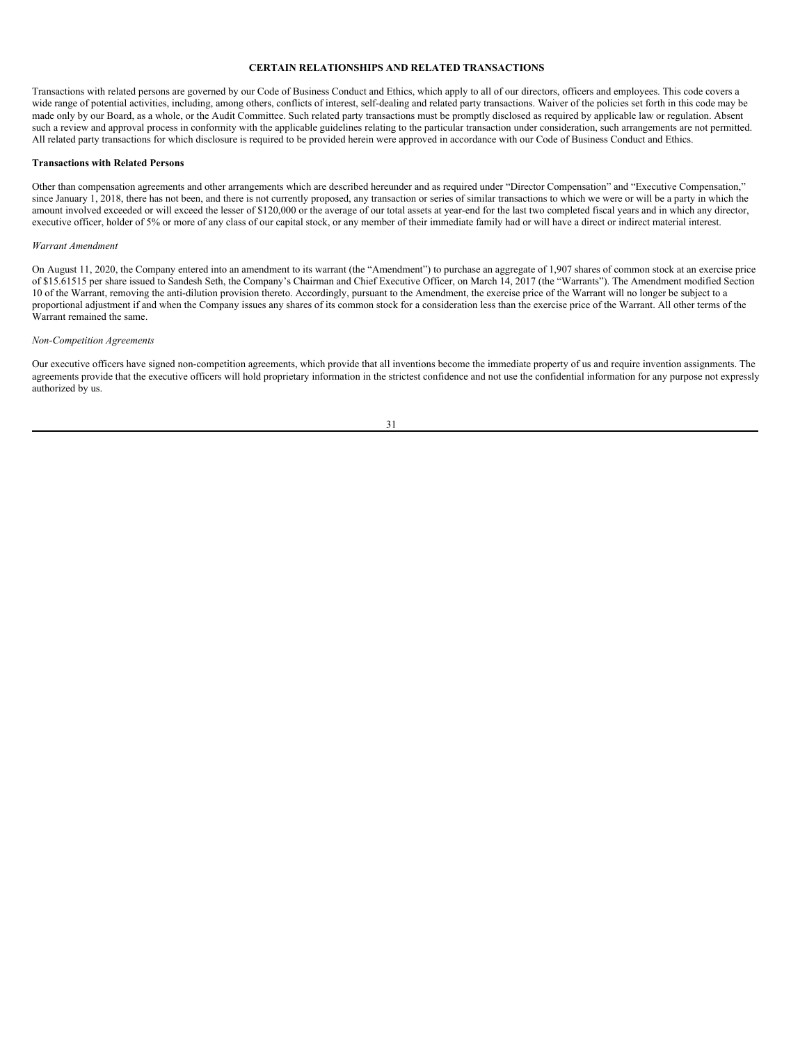## <span id="page-35-0"></span>**CERTAIN RELATIONSHIPS AND RELATED TRANSACTIONS**

Transactions with related persons are governed by our Code of Business Conduct and Ethics, which apply to all of our directors, officers and employees. This code covers a wide range of potential activities, including, among others, conflicts of interest, self-dealing and related party transactions. Waiver of the policies set forth in this code may be made only by our Board, as a whole, or the Audit Committee. Such related party transactions must be promptly disclosed as required by applicable law or regulation. Absent such a review and approval process in conformity with the applicable guidelines relating to the particular transaction under consideration, such arrangements are not permitted. All related party transactions for which disclosure is required to be provided herein were approved in accordance with our Code of Business Conduct and Ethics.

#### **Transactions with Related Persons**

Other than compensation agreements and other arrangements which are described hereunder and as required under "Director Compensation" and "Executive Compensation," since January 1, 2018, there has not been, and there is not currently proposed, any transaction or series of similar transactions to which we were or will be a party in which the amount involved exceeded or will exceed the lesser of \$120,000 or the average of our total assets at year-end for the last two completed fiscal years and in which any director, executive officer, holder of 5% or more of any class of our capital stock, or any member of their immediate family had or will have a direct or indirect material interest.

#### *Warrant Amendment*

On August 11, 2020, the Company entered into an amendment to its warrant (the "Amendment") to purchase an aggregate of 1,907 shares of common stock at an exercise price of \$15.61515 per share issued to Sandesh Seth, the Company's Chairman and Chief Executive Officer, on March 14, 2017 (the "Warrants"). The Amendment modified Section 10 of the Warrant, removing the anti-dilution provision thereto. Accordingly, pursuant to the Amendment, the exercise price of the Warrant will no longer be subject to a proportional adjustment if and when the Company issues any shares of its common stock for a consideration less than the exercise price of the Warrant. All other terms of the Warrant remained the same.

### *Non-Competition Agreements*

Our executive officers have signed non-competition agreements, which provide that all inventions become the immediate property of us and require invention assignments. The agreements provide that the executive officers will hold proprietary information in the strictest confidence and not use the confidential information for any purpose not expressly authorized by us.

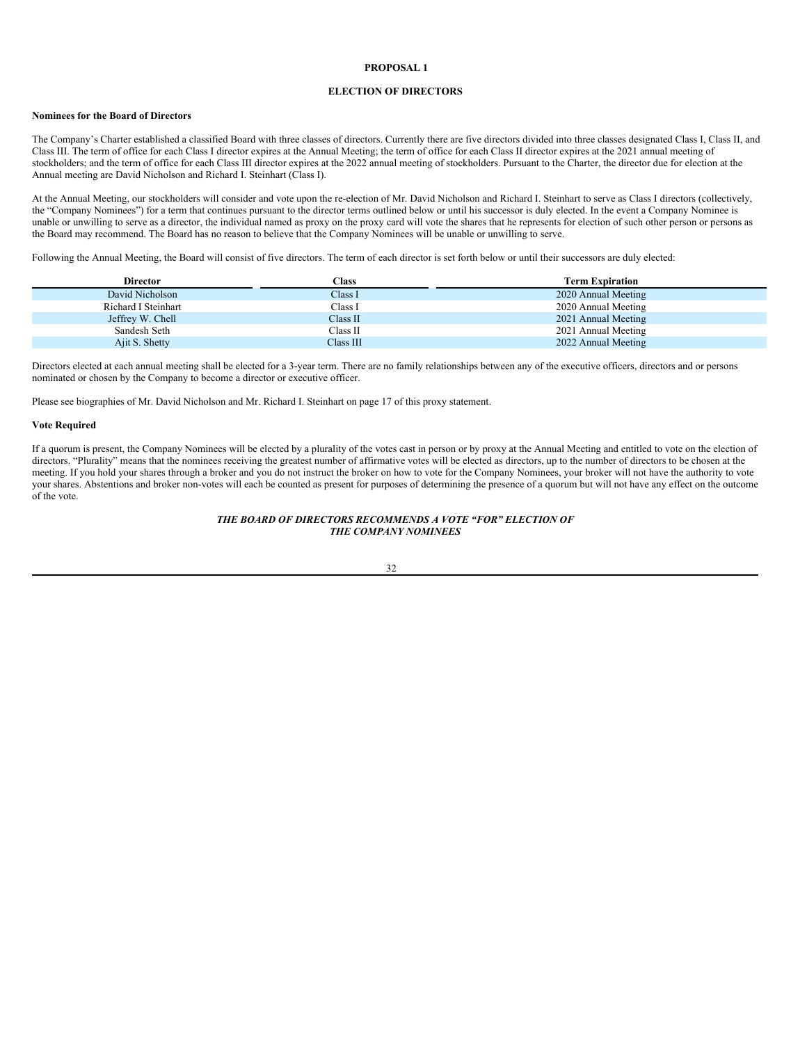# <span id="page-36-0"></span>**PROPOSAL 1**

### **ELECTION OF DIRECTORS**

# **Nominees for the Board of Directors**

The Company's Charter established a classified Board with three classes of directors. Currently there are five directors divided into three classes designated Class I, Class II, and Class III. The term of office for each Class I director expires at the Annual Meeting; the term of office for each Class II director expires at the 2021 annual meeting of stockholders; and the term of office for each Class III director expires at the 2022 annual meeting of stockholders. Pursuant to the Charter, the director due for election at the Annual meeting are David Nicholson and Richard I. Steinhart (Class I).

At the Annual Meeting, our stockholders will consider and vote upon the re-election of Mr. David Nicholson and Richard I. Steinhart to serve as Class I directors (collectively, the "Company Nominees") for a term that continues pursuant to the director terms outlined below or until his successor is duly elected. In the event a Company Nominee is unable or unwilling to serve as a director, the individual named as proxy on the proxy card will vote the shares that he represents for election of such other person or persons as the Board may recommend. The Board has no reason to believe that the Company Nominees will be unable or unwilling to serve.

Following the Annual Meeting, the Board will consist of five directors. The term of each director is set forth below or until their successors are duly elected:

| <b>Director</b>     | <b>Class</b> | <b>Term Expiration</b> |
|---------------------|--------------|------------------------|
| David Nicholson     | Class I      | 2020 Annual Meeting    |
| Richard I Steinhart | Class I      | 2020 Annual Meeting    |
| Jeffrey W. Chell    | Class II     | 2021 Annual Meeting    |
| Sandesh Seth        | Class II     | 2021 Annual Meeting    |
| Ajit S. Shetty      | Class III    | 2022 Annual Meeting    |

Directors elected at each annual meeting shall be elected for a 3-year term. There are no family relationships between any of the executive officers, directors and or persons nominated or chosen by the Company to become a director or executive officer.

Please see biographies of Mr. David Nicholson and Mr. Richard I. Steinhart on page 17 of this proxy statement.

#### **Vote Required**

If a quorum is present, the Company Nominees will be elected by a plurality of the votes cast in person or by proxy at the Annual Meeting and entitled to vote on the election of directors. "Plurality" means that the nominees receiving the greatest number of affirmative votes will be elected as directors, up to the number of directors to be chosen at the meeting. If you hold your shares through a broker and you do not instruct the broker on how to vote for the Company Nominees, your broker will not have the authority to vote your shares. Abstentions and broker non-votes will each be counted as present for purposes of determining the presence of a quorum but will not have any effect on the outcome of the vote.

### *THE BOARD OF DIRECTORS RECOMMENDS A VOTE "FOR" ELECTION OF THE COMPANY NOMINEES*

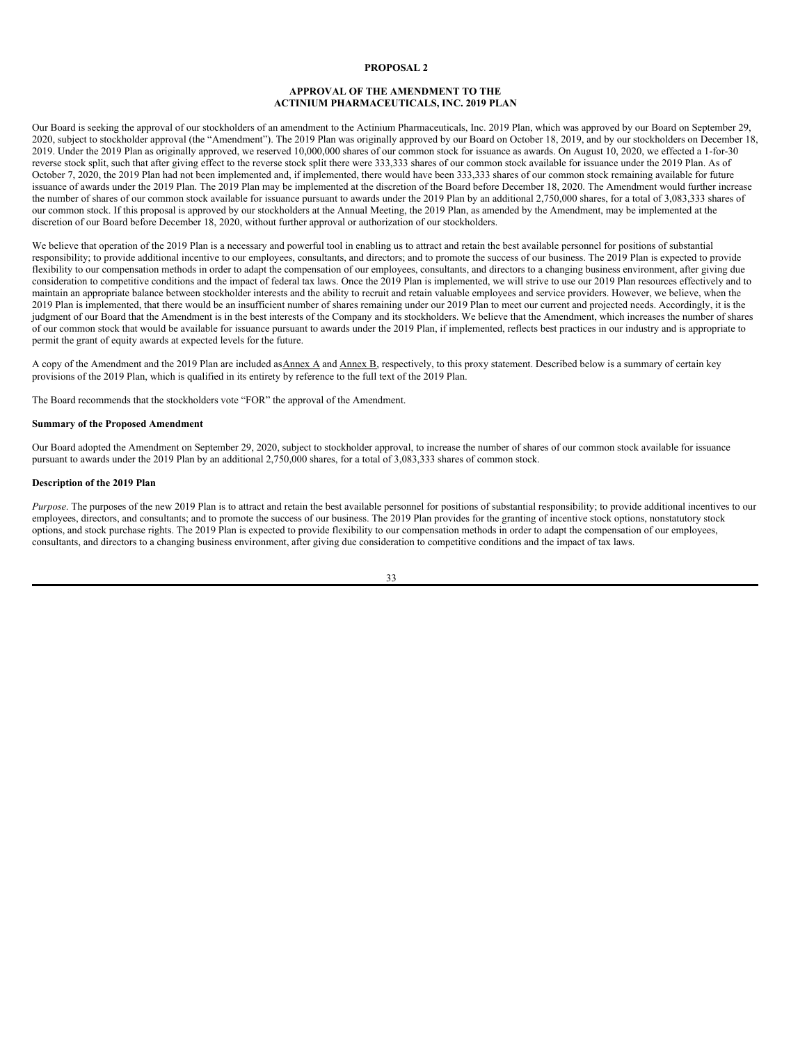# <span id="page-37-0"></span>**PROPOSAL 2**

### **APPROVAL OF THE AMENDMENT TO THE ACTINIUM PHARMACEUTICALS, INC. 2019 PLAN**

Our Board is seeking the approval of our stockholders of an amendment to the Actinium Pharmaceuticals, Inc. 2019 Plan, which was approved by our Board on September 29, 2020, subject to stockholder approval (the "Amendment"). The 2019 Plan was originally approved by our Board on October 18, 2019, and by our stockholders on December 18, 2019. Under the 2019 Plan as originally approved, we reserved 10,000,000 shares of our common stock for issuance as awards. On August 10, 2020, we effected a 1-for-30 reverse stock split, such that after giving effect to the reverse stock split there were 333,333 shares of our common stock available for issuance under the 2019 Plan. As of October 7, 2020, the 2019 Plan had not been implemented and, if implemented, there would have been 333,333 shares of our common stock remaining available for future issuance of awards under the 2019 Plan. The 2019 Plan may be implemented at the discretion of the Board before December 18, 2020. The Amendment would further increase the number of shares of our common stock available for issuance pursuant to awards under the 2019 Plan by an additional 2,750,000 shares, for a total of 3,083,333 shares of our common stock. If this proposal is approved by our stockholders at the Annual Meeting, the 2019 Plan, as amended by the Amendment, may be implemented at the discretion of our Board before December 18, 2020, without further approval or authorization of our stockholders.

We believe that operation of the 2019 Plan is a necessary and powerful tool in enabling us to attract and retain the best available personnel for positions of substantial responsibility; to provide additional incentive to our employees, consultants, and directors; and to promote the success of our business. The 2019 Plan is expected to provide flexibility to our compensation methods in order to adapt the compensation of our employees, consultants, and directors to a changing business environment, after giving due consideration to competitive conditions and the impact of federal tax laws. Once the 2019 Plan is implemented, we will strive to use our 2019 Plan resources effectively and to maintain an appropriate balance between stockholder interests and the ability to recruit and retain valuable employees and service providers. However, we believe, when the 2019 Plan is implemented, that there would be an insufficient number of shares remaining under our 2019 Plan to meet our current and projected needs. Accordingly, it is the judgment of our Board that the Amendment is in the best interests of the Company and its stockholders. We believe that the Amendment, which increases the number of shares of our common stock that would be available for issuance pursuant to awards under the 2019 Plan, if implemented, reflects best practices in our industry and is appropriate to permit the grant of equity awards at expected levels for the future.

A copy of the Amendment and the 2019 Plan are included as Annex A and Annex B, respectively, to this proxy statement. Described below is a summary of certain key provisions of the 2019 Plan, which is qualified in its entirety by reference to the full text of the 2019 Plan.

The Board recommends that the stockholders vote "FOR" the approval of the Amendment.

#### **Summary of the Proposed Amendment**

Our Board adopted the Amendment on September 29, 2020, subject to stockholder approval, to increase the number of shares of our common stock available for issuance pursuant to awards under the 2019 Plan by an additional 2,750,000 shares, for a total of 3,083,333 shares of common stock.

#### **Description of the 2019 Plan**

*Purpose*. The purposes of the new 2019 Plan is to attract and retain the best available personnel for positions of substantial responsibility; to provide additional incentives to our employees, directors, and consultants; and to promote the success of our business. The 2019 Plan provides for the granting of incentive stock options, nonstatutory stock options, and stock purchase rights. The 2019 Plan is expected to provide flexibility to our compensation methods in order to adapt the compensation of our employees, consultants, and directors to a changing business environment, after giving due consideration to competitive conditions and the impact of tax laws.

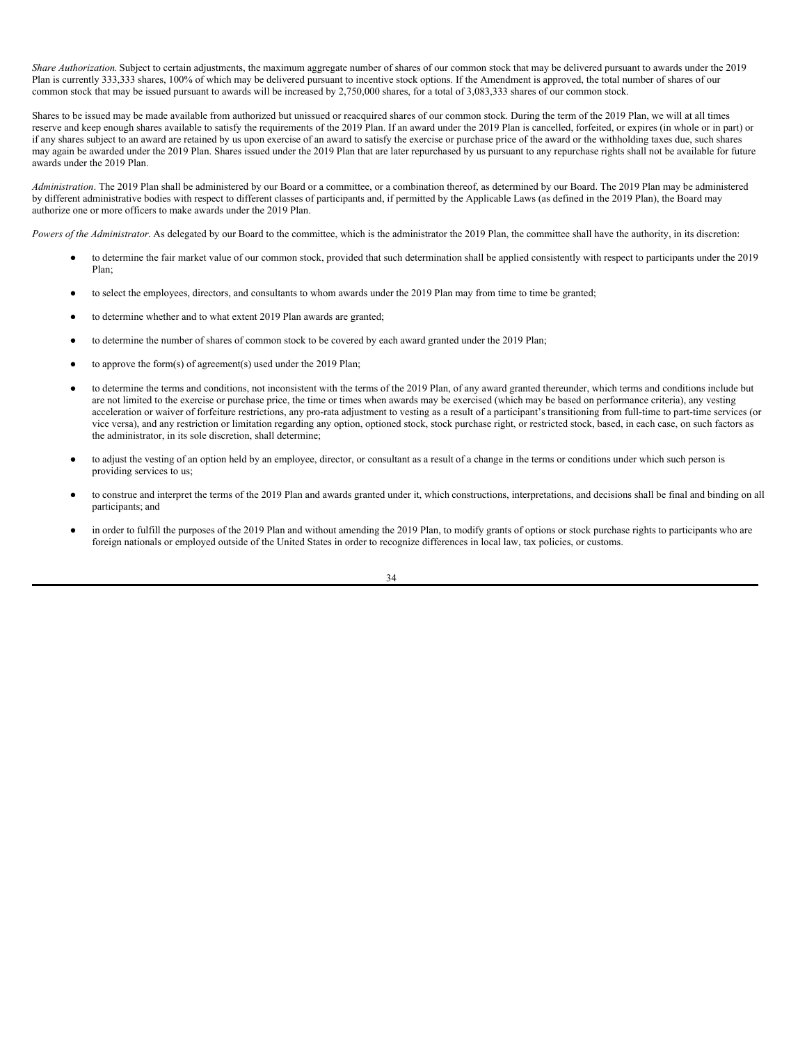*Share Authorization*. Subject to certain adjustments, the maximum aggregate number of shares of our common stock that may be delivered pursuant to awards under the 2019 Plan is currently 333,333 shares, 100% of which may be delivered pursuant to incentive stock options. If the Amendment is approved, the total number of shares of our common stock that may be issued pursuant to awards will be increased by 2,750,000 shares, for a total of 3,083,333 shares of our common stock.

Shares to be issued may be made available from authorized but unissued or reacquired shares of our common stock. During the term of the 2019 Plan, we will at all times reserve and keep enough shares available to satisfy the requirements of the 2019 Plan. If an award under the 2019 Plan is cancelled, forfeited, or expires (in whole or in part) or if any shares subject to an award are retained by us upon exercise of an award to satisfy the exercise or purchase price of the award or the withholding taxes due, such shares may again be awarded under the 2019 Plan. Shares issued under the 2019 Plan that are later repurchased by us pursuant to any repurchase rights shall not be available for future awards under the 2019 Plan.

*Administration*. The 2019 Plan shall be administered by our Board or a committee, or a combination thereof, as determined by our Board. The 2019 Plan may be administered by different administrative bodies with respect to different classes of participants and, if permitted by the Applicable Laws (as defined in the 2019 Plan), the Board may authorize one or more officers to make awards under the 2019 Plan.

*Powers of the Administrator*. As delegated by our Board to the committee, which is the administrator the 2019 Plan, the committee shall have the authority, in its discretion:

- to determine the fair market value of our common stock, provided that such determination shall be applied consistently with respect to participants under the 2019 Plan;
- to select the employees, directors, and consultants to whom awards under the 2019 Plan may from time to time be granted;
- to determine whether and to what extent 2019 Plan awards are granted;
- to determine the number of shares of common stock to be covered by each award granted under the 2019 Plan;
- to approve the form $(s)$  of agreement $(s)$  used under the 2019 Plan;
- to determine the terms and conditions, not inconsistent with the terms of the 2019 Plan, of any award granted thereunder, which terms and conditions include but are not limited to the exercise or purchase price, the time or times when awards may be exercised (which may be based on performance criteria), any vesting acceleration or waiver of forfeiture restrictions, any pro-rata adjustment to vesting as a result of a participant's transitioning from full-time to part-time services (or vice versa), and any restriction or limitation regarding any option, optioned stock, stock purchase right, or restricted stock, based, in each case, on such factors as the administrator, in its sole discretion, shall determine;
- to adjust the vesting of an option held by an employee, director, or consultant as a result of a change in the terms or conditions under which such person is providing services to us;
- to construe and interpret the terms of the 2019 Plan and awards granted under it, which constructions, interpretations, and decisions shall be final and binding on all participants; and
- in order to fulfill the purposes of the 2019 Plan and without amending the 2019 Plan, to modify grants of options or stock purchase rights to participants who are foreign nationals or employed outside of the United States in order to recognize differences in local law, tax policies, or customs.

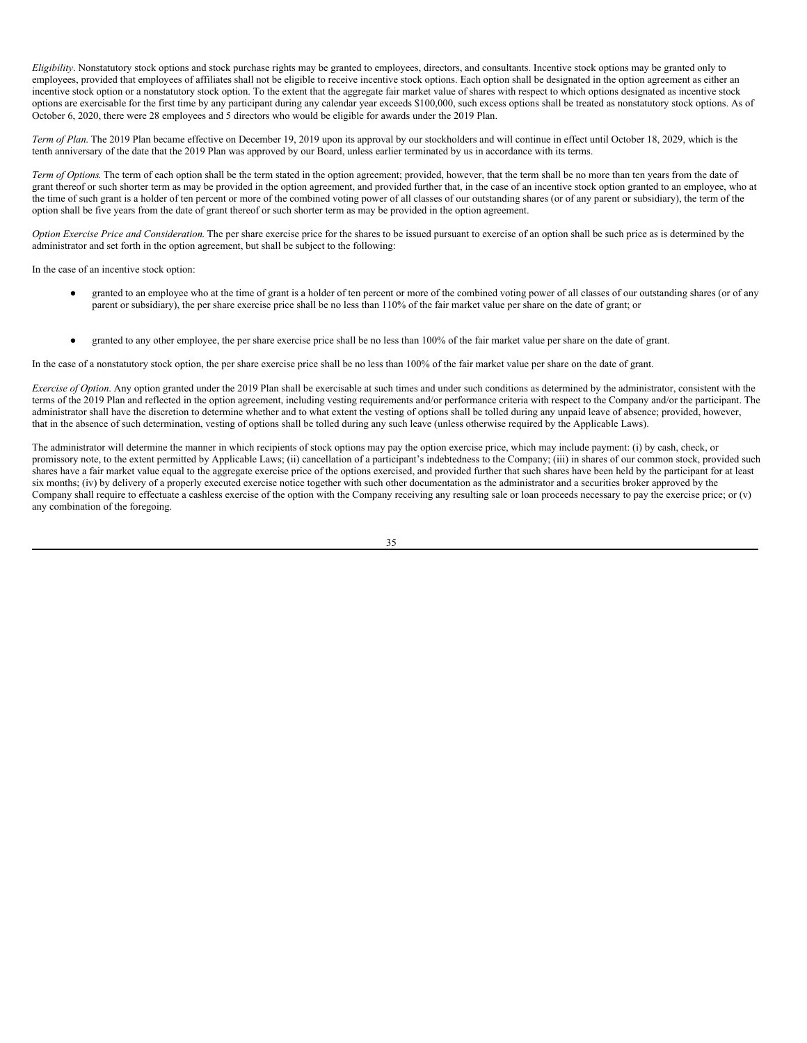*Eligibility*. Nonstatutory stock options and stock purchase rights may be granted to employees, directors, and consultants. Incentive stock options may be granted only to employees, provided that employees of affiliates shall not be eligible to receive incentive stock options. Each option shall be designated in the option agreement as either an incentive stock option or a nonstatutory stock option. To the extent that the aggregate fair market value of shares with respect to which options designated as incentive stock options are exercisable for the first time by any participant during any calendar year exceeds \$100,000, such excess options shall be treated as nonstatutory stock options. As of October 6, 2020, there were 28 employees and 5 directors who would be eligible for awards under the 2019 Plan.

*Term of Plan*. The 2019 Plan became effective on December 19, 2019 upon its approval by our stockholders and will continue in effect until October 18, 2029, which is the tenth anniversary of the date that the 2019 Plan was approved by our Board, unless earlier terminated by us in accordance with its terms.

*Term of Options*. The term of each option shall be the term stated in the option agreement; provided, however, that the term shall be no more than ten years from the date of grant thereof or such shorter term as may be provided in the option agreement, and provided further that, in the case of an incentive stock option granted to an employee, who at the time of such grant is a holder of ten percent or more of the combined voting power of all classes of our outstanding shares (or of any parent or subsidiary), the term of the option shall be five years from the date of grant thereof or such shorter term as may be provided in the option agreement.

*Option Exercise Price and Consideration*. The per share exercise price for the shares to be issued pursuant to exercise of an option shall be such price as is determined by the administrator and set forth in the option agreement, but shall be subject to the following:

In the case of an incentive stock option:

- granted to an employee who at the time of grant is a holder of ten percent or more of the combined voting power of all classes of our outstanding shares (or of any parent or subsidiary), the per share exercise price shall be no less than 110% of the fair market value per share on the date of grant; or
- granted to any other employee, the per share exercise price shall be no less than 100% of the fair market value per share on the date of grant.

In the case of a nonstatutory stock option, the per share exercise price shall be no less than 100% of the fair market value per share on the date of grant.

*Exercise of Option*. Any option granted under the 2019 Plan shall be exercisable at such times and under such conditions as determined by the administrator, consistent with the terms of the 2019 Plan and reflected in the option agreement, including vesting requirements and/or performance criteria with respect to the Company and/or the participant. The administrator shall have the discretion to determine whether and to what extent the vesting of options shall be tolled during any unpaid leave of absence; provided, however, that in the absence of such determination, vesting of options shall be tolled during any such leave (unless otherwise required by the Applicable Laws).

The administrator will determine the manner in which recipients of stock options may pay the option exercise price, which may include payment: (i) by cash, check, or promissory note, to the extent permitted by Applicable Laws; (ii) cancellation of a participant's indebtedness to the Company; (iii) in shares of our common stock, provided such shares have a fair market value equal to the aggregate exercise price of the options exercised, and provided further that such shares have been held by the participant for at least six months; (iv) by delivery of a properly executed exercise notice together with such other documentation as the administrator and a securities broker approved by the Company shall require to effectuate a cashless exercise of the option with the Company receiving any resulting sale or loan proceeds necessary to pay the exercise price; or  $(v)$ any combination of the foregoing.

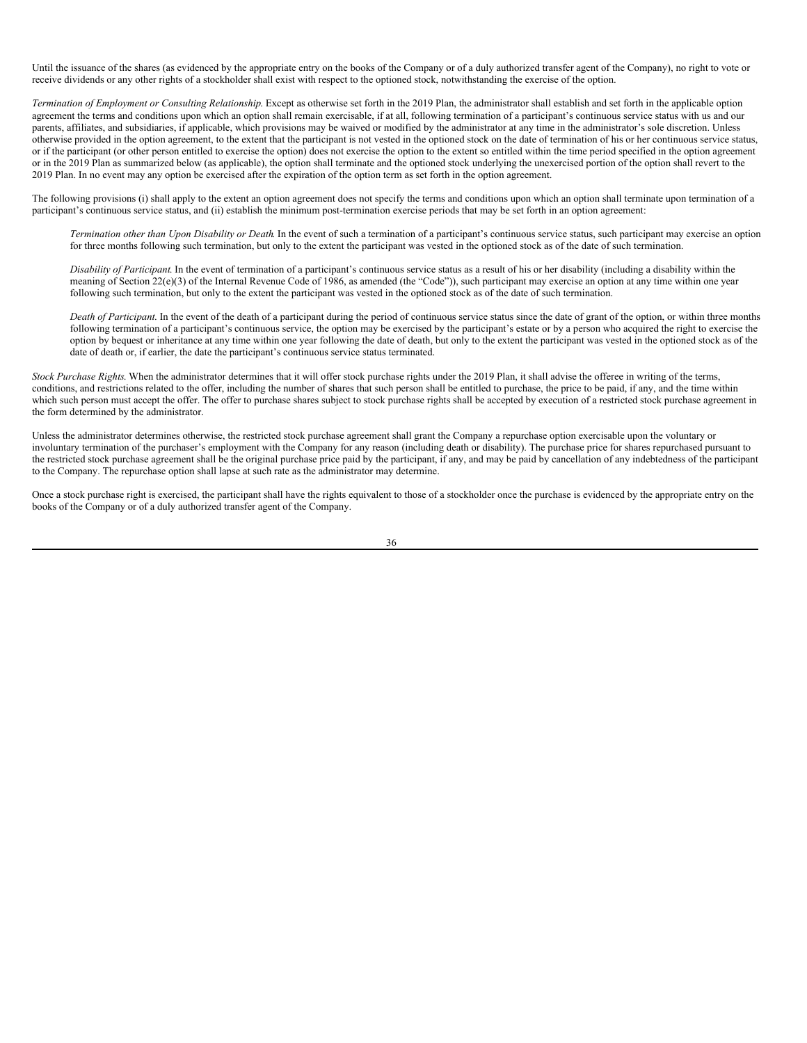Until the issuance of the shares (as evidenced by the appropriate entry on the books of the Company or of a duly authorized transfer agent of the Company), no right to vote or receive dividends or any other rights of a stockholder shall exist with respect to the optioned stock, notwithstanding the exercise of the option.

*Termination of Employment or Consulting Relationship*. Except as otherwise set forth in the 2019 Plan, the administrator shall establish and set forth in the applicable option agreement the terms and conditions upon which an option shall remain exercisable, if at all, following termination of a participant's continuous service status with us and our parents, affiliates, and subsidiaries, if applicable, which provisions may be waived or modified by the administrator at any time in the administrator's sole discretion. Unless otherwise provided in the option agreement, to the extent that the participant is not vested in the optioned stock on the date of termination of his or her continuous service status, or if the participant (or other person entitled to exercise the option) does not exercise the option to the extent so entitled within the time period specified in the option agreement or in the 2019 Plan as summarized below (as applicable), the option shall terminate and the optioned stock underlying the unexercised portion of the option shall revert to the 2019 Plan. In no event may any option be exercised after the expiration of the option term as set forth in the option agreement.

The following provisions (i) shall apply to the extent an option agreement does not specify the terms and conditions upon which an option shall terminate upon termination of a participant's continuous service status, and (ii) establish the minimum post-termination exercise periods that may be set forth in an option agreement:

*Termination other than Upon Disability or Death*. In the event of such a termination of a participant's continuous service status, such participant may exercise an option for three months following such termination, but only to the extent the participant was vested in the optioned stock as of the date of such termination.

*Disability of Participant*. In the event of termination of a participant's continuous service status as a result of his or her disability (including a disability within the meaning of Section 22(e)(3) of the Internal Revenue Code of 1986, as amended (the "Code")), such participant may exercise an option at any time within one year following such termination, but only to the extent the participant was vested in the optioned stock as of the date of such termination.

*Death of Participant*. In the event of the death of a participant during the period of continuous service status since the date of grant of the option, or within three months following termination of a participant's continuous service, the option may be exercised by the participant's estate or by a person who acquired the right to exercise the option by bequest or inheritance at any time within one year following the date of death, but only to the extent the participant was vested in the optioned stock as of the date of death or, if earlier, the date the participant's continuous service status terminated.

*Stock Purchase Rights*. When the administrator determines that it will offer stock purchase rights under the 2019 Plan, it shall advise the offeree in writing of the terms, conditions, and restrictions related to the offer, including the number of shares that such person shall be entitled to purchase, the price to be paid, if any, and the time within which such person must accept the offer. The offer to purchase shares subject to stock purchase rights shall be accepted by execution of a restricted stock purchase agreement in the form determined by the administrator.

Unless the administrator determines otherwise, the restricted stock purchase agreement shall grant the Company a repurchase option exercisable upon the voluntary or involuntary termination of the purchaser's employment with the Company for any reason (including death or disability). The purchase price for shares repurchased pursuant to the restricted stock purchase agreement shall be the original purchase price paid by the participant, if any, and may be paid by cancellation of any indebtedness of the participant to the Company. The repurchase option shall lapse at such rate as the administrator may determine.

Once a stock purchase right is exercised, the participant shall have the rights equivalent to those of a stockholder once the purchase is evidenced by the appropriate entry on the books of the Company or of a duly authorized transfer agent of the Company.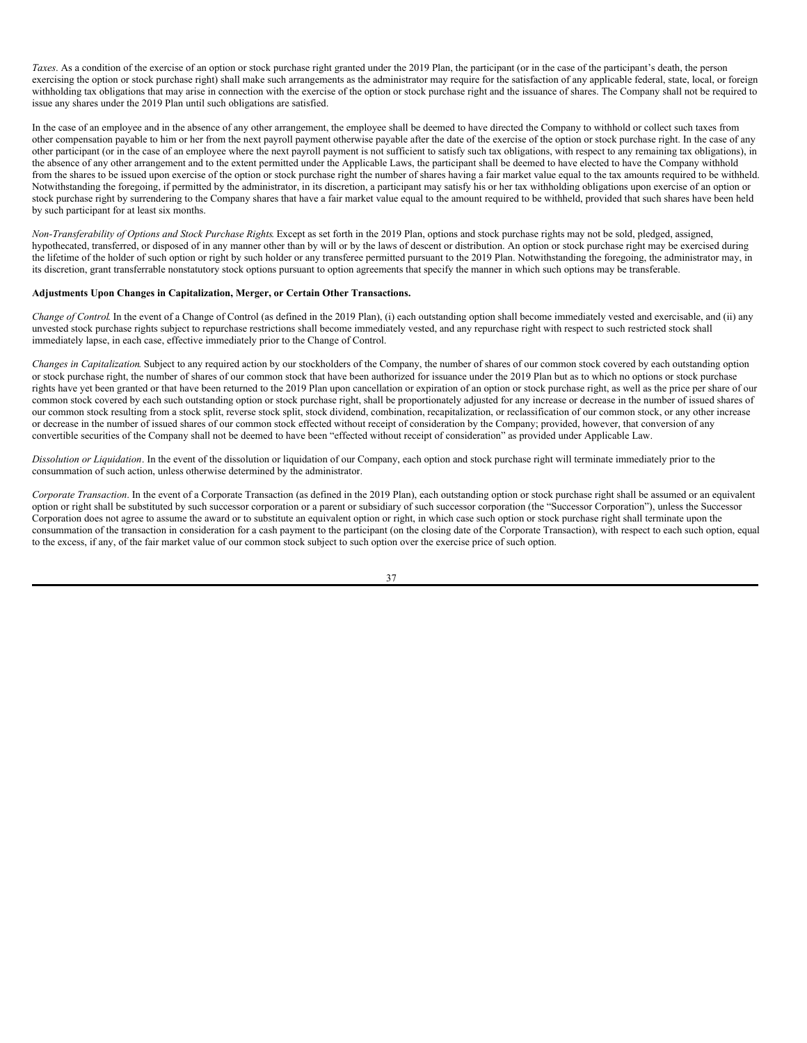*Taxes*. As a condition of the exercise of an option or stock purchase right granted under the 2019 Plan, the participant (or in the case of the participant's death, the person exercising the option or stock purchase right) shall make such arrangements as the administrator may require for the satisfaction of any applicable federal, state, local, or foreign withholding tax obligations that may arise in connection with the exercise of the option or stock purchase right and the issuance of shares. The Company shall not be required to issue any shares under the 2019 Plan until such obligations are satisfied.

In the case of an employee and in the absence of any other arrangement, the employee shall be deemed to have directed the Company to withhold or collect such taxes from other compensation payable to him or her from the next payroll payment otherwise payable after the date of the exercise of the option or stock purchase right. In the case of any other participant (or in the case of an employee where the next payroll payment is not sufficient to satisfy such tax obligations, with respect to any remaining tax obligations), in the absence of any other arrangement and to the extent permitted under the Applicable Laws, the participant shall be deemed to have elected to have the Company withhold from the shares to be issued upon exercise of the option or stock purchase right the number of shares having a fair market value equal to the tax amounts required to be withheld. Notwithstanding the foregoing, if permitted by the administrator, in its discretion, a participant may satisfy his or her tax withholding obligations upon exercise of an option or stock purchase right by surrendering to the Company shares that have a fair market value equal to the amount required to be withheld, provided that such shares have been held by such participant for at least six months.

*Non-Transferability of Options and Stock Purchase Rights*. Except as set forth in the 2019 Plan, options and stock purchase rights may not be sold, pledged, assigned, hypothecated, transferred, or disposed of in any manner other than by will or by the laws of descent or distribution. An option or stock purchase right may be exercised during the lifetime of the holder of such option or right by such holder or any transferee permitted pursuant to the 2019 Plan. Notwithstanding the foregoing, the administrator may, in its discretion, grant transferrable nonstatutory stock options pursuant to option agreements that specify the manner in which such options may be transferable.

## **Adjustments Upon Changes in Capitalization, Merger, or Certain Other Transactions.**

*Change of Control*. In the event of a Change of Control (as defined in the 2019 Plan), (i) each outstanding option shall become immediately vested and exercisable, and (ii) any unvested stock purchase rights subject to repurchase restrictions shall become immediately vested, and any repurchase right with respect to such restricted stock shall immediately lapse, in each case, effective immediately prior to the Change of Control.

*Changes in Capitalization*. Subject to any required action by our stockholders of the Company, the number of shares of our common stock covered by each outstanding option or stock purchase right, the number of shares of our common stock that have been authorized for issuance under the 2019 Plan but as to which no options or stock purchase rights have yet been granted or that have been returned to the 2019 Plan upon cancellation or expiration of an option or stock purchase right, as well as the price per share of our common stock covered by each such outstanding option or stock purchase right, shall be proportionately adjusted for any increase or decrease in the number of issued shares of our common stock resulting from a stock split, reverse stock split, stock dividend, combination, recapitalization, or reclassification of our common stock, or any other increase or decrease in the number of issued shares of our common stock effected without receipt of consideration by the Company; provided, however, that conversion of any convertible securities of the Company shall not be deemed to have been "effected without receipt of consideration" as provided under Applicable Law.

*Dissolution or Liquidation*. In the event of the dissolution or liquidation of our Company, each option and stock purchase right will terminate immediately prior to the consummation of such action, unless otherwise determined by the administrator.

*Corporate Transaction*. In the event of a Corporate Transaction (as defined in the 2019 Plan), each outstanding option or stock purchase right shall be assumed or an equivalent option or right shall be substituted by such successor corporation or a parent or subsidiary of such successor corporation (the "Successor Corporation"), unless the Successor Corporation does not agree to assume the award or to substitute an equivalent option or right, in which case such option or stock purchase right shall terminate upon the consummation of the transaction in consideration for a cash payment to the participant (on the closing date of the Corporate Transaction), with respect to each such option, equal to the excess, if any, of the fair market value of our common stock subject to such option over the exercise price of such option.

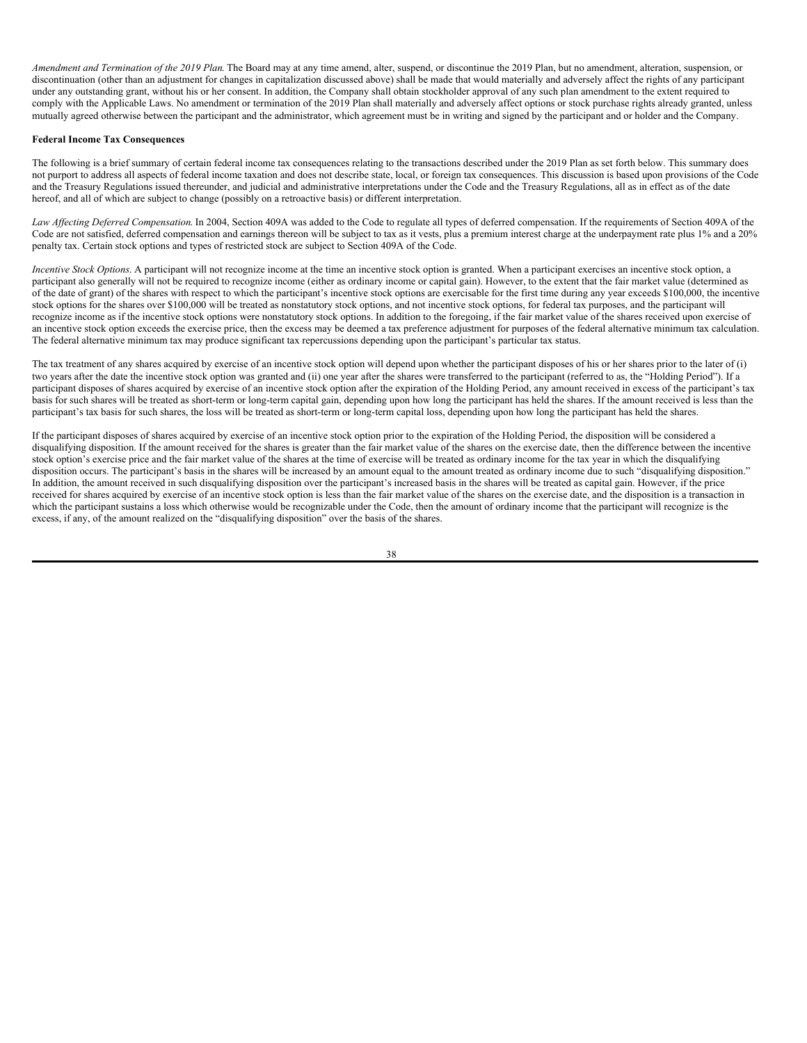*Amendment and Termination of the 2019 Plan*. The Board may at any time amend, alter, suspend, or discontinue the 2019 Plan, but no amendment, alteration, suspension, or discontinuation (other than an adjustment for changes in capitalization discussed above) shall be made that would materially and adversely affect the rights of any participant under any outstanding grant, without his or her consent. In addition, the Company shall obtain stockholder approval of any such plan amendment to the extent required to comply with the Applicable Laws. No amendment or termination of the 2019 Plan shall materially and adversely affect options or stock purchase rights already granted, unless mutually agreed otherwise between the participant and the administrator, which agreement must be in writing and signed by the participant and or holder and the Company.

### **Federal Income Tax Consequences**

The following is a brief summary of certain federal income tax consequences relating to the transactions described under the 2019 Plan as set forth below. This summary does not purport to address all aspects of federal income taxation and does not describe state, local, or foreign tax consequences. This discussion is based upon provisions of the Code and the Treasury Regulations issued thereunder, and judicial and administrative interpretations under the Code and the Treasury Regulations, all as in effect as of the date hereof, and all of which are subject to change (possibly on a retroactive basis) or different interpretation.

Law *Affecting Deferred Compensation*. In 2004, Section 409A was added to the Code to regulate all types of deferred compensation. If the requirements of Section 409A of the Code are not satisfied, deferred compensation and earnings thereon will be subject to tax as it vests, plus a premium interest charge at the underpayment rate plus 1% and a 20% penalty tax. Certain stock options and types of restricted stock are subject to Section 409A of the Code.

*Incentive Stock Options*. A participant will not recognize income at the time an incentive stock option is granted. When a participant exercises an incentive stock option, a participant also generally will not be required to recognize income (either as ordinary income or capital gain). However, to the extent that the fair market value (determined as of the date of grant) of the shares with respect to which the participant's incentive stock options are exercisable for the first time during any year exceeds \$100,000, the incentive stock options for the shares over \$100,000 will be treated as nonstatutory stock options, and not incentive stock options, for federal tax purposes, and the participant will recognize income as if the incentive stock options were nonstatutory stock options. In addition to the foregoing, if the fair market value of the shares received upon exercise of an incentive stock option exceeds the exercise price, then the excess may be deemed a tax preference adjustment for purposes of the federal alternative minimum tax calculation. The federal alternative minimum tax may produce significant tax repercussions depending upon the participant's particular tax status.

The tax treatment of any shares acquired by exercise of an incentive stock option will depend upon whether the participant disposes of his or her shares prior to the later of (i) two years after the date the incentive stock option was granted and (ii) one year after the shares were transferred to the participant (referred to as, the "Holding Period"). If a participant disposes of shares acquired by exercise of an incentive stock option after the expiration of the Holding Period, any amount received in excess of the participant's tax basis for such shares will be treated as short-term or long-term capital gain, depending upon how long the participant has held the shares. If the amount received is less than the participant's tax basis for such shares, the loss will be treated as short-term or long-term capital loss, depending upon how long the participant has held the shares.

If the participant disposes of shares acquired by exercise of an incentive stock option prior to the expiration of the Holding Period, the disposition will be considered a disqualifying disposition. If the amount received for the shares is greater than the fair market value of the shares on the exercise date, then the difference between the incentive stock option's exercise price and the fair market value of the shares at the time of exercise will be treated as ordinary income for the tax year in which the disqualifying disposition occurs. The participant's basis in the shares will be increased by an amount equal to the amount treated as ordinary income due to such "disqualifying disposition." In addition, the amount received in such disqualifying disposition over the participant's increased basis in the shares will be treated as capital gain. However, if the price received for shares acquired by exercise of an incentive stock option is less than the fair market value of the shares on the exercise date, and the disposition is a transaction in which the participant sustains a loss which otherwise would be recognizable under the Code, then the amount of ordinary income that the participant will recognize is the excess, if any, of the amount realized on the "disqualifying disposition" over the basis of the shares.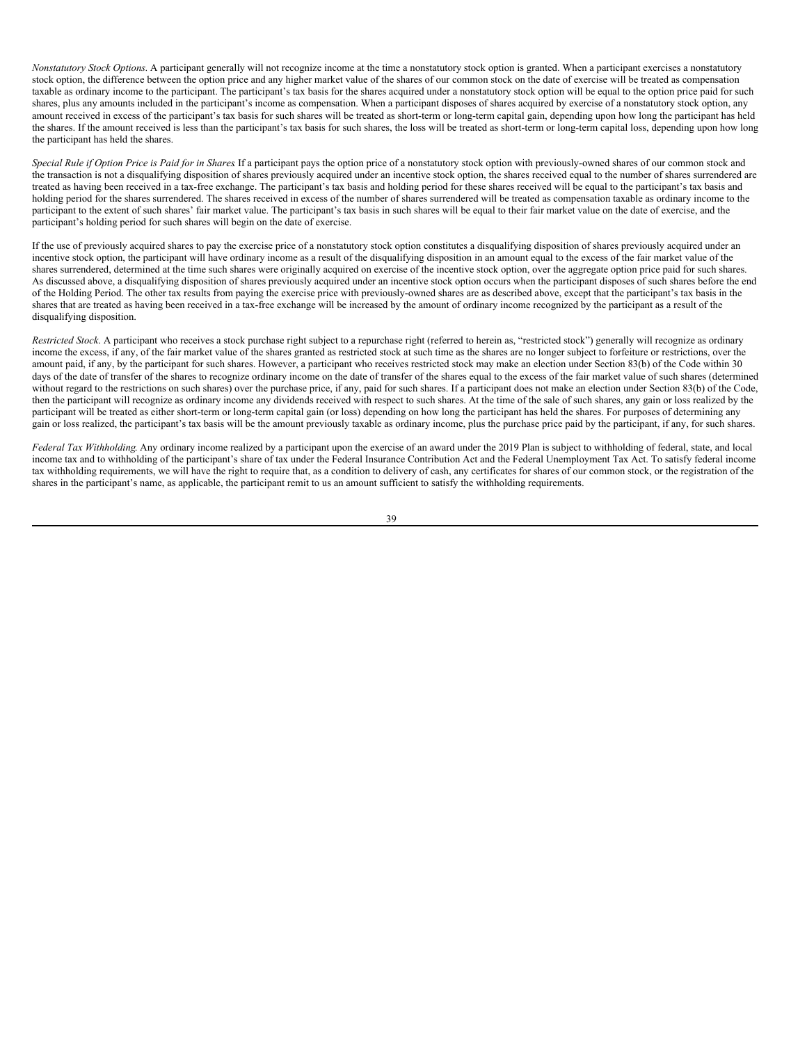*Nonstatutory Stock Options*. A participant generally will not recognize income at the time a nonstatutory stock option is granted. When a participant exercises a nonstatutory stock option, the difference between the option price and any higher market value of the shares of our common stock on the date of exercise will be treated as compensation taxable as ordinary income to the participant. The participant's tax basis for the shares acquired under a nonstatutory stock option will be equal to the option price paid for such shares, plus any amounts included in the participant's income as compensation. When a participant disposes of shares acquired by exercise of a nonstatutory stock option, any amount received in excess of the participant's tax basis for such shares will be treated as short-term or long-term capital gain, depending upon how long the participant has held the shares. If the amount received is less than the participant's tax basis for such shares, the loss will be treated as short-term or long-term capital loss, depending upon how long the participant has held the shares.

Special Rule if Option Price is Paid for in Shares If a participant pays the option price of a nonstatutory stock option with previously-owned shares of our common stock and the transaction is not a disqualifying disposition of shares previously acquired under an incentive stock option, the shares received equal to the number of shares surrendered are treated as having been received in a tax-free exchange. The participant's tax basis and holding period for these shares received will be equal to the participant's tax basis and holding period for the shares surrendered. The shares received in excess of the number of shares surrendered will be treated as compensation taxable as ordinary income to the participant to the extent of such shares' fair market value. The participant's tax basis in such shares will be equal to their fair market value on the date of exercise, and the participant's holding period for such shares will begin on the date of exercise.

If the use of previously acquired shares to pay the exercise price of a nonstatutory stock option constitutes a disqualifying disposition of shares previously acquired under an incentive stock option, the participant will have ordinary income as a result of the disqualifying disposition in an amount equal to the excess of the fair market value of the shares surrendered, determined at the time such shares were originally acquired on exercise of the incentive stock option, over the aggregate option price paid for such shares. As discussed above, a disqualifying disposition of shares previously acquired under an incentive stock option occurs when the participant disposes of such shares before the end of the Holding Period. The other tax results from paying the exercise price with previously-owned shares are as described above, except that the participant's tax basis in the shares that are treated as having been received in a tax-free exchange will be increased by the amount of ordinary income recognized by the participant as a result of the disqualifying disposition.

*Restricted Stock*. A participant who receives a stock purchase right subject to a repurchase right (referred to herein as, "restricted stock") generally will recognize as ordinary income the excess, if any, of the fair market value of the shares granted as restricted stock at such time as the shares are no longer subject to forfeiture or restrictions, over the amount paid, if any, by the participant for such shares. However, a participant who receives restricted stock may make an election under Section 83(b) of the Code within 30 days of the date of transfer of the shares to recognize ordinary income on the date of transfer of the shares equal to the excess of the fair market value of such shares (determined without regard to the restrictions on such shares) over the purchase price, if any, paid for such shares. If a participant does not make an election under Section 83(b) of the Code, then the participant will recognize as ordinary income any dividends received with respect to such shares. At the time of the sale of such shares, any gain or loss realized by the participant will be treated as either short-term or long-term capital gain (or loss) depending on how long the participant has held the shares. For purposes of determining any gain or loss realized, the participant's tax basis will be the amount previously taxable as ordinary income, plus the purchase price paid by the participant, if any, for such shares.

*Federal Tax Withholding*. Any ordinary income realized by a participant upon the exercise of an award under the 2019 Plan is subject to withholding of federal, state, and local income tax and to withholding of the participant's share of tax under the Federal Insurance Contribution Act and the Federal Unemployment Tax Act. To satisfy federal income tax withholding requirements, we will have the right to require that, as a condition to delivery of cash, any certificates for shares of our common stock, or the registration of the shares in the participant's name, as applicable, the participant remit to us an amount sufficient to satisfy the withholding requirements.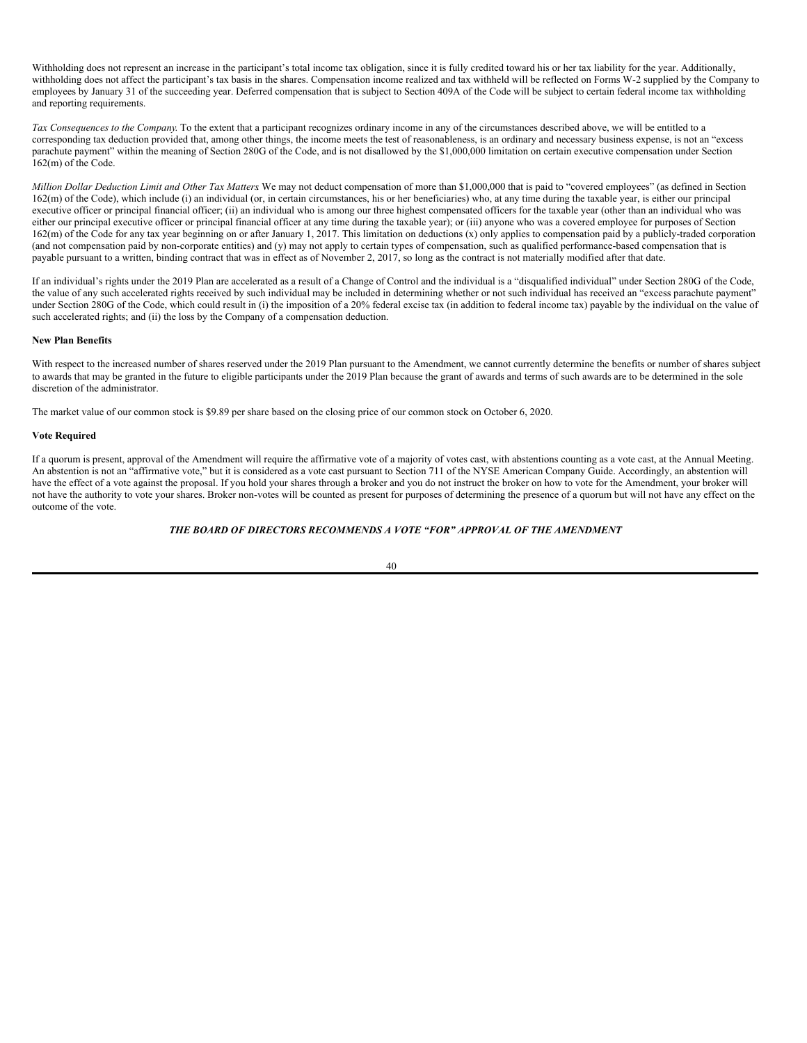Withholding does not represent an increase in the participant's total income tax obligation, since it is fully credited toward his or her tax liability for the year. Additionally, withholding does not affect the participant's tax basis in the shares. Compensation income realized and tax withheld will be reflected on Forms W-2 supplied by the Company to employees by January 31 of the succeeding year. Deferred compensation that is subject to Section 409A of the Code will be subject to certain federal income tax withholding and reporting requirements.

*Tax Consequences to the Company*. To the extent that a participant recognizes ordinary income in any of the circumstances described above, we will be entitled to a corresponding tax deduction provided that, among other things, the income meets the test of reasonableness, is an ordinary and necessary business expense, is not an "excess parachute payment" within the meaning of Section 280G of the Code, and is not disallowed by the \$1,000,000 limitation on certain executive compensation under Section 162(m) of the Code.

*Million Dollar Deduction Limit and Other Tax Matters*. We may not deduct compensation of more than \$1,000,000 that is paid to "covered employees" (as defined in Section 162(m) of the Code), which include (i) an individual (or, in certain circumstances, his or her beneficiaries) who, at any time during the taxable year, is either our principal executive officer or principal financial officer; (ii) an individual who is among our three highest compensated officers for the taxable year (other than an individual who was either our principal executive officer or principal financial officer at any time during the taxable year); or (iii) anyone who was a covered employee for purposes of Section 162(m) of the Code for any tax year beginning on or after January 1, 2017. This limitation on deductions (x) only applies to compensation paid by a publicly-traded corporation (and not compensation paid by non-corporate entities) and (y) may not apply to certain types of compensation, such as qualified performance-based compensation that is payable pursuant to a written, binding contract that was in effect as of November 2, 2017, so long as the contract is not materially modified after that date.

If an individual's rights under the 2019 Plan are accelerated as a result of a Change of Control and the individual is a "disqualified individual" under Section 280G of the Code, the value of any such accelerated rights received by such individual may be included in determining whether or not such individual has received an "excess parachute payment" under Section 280G of the Code, which could result in (i) the imposition of a 20% federal excise tax (in addition to federal income tax) payable by the individual on the value of such accelerated rights; and (ii) the loss by the Company of a compensation deduction.

### **New Plan Benefits**

With respect to the increased number of shares reserved under the 2019 Plan pursuant to the Amendment, we cannot currently determine the benefits or number of shares subject to awards that may be granted in the future to eligible participants under the 2019 Plan because the grant of awards and terms of such awards are to be determined in the sole discretion of the administrator.

The market value of our common stock is \$9.89 per share based on the closing price of our common stock on October 6, 2020.

# **Vote Required**

If a quorum is present, approval of the Amendment will require the affirmative vote of a majority of votes cast, with abstentions counting as a vote cast, at the Annual Meeting. An abstention is not an "affirmative vote," but it is considered as a vote cast pursuant to Section 711 of the NYSE American Company Guide. Accordingly, an abstention will have the effect of a vote against the proposal. If you hold your shares through a broker and you do not instruct the broker on how to vote for the Amendment, your broker will not have the authority to vote your shares. Broker non-votes will be counted as present for purposes of determining the presence of a quorum but will not have any effect on the outcome of the vote.

# *THE BOARD OF DIRECTORS RECOMMENDS A VOTE "FOR" APPROVAL OF THE AMENDMENT*

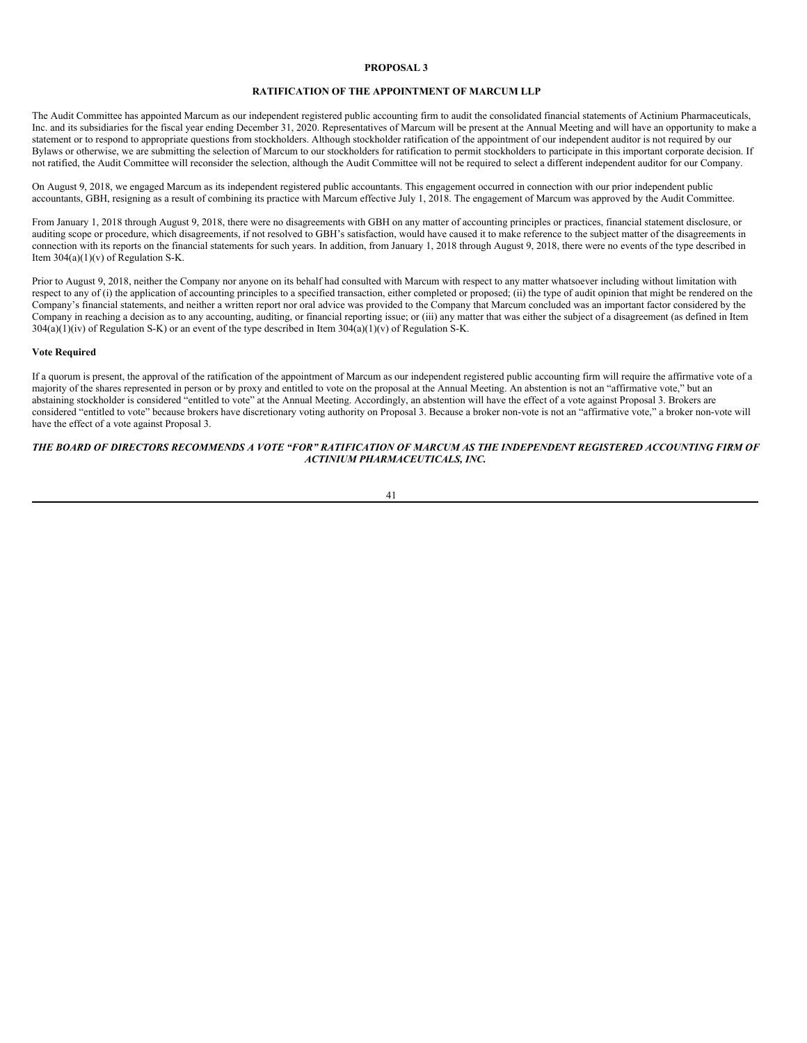# <span id="page-45-0"></span>**PROPOSAL 3**

### **RATIFICATION OF THE APPOINTMENT OF MARCUM LLP**

The Audit Committee has appointed Marcum as our independent registered public accounting firm to audit the consolidated financial statements of Actinium Pharmaceuticals, Inc. and its subsidiaries for the fiscal year ending December 31, 2020. Representatives of Marcum will be present at the Annual Meeting and will have an opportunity to make a statement or to respond to appropriate questions from stockholders. Although stockholder ratification of the appointment of our independent auditor is not required by our Bylaws or otherwise, we are submitting the selection of Marcum to our stockholders for ratification to permit stockholders to participate in this important corporate decision. If not ratified, the Audit Committee will reconsider the selection, although the Audit Committee will not be required to select a different independent auditor for our Company.

On August 9, 2018, we engaged Marcum as its independent registered public accountants. This engagement occurred in connection with our prior independent public accountants, GBH, resigning as a result of combining its practice with Marcum effective July 1, 2018. The engagement of Marcum was approved by the Audit Committee.

From January 1, 2018 through August 9, 2018, there were no disagreements with GBH on any matter of accounting principles or practices, financial statement disclosure, or auditing scope or procedure, which disagreements, if not resolved to GBH's satisfaction, would have caused it to make reference to the subject matter of the disagreements in connection with its reports on the financial statements for such years. In addition, from January 1, 2018 through August 9, 2018, there were no events of the type described in Item  $304(a)(1)(v)$  of Regulation S-K.

Prior to August 9, 2018, neither the Company nor anyone on its behalf had consulted with Marcum with respect to any matter whatsoever including without limitation with respect to any of (i) the application of accounting principles to a specified transaction, either completed or proposed; (ii) the type of audit opinion that might be rendered on the Company's financial statements, and neither a written report nor oral advice was provided to the Company that Marcum concluded was an important factor considered by the Company in reaching a decision as to any accounting, auditing, or financial reporting issue; or (iii) any matter that was either the subject of a disagreement (as defined in Item  $304(a)(1)(iv)$  of Regulation S-K) or an event of the type described in Item  $304(a)(1)(v)$  of Regulation S-K.

#### **Vote Required**

If a quorum is present, the approval of the ratification of the appointment of Marcum as our independent registered public accounting firm will require the affirmative vote of a majority of the shares represented in person or by proxy and entitled to vote on the proposal at the Annual Meeting. An abstention is not an "affirmative vote," but an abstaining stockholder is considered "entitled to vote" at the Annual Meeting. Accordingly, an abstention will have the effect of a vote against Proposal 3. Brokers are considered "entitled to vote" because brokers have discretionary voting authority on Proposal 3. Because a broker non-vote is not an "affirmative vote," a broker non-vote will have the effect of a vote against Proposal 3.

# THE BOARD OF DIRECTORS RECOMMENDS A VOTE "FOR" RATIFICATION OF MARCUM AS THE INDEPENDENT REGISTERED ACCOUNTING FIRM OF *ACTINIUM PHARMACEUTICALS, INC.*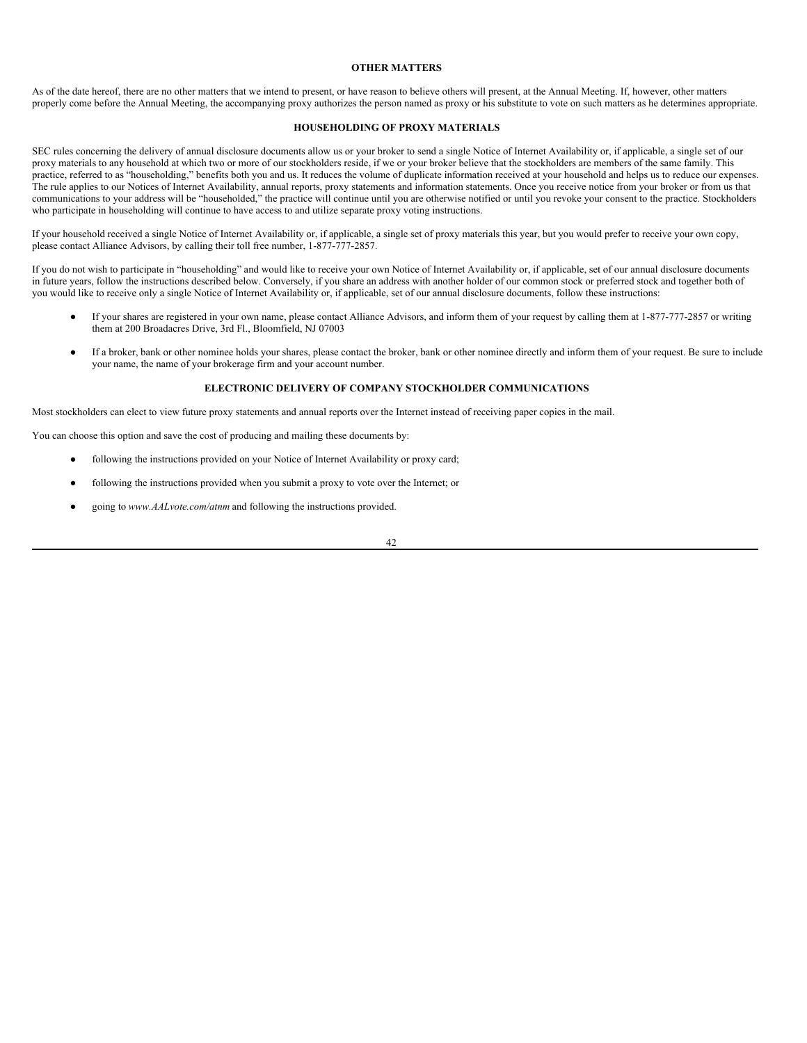# <span id="page-46-0"></span>**OTHER MATTERS**

As of the date hereof, there are no other matters that we intend to present, or have reason to believe others will present, at the Annual Meeting. If, however, other matters properly come before the Annual Meeting, the accompanying proxy authorizes the person named as proxy or his substitute to vote on such matters as he determines appropriate.

### <span id="page-46-1"></span>**HOUSEHOLDING OF PROXY MATERIALS**

SEC rules concerning the delivery of annual disclosure documents allow us or your broker to send a single Notice of Internet Availability or, if applicable, a single set of our proxy materials to any household at which two or more of our stockholders reside, if we or your broker believe that the stockholders are members of the same family. This practice, referred to as "householding," benefits both you and us. It reduces the volume of duplicate information received at your household and helps us to reduce our expenses. The rule applies to our Notices of Internet Availability, annual reports, proxy statements and information statements. Once you receive notice from your broker or from us that communications to your address will be "householded," the practice will continue until you are otherwise notified or until you revoke your consent to the practice. Stockholders who participate in householding will continue to have access to and utilize separate proxy voting instructions.

If your household received a single Notice of Internet Availability or, if applicable, a single set of proxy materials this year, but you would prefer to receive your own copy, please contact Alliance Advisors, by calling their toll free number, 1-877-777-2857.

If you do not wish to participate in "householding" and would like to receive your own Notice of Internet Availability or, if applicable, set of our annual disclosure documents in future years, follow the instructions described below. Conversely, if you share an address with another holder of our common stock or preferred stock and together both of you would like to receive only a single Notice of Internet Availability or, if applicable, set of our annual disclosure documents, follow these instructions:

- If your shares are registered in your own name, please contact Alliance Advisors, and inform them of your request by calling them at 1-877-777-2857 or writing them at 200 Broadacres Drive, 3rd Fl., Bloomfield, NJ 07003
- If a broker, bank or other nominee holds your shares, please contact the broker, bank or other nominee directly and inform them of your request. Be sure to include your name, the name of your brokerage firm and your account number.

### <span id="page-46-2"></span>**ELECTRONIC DELIVERY OF COMPANY STOCKHOLDER COMMUNICATIONS**

Most stockholders can elect to view future proxy statements and annual reports over the Internet instead of receiving paper copies in the mail.

You can choose this option and save the cost of producing and mailing these documents by:

- following the instructions provided on your Notice of Internet Availability or proxy card;
- following the instructions provided when you submit a proxy to vote over the Internet; or
- going to www.AALvote.com/atnm and following the instructions provided.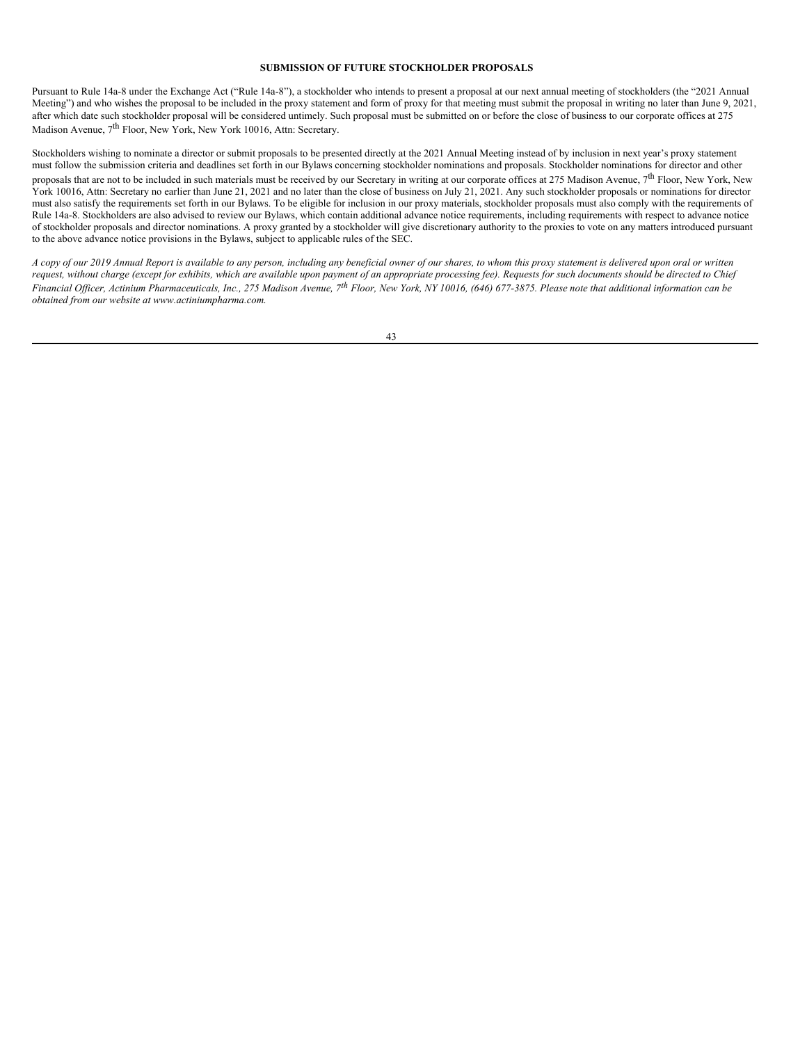### <span id="page-47-0"></span>**SUBMISSION OF FUTURE STOCKHOLDER PROPOSALS**

Pursuant to Rule 14a-8 under the Exchange Act ("Rule 14a-8"), a stockholder who intends to present a proposal at our next annual meeting of stockholders (the "2021 Annual Meeting") and who wishes the proposal to be included in the proxy statement and form of proxy for that meeting must submit the proposal in writing no later than June 9, 2021, after which date such stockholder proposal will be considered untimely. Such proposal must be submitted on or before the close of business to our corporate offices at 275 Madison Avenue, 7<sup>th</sup> Floor, New York, New York 10016, Attn: Secretary.

Stockholders wishing to nominate a director or submit proposals to be presented directly at the 2021 Annual Meeting instead of by inclusion in next year's proxy statement must follow the submission criteria and deadlines set forth in our Bylaws concerning stockholder nominations and proposals. Stockholder nominations for director and other proposals that are not to be included in such materials must be received by our Secretary in writing at our corporate offices at 275 Madison Avenue, 7<sup>th</sup> Floor, New York, New York 10016, Attn: Secretary no earlier than June 21, 2021 and no later than the close of business on July 21, 2021. Any such stockholder proposals or nominations for director must also satisfy the requirements set forth in our Bylaws. To be eligible for inclusion in our proxy materials, stockholder proposals must also comply with the requirements of Rule 14a-8. Stockholders are also advised to review our Bylaws, which contain additional advance notice requirements, including requirements with respect to advance notice of stockholder proposals and director nominations. A proxy granted by a stockholder will give discretionary authority to the proxies to vote on any matters introduced pursuant to the above advance notice provisions in the Bylaws, subject to applicable rules of the SEC.

A copy of our 2019 Annual Report is available to any person, including any beneficial owner of our shares, to whom this proxy statement is delivered upon oral or written request, without charge (except for exhibits, which are available upon payment of an appropriate processing fee). Requests for such documents should be directed to Chief Financial Officer, Actinium Pharmaceuticals, Inc., 275 Madison Avenue, 7<sup>th</sup> Floor, New York, NY 10016, (646) 677-3875. Please note that additional information can be *obtained from our website at www.actiniumpharma.com.*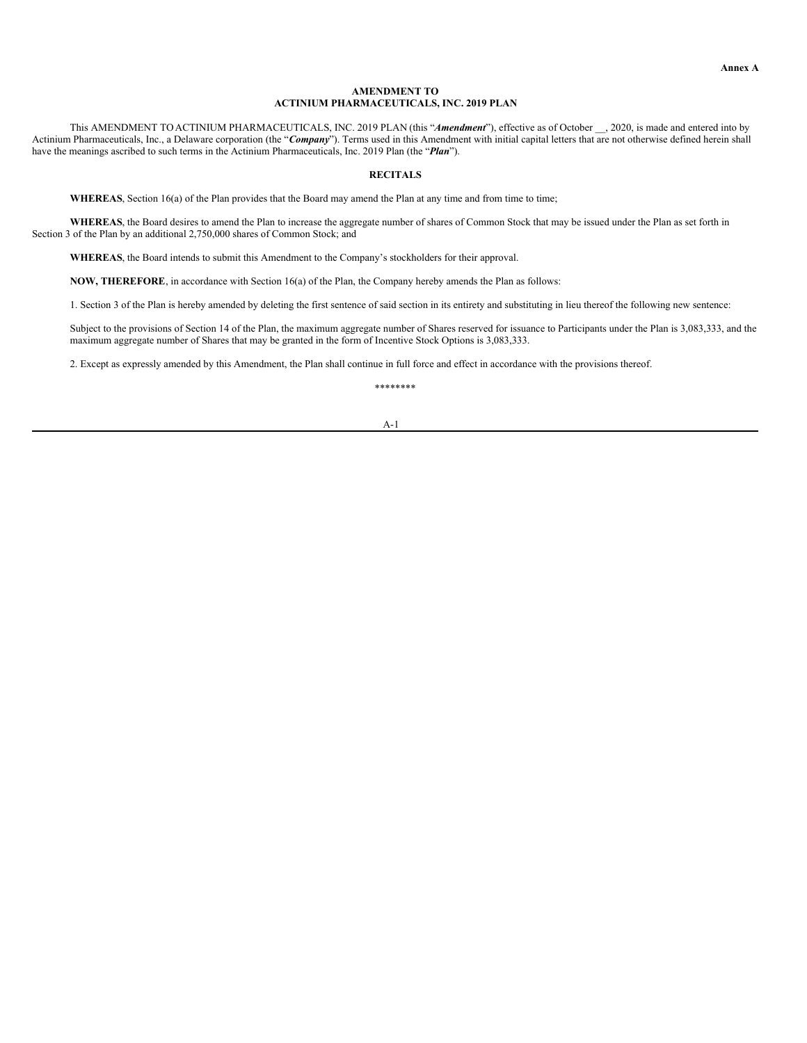### **AMENDMENT TO ACTINIUM PHARMACEUTICALS, INC. 2019 PLAN**

This AMENDMENT TOACTINIUM PHARMACEUTICALS, INC. 2019 PLAN (this "*Amendment*"), effective as of October \_\_, 2020, is made and entered into by Actinium Pharmaceuticals, Inc., a Delaware corporation (the "**Company**"). Terms used in this Amendment with initial capital letters that are not otherwise defined herein shall have the meanings ascribed to such terms in the Actinium Pharmaceuticals, Inc. 2019 Plan (the "*Plan*").

# <span id="page-48-0"></span>**RECITALS**

**WHEREAS**, Section 16(a) of the Plan provides that the Board may amend the Plan at any time and from time to time;

**WHEREAS**, the Board desires to amend the Plan to increase the aggregate number of shares of Common Stock that may be issued under the Plan as set forth in Section 3 of the Plan by an additional 2,750,000 shares of Common Stock; and

**WHEREAS**, the Board intends to submit this Amendment to the Company's stockholders for their approval.

**NOW, THEREFORE**, in accordance with Section 16(a) of the Plan, the Company hereby amends the Plan as follows:

1. Section 3 of the Plan is hereby amended by deleting the first sentence of said section in its entirety and substituting in lieu thereof the following new sentence:

Subject to the provisions of Section 14 of the Plan, the maximum aggregate number of Shares reserved for issuance to Participants under the Plan is 3,083,333, and the maximum aggregate number of Shares that may be granted in the form of Incentive Stock Options is 3,083,333.

2. Except as expressly amended by this Amendment, the Plan shall continue in full force and effect in accordance with the provisions thereof.

### \*\*\*\*\*\*\*\*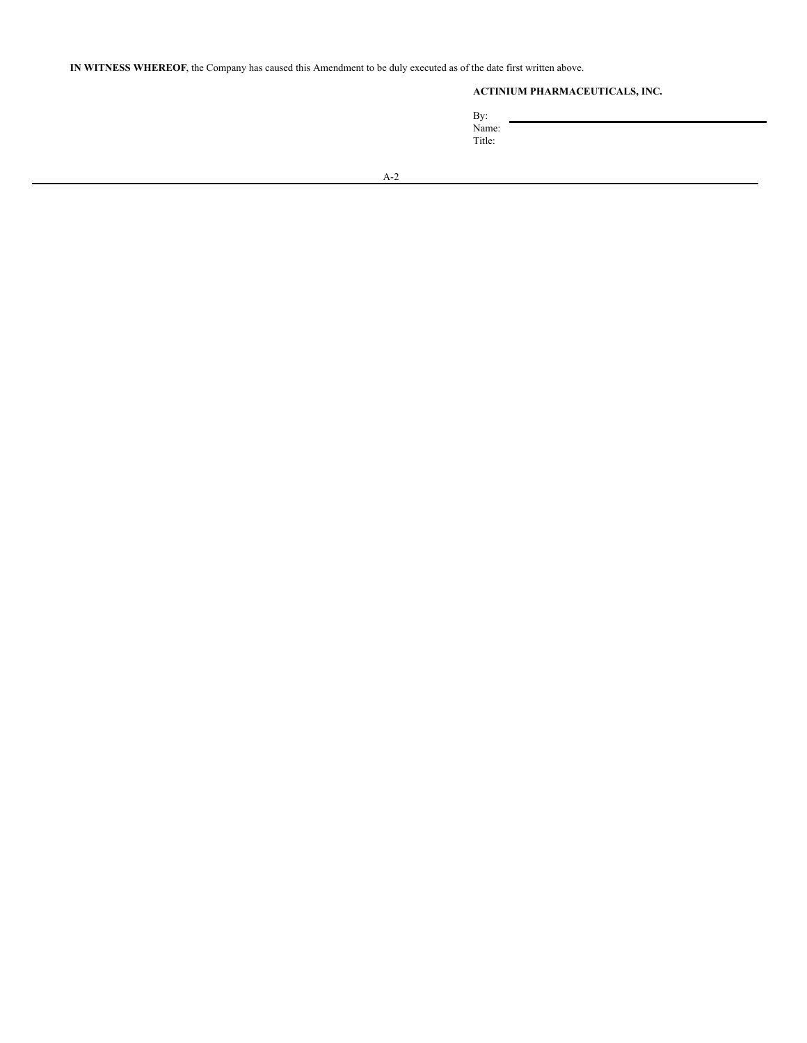**IN WITNESS WHEREOF**, the Company has caused this Amendment to be duly executed as of the date first written above.

# **ACTINIUM PHARMACEUTICALS, INC.**

By: Name: Title: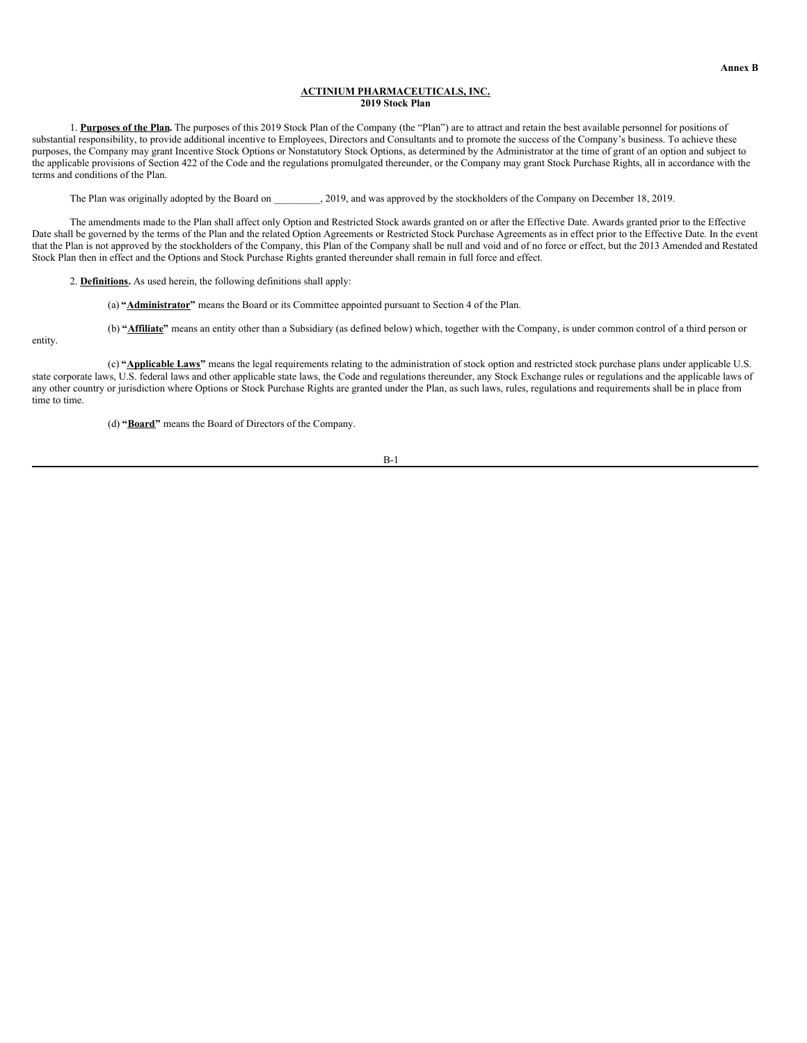## <span id="page-50-0"></span>**ACTINIUM PHARMACEUTICALS, INC. 2019 Stock Plan**

1. **Purposes of the Plan.** The purposes of this 2019 Stock Plan of the Company (the "Plan") are to attract and retain the best available personnel for positions of substantial responsibility, to provide additional incentive to Employees, Directors and Consultants and to promote the success of the Company's business. To achieve these purposes, the Company may grant Incentive Stock Options or Nonstatutory Stock Options, as determined by the Administrator at the time of grant of an option and subject to the applicable provisions of Section 422 of the Code and the regulations promulgated thereunder, or the Company may grant Stock Purchase Rights, all in accordance with the terms and conditions of the Plan.

The Plan was originally adopted by the Board on 2019, and was approved by the stockholders of the Company on December 18, 2019.

The amendments made to the Plan shall affect only Option and Restricted Stock awards granted on or after the Effective Date. Awards granted prior to the Effective Date shall be governed by the terms of the Plan and the related Option Agreements or Restricted Stock Purchase Agreements as in effect prior to the Effective Date. In the event that the Plan is not approved by the stockholders of the Company, this Plan of the Company shall be null and void and of no force or effect, but the 2013 Amended and Restated Stock Plan then in effect and the Options and Stock Purchase Rights granted thereunder shall remain in full force and effect.

2. **Definitions.** As used herein, the following definitions shall apply:

(a) **"Administrator"** means the Board or its Committee appointed pursuant to Section 4 of the Plan.

(b) **"Affiliate"** means an entity other than a Subsidiary (as defined below) which, together with the Company, is under common control of a third person or

entity.

(c) **"Applicable Laws"** means the legal requirements relating to the administration of stock option and restricted stock purchase plans under applicable U.S. state corporate laws, U.S. federal laws and other applicable state laws, the Code and regulations thereunder, any Stock Exchange rules or regulations and the applicable laws of any other country or jurisdiction where Options or Stock Purchase Rights are granted under the Plan, as such laws, rules, regulations and requirements shall be in place from time to time.

(d) **"Board"** means the Board of Directors of the Company.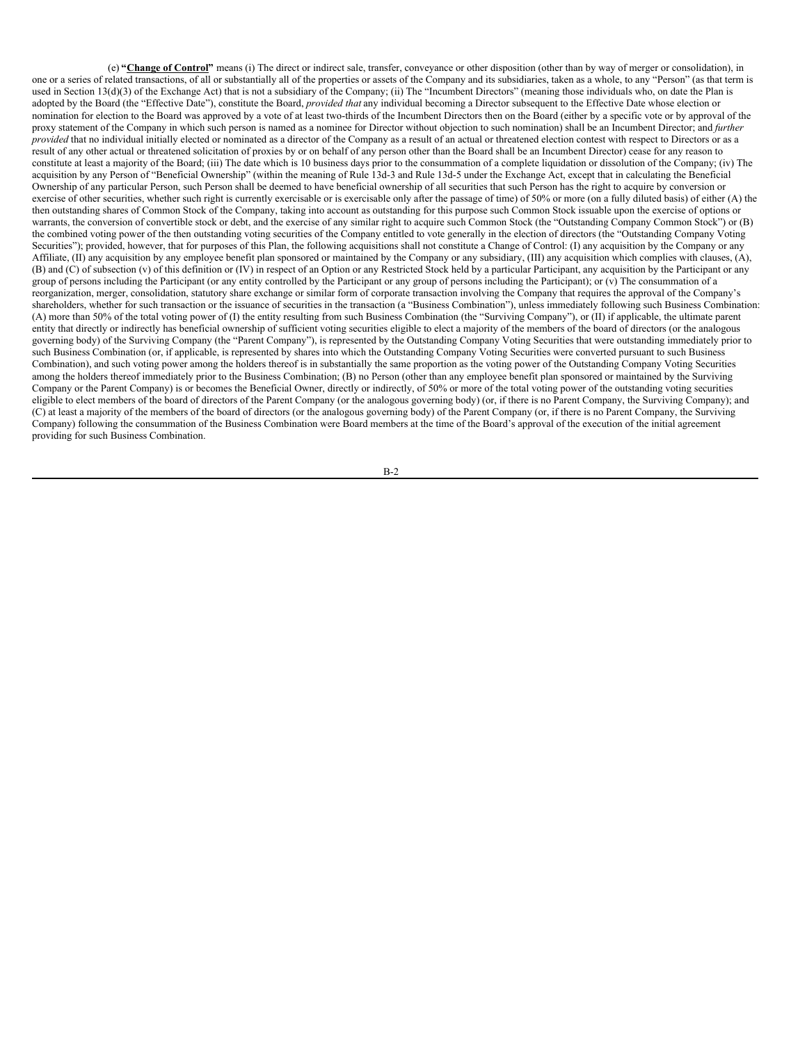(e) **"Change of Control"** means (i) The direct or indirect sale, transfer, conveyance or other disposition (other than by way of merger or consolidation), in one or a series of related transactions, of all or substantially all of the properties or assets of the Company and its subsidiaries, taken as a whole, to any "Person" (as that term is used in Section 13(d)(3) of the Exchange Act) that is not a subsidiary of the Company; (ii) The "Incumbent Directors" (meaning those individuals who, on date the Plan is adopted by the Board (the "Effective Date"), constitute the Board, *provided that* any individual becoming a Director subsequent to the Effective Date whose election or nomination for election to the Board was approved by a vote of at least two-thirds of the Incumbent Directors then on the Board (either by a specific vote or by approval of the proxy statement of the Company in which such person is named as a nominee for Director without objection to such nomination) shall be an Incumbent Director; and *further provided* that no individual initially elected or nominated as a director of the Company as a result of an actual or threatened election contest with respect to Directors or as a result of any other actual or threatened solicitation of proxies by or on behalf of any person other than the Board shall be an Incumbent Director) cease for any reason to constitute at least a majority of the Board; (iii) The date which is 10 business days prior to the consummation of a complete liquidation or dissolution of the Company; (iv) The acquisition by any Person of "Beneficial Ownership" (within the meaning of Rule 13d-3 and Rule 13d-5 under the Exchange Act, except that in calculating the Beneficial Ownership of any particular Person, such Person shall be deemed to have beneficial ownership of all securities that such Person has the right to acquire by conversion or exercise of other securities, whether such right is currently exercisable or is exercisable only after the passage of time) of 50% or more (on a fully diluted basis) of either (A) the then outstanding shares of Common Stock of the Company, taking into account as outstanding for this purpose such Common Stock issuable upon the exercise of options or warrants, the conversion of convertible stock or debt, and the exercise of any similar right to acquire such Common Stock (the "Outstanding Company Common Stock") or (B) the combined voting power of the then outstanding voting securities of the Company entitled to vote generally in the election of directors (the "Outstanding Company Voting Securities"); provided, however, that for purposes of this Plan, the following acquisitions shall not constitute a Change of Control: (I) any acquisition by the Company or any Affiliate, (II) any acquisition by any employee benefit plan sponsored or maintained by the Company or any subsidiary, (III) any acquisition which complies with clauses, (A), (B) and (C) of subsection (v) of this definition or (IV) in respect of an Option or any Restricted Stock held by a particular Participant, any acquisition by the Participant or any group of persons including the Participant (or any entity controlled by the Participant or any group of persons including the Participant); or (v) The consummation of a reorganization, merger, consolidation, statutory share exchange or similar form of corporate transaction involving the Company that requires the approval of the Company's shareholders, whether for such transaction or the issuance of securities in the transaction (a "Business Combination"), unless immediately following such Business Combination: (A) more than 50% of the total voting power of (I) the entity resulting from such Business Combination (the "Surviving Company"), or (II) if applicable, the ultimate parent entity that directly or indirectly has beneficial ownership of sufficient voting securities eligible to elect a majority of the members of the board of directors (or the analogous governing body) of the Surviving Company (the "Parent Company"), is represented by the Outstanding Company Voting Securities that were outstanding immediately prior to such Business Combination (or, if applicable, is represented by shares into which the Outstanding Company Voting Securities were converted pursuant to such Business Combination), and such voting power among the holders thereof is in substantially the same proportion as the voting power of the Outstanding Company Voting Securities among the holders thereof immediately prior to the Business Combination; (B) no Person (other than any employee benefit plan sponsored or maintained by the Surviving Company or the Parent Company) is or becomes the Beneficial Owner, directly or indirectly, of 50% or more of the total voting power of the outstanding voting securities eligible to elect members of the board of directors of the Parent Company (or the analogous governing body) (or, if there is no Parent Company, the Surviving Company); and (C) at least a majority of the members of the board of directors (or the analogous governing body) of the Parent Company (or, if there is no Parent Company, the Surviving Company) following the consummation of the Business Combination were Board members at the time of the Board's approval of the execution of the initial agreement providing for such Business Combination.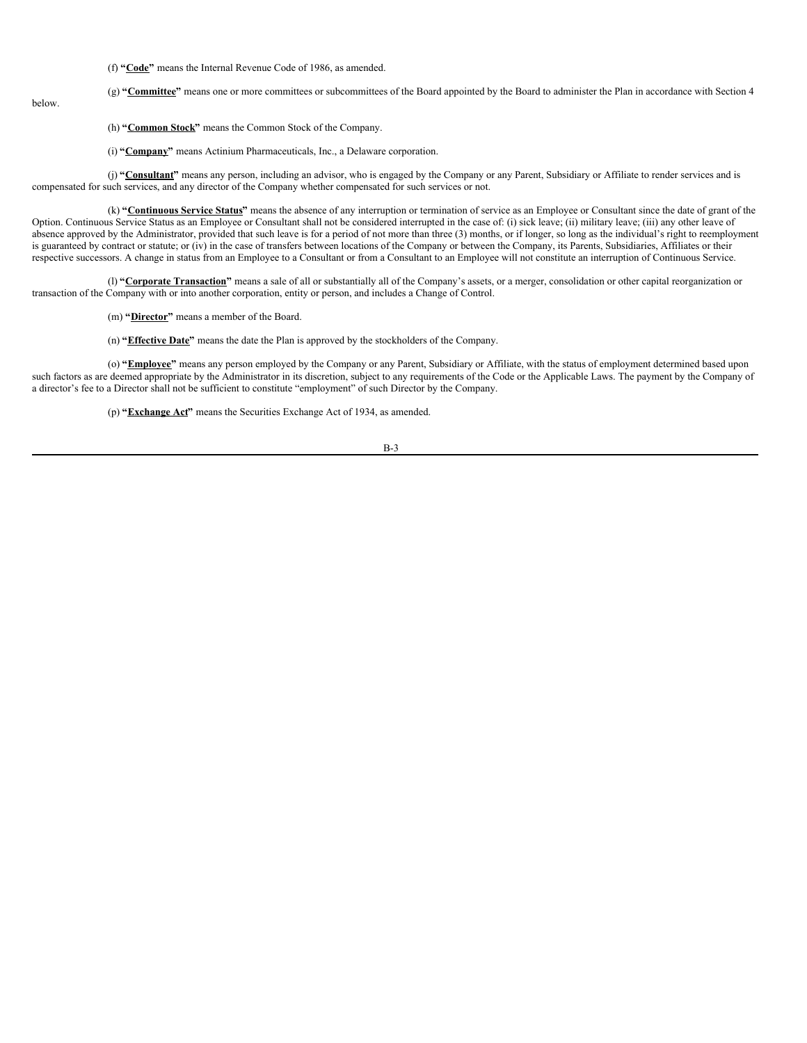(f) **"Code"** means the Internal Revenue Code of 1986, as amended.

(g) "Committee" means one or more committees or subcommittees of the Board appointed by the Board to administer the Plan in accordance with Section 4

below.

(h) **"Common Stock"** means the Common Stock of the Company.

(i) **"Company"** means Actinium Pharmaceuticals, Inc., a Delaware corporation.

(j) **"Consultant"** means any person, including an advisor, who is engaged by the Company or any Parent, Subsidiary or Affiliate to render services and is compensated for such services, and any director of the Company whether compensated for such services or not.

(k) **"Continuous Service Status"** means the absence of any interruption or termination of service as an Employee or Consultant since the date of grant of the Option. Continuous Service Status as an Employee or Consultant shall not be considered interrupted in the case of: (i) sick leave; (ii) military leave; (iii) any other leave of absence approved by the Administrator, provided that such leave is for a period of not more than three (3) months, or if longer, so long as the individual's right to reemployment is guaranteed by contract or statute; or (iv) in the case of transfers between locations of the Company or between the Company, its Parents, Subsidiaries, Affiliates or their respective successors. A change in status from an Employee to a Consultant or from a Consultant to an Employee will not constitute an interruption of Continuous Service.

(l) **"Corporate Transaction"** means a sale of all or substantially all of the Company's assets, or a merger, consolidation or other capital reorganization or transaction of the Company with or into another corporation, entity or person, and includes a Change of Control.

(m) **"Director"** means a member of the Board.

(n) **"Effective Date"** means the date the Plan is approved by the stockholders of the Company.

(o) **"Employee"** means any person employed by the Company or any Parent, Subsidiary or Affiliate, with the status of employment determined based upon such factors as are deemed appropriate by the Administrator in its discretion, subject to any requirements of the Code or the Applicable Laws. The payment by the Company of a director's fee to a Director shall not be sufficient to constitute "employment" of such Director by the Company.

(p) **"Exchange Act"** means the Securities Exchange Act of 1934, as amended.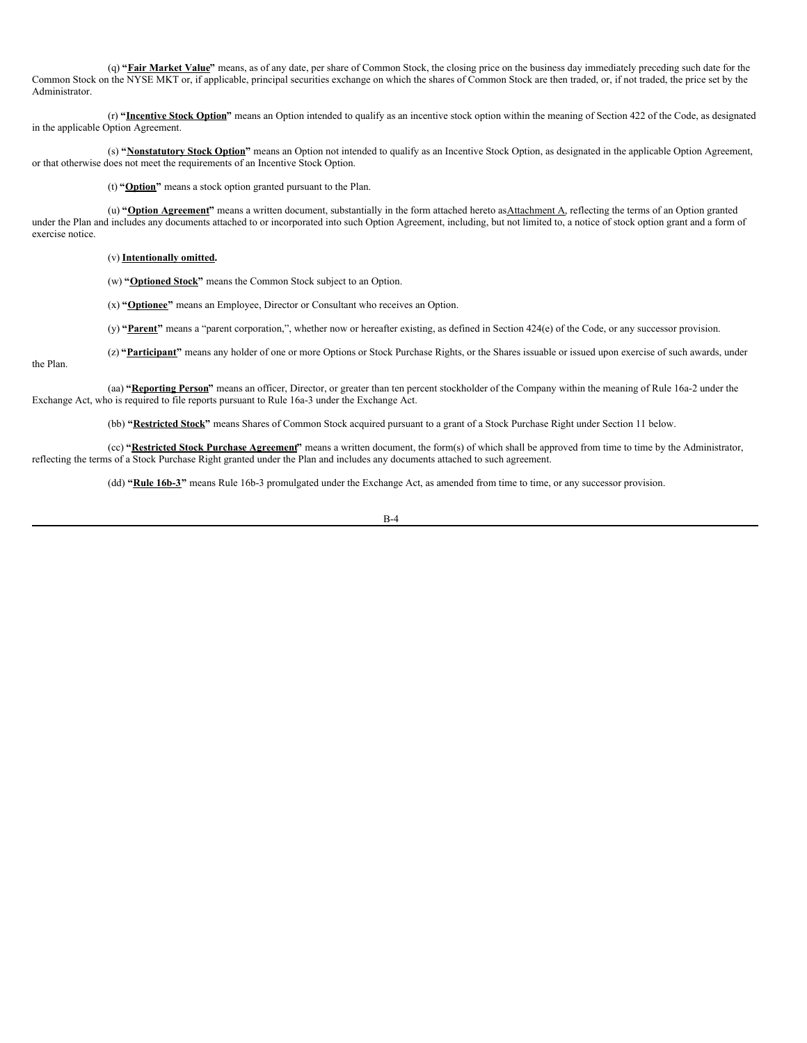(q) **"Fair Market Value"** means, as of any date, per share of Common Stock, the closing price on the business day immediately preceding such date for the Common Stock on the NYSE MKT or, if applicable, principal securities exchange on which the shares of Common Stock are then traded, or, if not traded, the price set by the Administrator.

(r) **"Incentive Stock Option"** means an Option intended to qualify as an incentive stock option within the meaning of Section 422 of the Code, as designated in the applicable Option Agreement.

(s) **"Nonstatutory Stock Option"** means an Option not intended to qualify as an Incentive Stock Option, as designated in the applicable Option Agreement, or that otherwise does not meet the requirements of an Incentive Stock Option.

(t) **"Option"** means a stock option granted pursuant to the Plan.

(u) "Option Agreement" means a written document, substantially in the form attached hereto as Attachment A, reflecting the terms of an Option granted under the Plan and includes any documents attached to or incorporated into such Option Agreement, including, but not limited to, a notice of stock option grant and a form of exercise notice.

#### (v) **Intentionally omitted.**

the Plan.

(w) **"Optioned Stock"** means the Common Stock subject to an Option.

(x) **"Optionee"** means an Employee, Director or Consultant who receives an Option.

(y) **"Parent"** means a "parent corporation,", whether now or hereafter existing, as defined in Section 424(e) of the Code, or any successor provision.

(z) "Participant" means any holder of one or more Options or Stock Purchase Rights, or the Shares issuable or issued upon exercise of such awards, under

(aa) **"Reporting Person"** means an officer, Director, or greater than ten percent stockholder of the Company within the meaning of Rule 16a-2 under the Exchange Act, who is required to file reports pursuant to Rule 16a-3 under the Exchange Act.

(bb) **"Restricted Stock"** means Shares of Common Stock acquired pursuant to a grant of a Stock Purchase Right under Section 11 below.

(cc) **"Restricted Stock Purchase Agreement"** means a written document, the form(s) of which shall be approved from time to time by the Administrator, reflecting the terms of a Stock Purchase Right granted under the Plan and includes any documents attached to such agreement.

(dd) **"Rule 16b-3"** means Rule 16b-3 promulgated under the Exchange Act, as amended from time to time, or any successor provision.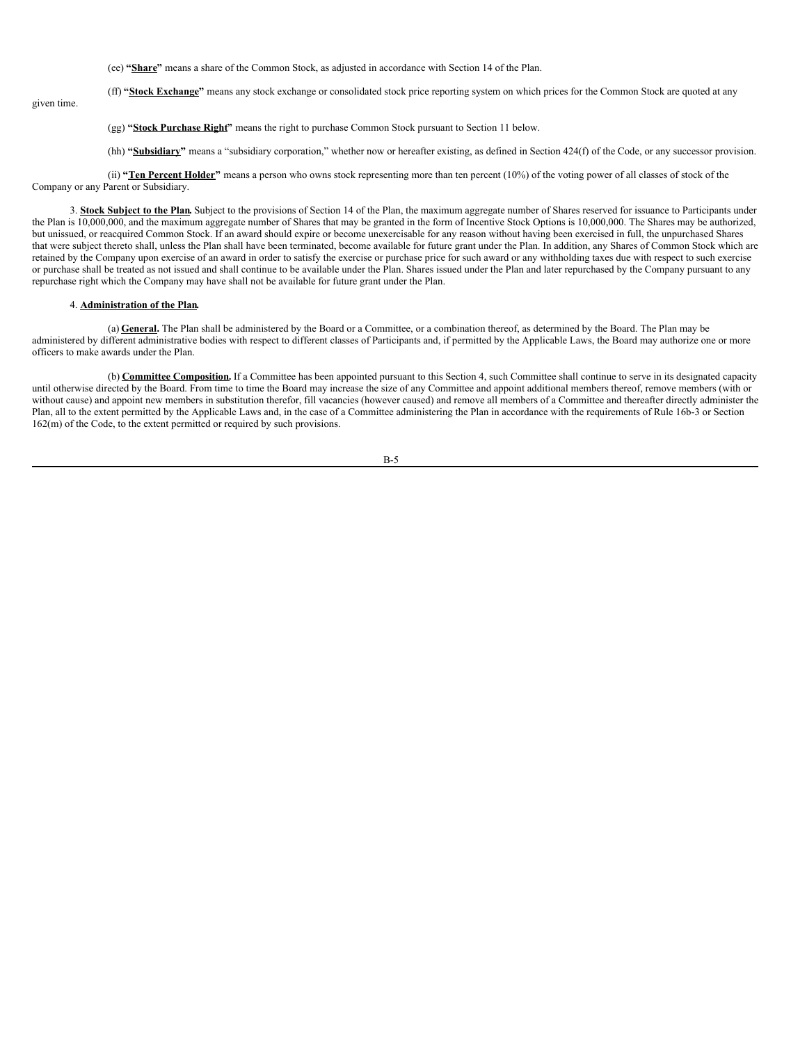(ee) **"Share"** means a share of the Common Stock, as adjusted in accordance with Section 14 of the Plan.

(ff) **"Stock Exchange"** means any stock exchange or consolidated stock price reporting system on which prices for the Common Stock are quoted at any

given time.

(gg) **"Stock Purchase Right"** means the right to purchase Common Stock pursuant to Section 11 below.

(hh) **"Subsidiary"** means a "subsidiary corporation," whether now or hereafter existing, as defined in Section 424(f) of the Code, or any successor provision.

(ii) **"Ten Percent Holder"** means a person who owns stock representing more than ten percent (10%) of the voting power of all classes of stock of the Company or any Parent or Subsidiary.

3. **Stock Subject to the Plan.** Subject to the provisions of Section 14 of the Plan, the maximum aggregate number of Shares reserved for issuance to Participants under the Plan is 10,000,000, and the maximum aggregate number of Shares that may be granted in the form of Incentive Stock Options is 10,000,000. The Shares may be authorized, but unissued, or reacquired Common Stock. If an award should expire or become unexercisable for any reason without having been exercised in full, the unpurchased Shares that were subject thereto shall, unless the Plan shall have been terminated, become available for future grant under the Plan. In addition, any Shares of Common Stock which are retained by the Company upon exercise of an award in order to satisfy the exercise or purchase price for such award or any withholding taxes due with respect to such exercise or purchase shall be treated as not issued and shall continue to be available under the Plan. Shares issued under the Plan and later repurchased by the Company pursuant to any repurchase right which the Company may have shall not be available for future grant under the Plan.

#### 4. **Administration of the Plan.**

(a) **General.** The Plan shall be administered by the Board or a Committee, or a combination thereof, as determined by the Board. The Plan may be administered by different administrative bodies with respect to different classes of Participants and, if permitted by the Applicable Laws, the Board may authorize one or more officers to make awards under the Plan.

(b) **Committee Composition.** If a Committee has been appointed pursuant to this Section 4, such Committee shall continue to serve in its designated capacity until otherwise directed by the Board. From time to time the Board may increase the size of any Committee and appoint additional members thereof, remove members (with or without cause) and appoint new members in substitution therefor, fill vacancies (however caused) and remove all members of a Committee and thereafter directly administer the Plan, all to the extent permitted by the Applicable Laws and, in the case of a Committee administering the Plan in accordance with the requirements of Rule 16b-3 or Section 162(m) of the Code, to the extent permitted or required by such provisions.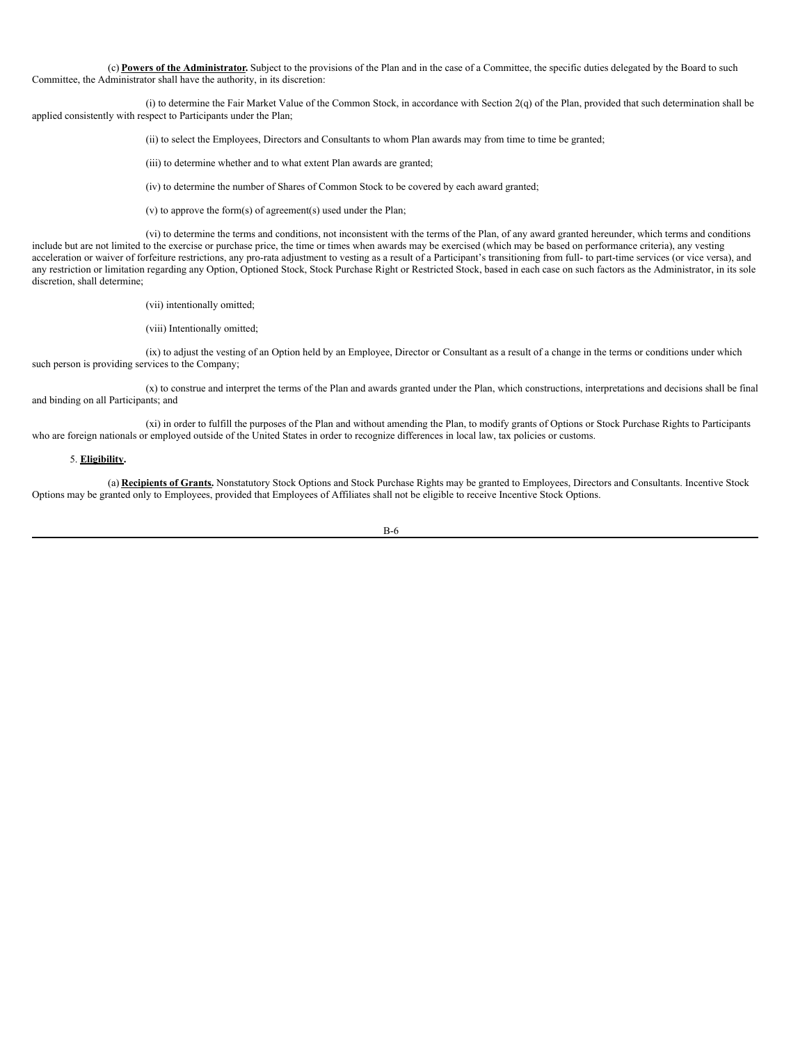(c) **Powers of the Administrator.** Subject to the provisions of the Plan and in the case of a Committee, the specific duties delegated by the Board to such Committee, the Administrator shall have the authority, in its discretion:

(i) to determine the Fair Market Value of the Common Stock, in accordance with Section 2(q) of the Plan, provided that such determination shall be applied consistently with respect to Participants under the Plan;

(ii) to select the Employees, Directors and Consultants to whom Plan awards may from time to time be granted;

(iii) to determine whether and to what extent Plan awards are granted;

(iv) to determine the number of Shares of Common Stock to be covered by each award granted;

(v) to approve the form(s) of agreement(s) used under the Plan;

(vi) to determine the terms and conditions, not inconsistent with the terms of the Plan, of any award granted hereunder, which terms and conditions include but are not limited to the exercise or purchase price, the time or times when awards may be exercised (which may be based on performance criteria), any vesting acceleration or waiver of forfeiture restrictions, any pro-rata adjustment to vesting as a result of a Participant's transitioning from full- to part-time services (or vice versa), and any restriction or limitation regarding any Option, Optioned Stock, Stock Purchase Right or Restricted Stock, based in each case on such factors as the Administrator, in its sole discretion, shall determine;

(vii) intentionally omitted;

(viii) Intentionally omitted;

(ix) to adjust the vesting of an Option held by an Employee, Director or Consultant as a result of a change in the terms or conditions under which such person is providing services to the Company;

(x) to construe and interpret the terms of the Plan and awards granted under the Plan, which constructions, interpretations and decisions shall be final and binding on all Participants; and

(xi) in order to fulfill the purposes of the Plan and without amending the Plan, to modify grants of Options or Stock Purchase Rights to Participants who are foreign nationals or employed outside of the United States in order to recognize differences in local law, tax policies or customs.

### 5. **Eligibility.**

(a) **Recipients of Grants.** Nonstatutory Stock Options and Stock Purchase Rights may be granted to Employees, Directors and Consultants. Incentive Stock Options may be granted only to Employees, provided that Employees of Affiliates shall not be eligible to receive Incentive Stock Options.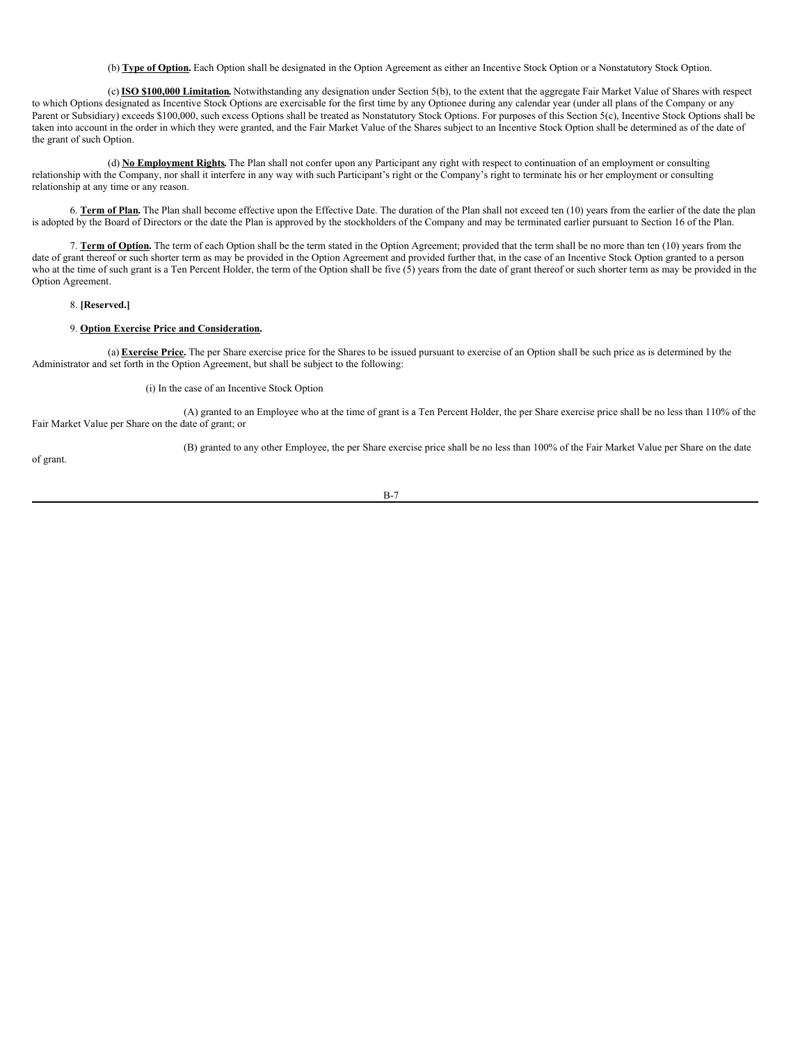(b) **Type of Option.** Each Option shall be designated in the Option Agreement as either an Incentive Stock Option or a Nonstatutory Stock Option.

(c) **ISO \$100,000 Limitation.** Notwithstanding any designation under Section 5(b), to the extent that the aggregate Fair Market Value of Shares with respect to which Options designated as Incentive Stock Options are exercisable for the first time by any Optionee during any calendar year (under all plans of the Company or any Parent or Subsidiary) exceeds \$100,000, such excess Options shall be treated as Nonstatutory Stock Options. For purposes of this Section 5(c), Incentive Stock Options shall be taken into account in the order in which they were granted, and the Fair Market Value of the Shares subject to an Incentive Stock Option shall be determined as of the date of the grant of such Option.

(d) **No Employment Rights.** The Plan shall not confer upon any Participant any right with respect to continuation of an employment or consulting relationship with the Company, nor shall it interfere in any way with such Participant's right or the Company's right to terminate his or her employment or consulting relationship at any time or any reason.

6. **Term of Plan.** The Plan shall become effective upon the Effective Date. The duration of the Plan shall not exceed ten (10) years from the earlier of the date the plan is adopted by the Board of Directors or the date the Plan is approved by the stockholders of the Company and may be terminated earlier pursuant to Section 16 of the Plan.

7. **Term of Option.** The term of each Option shall be the term stated in the Option Agreement; provided that the term shall be no more than ten (10) years from the date of grant thereof or such shorter term as may be provided in the Option Agreement and provided further that, in the case of an Incentive Stock Option granted to a person who at the time of such grant is a Ten Percent Holder, the term of the Option shall be five  $(5)$  years from the date of grant thereof or such shorter term as may be provided in the Option Agreement.

#### 8. **[Reserved.]**

## 9. **Option Exercise Price and Consideration.**

(a) **Exercise Price.** The per Share exercise price for the Shares to be issued pursuant to exercise of an Option shall be such price as is determined by the Administrator and set forth in the Option Agreement, but shall be subject to the following:

(i) In the case of an Incentive Stock Option

(A) granted to an Employee who at the time of grant is a Ten Percent Holder, the per Share exercise price shall be no less than 110% of the Fair Market Value per Share on the date of grant; or

(B) granted to any other Employee, the per Share exercise price shall be no less than 100% of the Fair Market Value per Share on the date

of grant.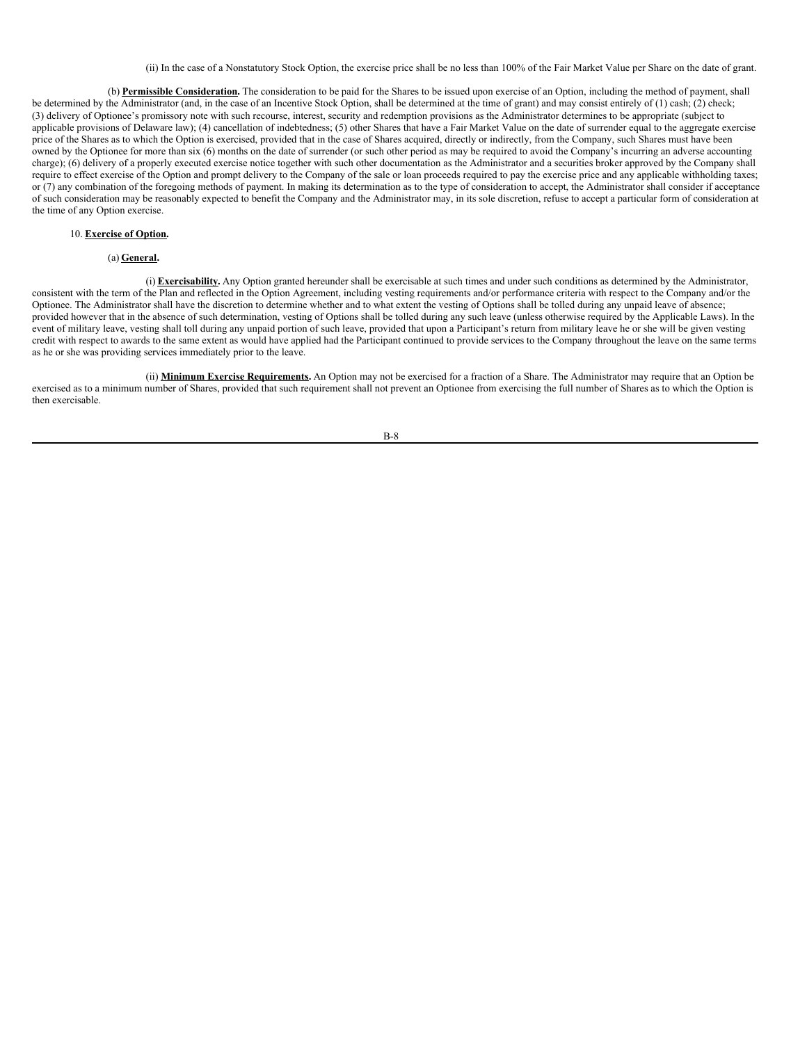(ii) In the case of a Nonstatutory Stock Option, the exercise price shall be no less than 100% of the Fair Market Value per Share on the date of grant.

(b) **Permissible Consideration.** The consideration to be paid for the Shares to be issued upon exercise of an Option, including the method of payment, shall be determined by the Administrator (and, in the case of an Incentive Stock Option, shall be determined at the time of grant) and may consist entirely of (1) cash; (2) check; (3) delivery of Optionee's promissory note with such recourse, interest, security and redemption provisions as the Administrator determines to be appropriate (subject to applicable provisions of Delaware law); (4) cancellation of indebtedness; (5) other Shares that have a Fair Market Value on the date of surrender equal to the aggregate exercise price of the Shares as to which the Option is exercised, provided that in the case of Shares acquired, directly or indirectly, from the Company, such Shares must have been owned by the Optionee for more than six (6) months on the date of surrender (or such other period as may be required to avoid the Company's incurring an adverse accounting charge); (6) delivery of a properly executed exercise notice together with such other documentation as the Administrator and a securities broker approved by the Company shall require to effect exercise of the Option and prompt delivery to the Company of the sale or loan proceeds required to pay the exercise price and any applicable withholding taxes; or (7) any combination of the foregoing methods of payment. In making its determination as to the type of consideration to accept, the Administrator shall consider if acceptance of such consideration may be reasonably expected to benefit the Company and the Administrator may, in its sole discretion, refuse to accept a particular form of consideration at the time of any Option exercise.

# 10. **Exercise of Option.**

# (a) **General.**

(i) **Exercisability.** Any Option granted hereunder shall be exercisable at such times and under such conditions as determined by the Administrator, consistent with the term of the Plan and reflected in the Option Agreement, including vesting requirements and/or performance criteria with respect to the Company and/or the Optionee. The Administrator shall have the discretion to determine whether and to what extent the vesting of Options shall be tolled during any unpaid leave of absence; provided however that in the absence of such determination, vesting of Options shall be tolled during any such leave (unless otherwise required by the Applicable Laws). In the event of military leave, vesting shall toll during any unpaid portion of such leave, provided that upon a Participant's return from military leave he or she will be given vesting credit with respect to awards to the same extent as would have applied had the Participant continued to provide services to the Company throughout the leave on the same terms as he or she was providing services immediately prior to the leave.

(ii) **Minimum Exercise Requirements.** An Option may not be exercised for a fraction of a Share. The Administrator may require that an Option be exercised as to a minimum number of Shares, provided that such requirement shall not prevent an Optionee from exercising the full number of Shares as to which the Option is then exercisable.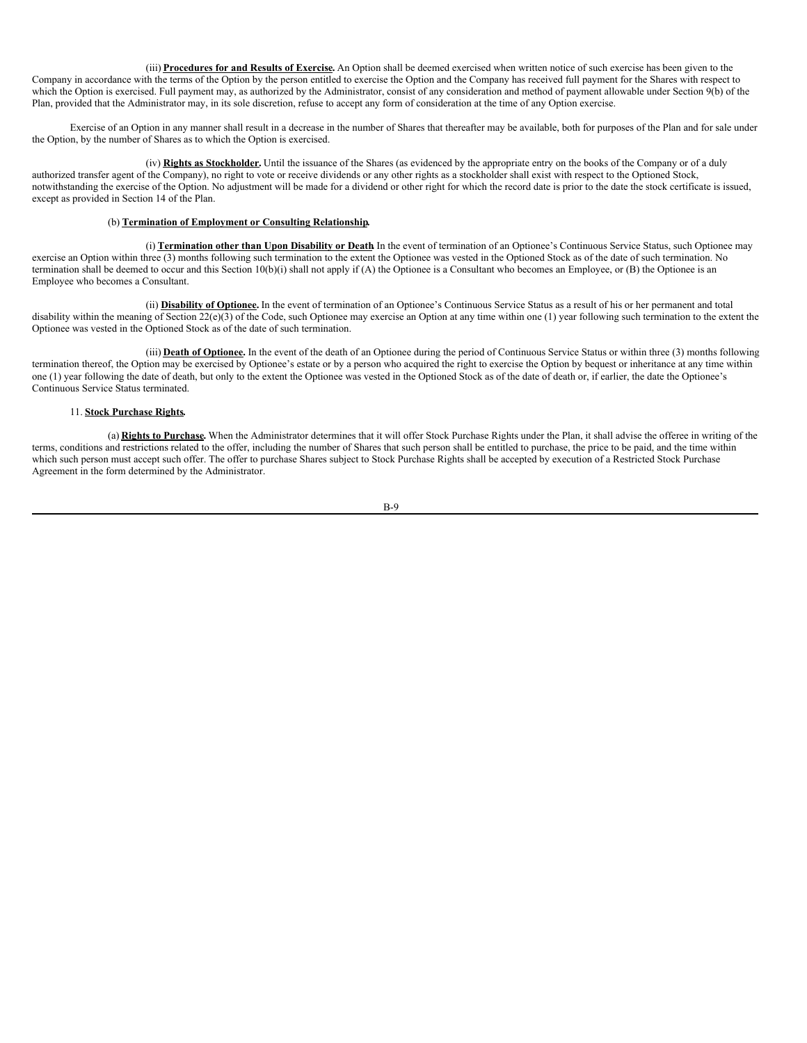(iii) **Procedures for and Results of Exercise.** An Option shall be deemed exercised when written notice of such exercise has been given to the Company in accordance with the terms of the Option by the person entitled to exercise the Option and the Company has received full payment for the Shares with respect to which the Option is exercised. Full payment may, as authorized by the Administrator, consist of any consideration and method of payment allowable under Section 9(b) of the Plan, provided that the Administrator may, in its sole discretion, refuse to accept any form of consideration at the time of any Option exercise.

Exercise of an Option in any manner shall result in a decrease in the number of Shares that thereafter may be available, both for purposes of the Plan and for sale under the Option, by the number of Shares as to which the Option is exercised.

(iv) **Rights as Stockholder.** Until the issuance of the Shares (as evidenced by the appropriate entry on the books of the Company or of a duly authorized transfer agent of the Company), no right to vote or receive dividends or any other rights as a stockholder shall exist with respect to the Optioned Stock, notwithstanding the exercise of the Option. No adjustment will be made for a dividend or other right for which the record date is prior to the date the stock certificate is issued, except as provided in Section 14 of the Plan.

### (b) **Termination of Employment or Consulting Relationship.**

(i) **Termination other than Upon Disability or Death.** In the event of termination of an Optionee's Continuous Service Status, such Optionee may exercise an Option within three (3) months following such termination to the extent the Optionee was vested in the Optioned Stock as of the date of such termination. No termination shall be deemed to occur and this Section 10(b)(i) shall not apply if (A) the Optionee is a Consultant who becomes an Employee, or (B) the Optionee is an Employee who becomes a Consultant.

(ii) **Disability of Optionee.** In the event of termination of an Optionee's Continuous Service Status as a result of his or her permanent and total disability within the meaning of Section  $22(e)(3)$  of the Code, such Optionee may exercise an Option at any time within one (1) year following such termination to the extent the Optionee was vested in the Optioned Stock as of the date of such termination.

(iii) **Death of Optionee.** In the event of the death of an Optionee during the period of Continuous Service Status or within three (3) months following termination thereof, the Option may be exercised by Optionee's estate or by a person who acquired the right to exercise the Option by bequest or inheritance at any time within one (1) year following the date of death, but only to the extent the Optionee was vested in the Optioned Stock as of the date of death or, if earlier, the date the Optionee's Continuous Service Status terminated.

# 11. **Stock Purchase Rights.**

(a) **Rights to Purchase.** When the Administrator determines that it will offer Stock Purchase Rights under the Plan, it shall advise the offeree in writing of the terms, conditions and restrictions related to the offer, including the number of Shares that such person shall be entitled to purchase, the price to be paid, and the time within which such person must accept such offer. The offer to purchase Shares subject to Stock Purchase Rights shall be accepted by execution of a Restricted Stock Purchase Agreement in the form determined by the Administrator.

$$
B-9
$$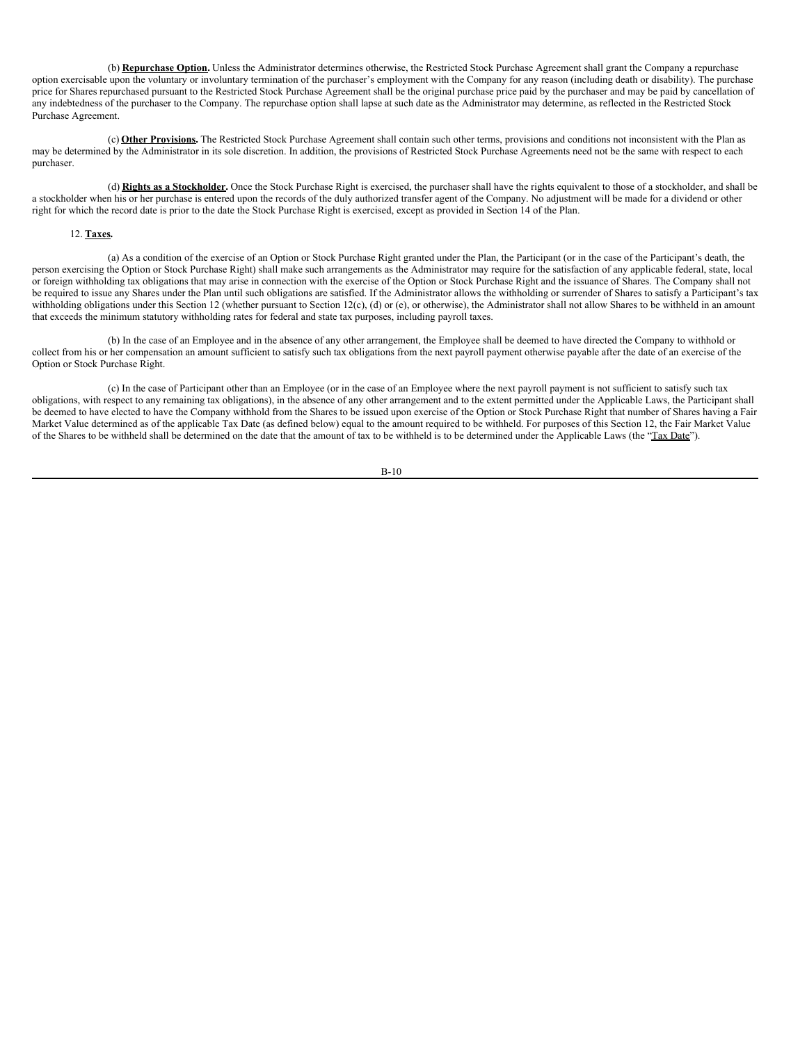(b) **Repurchase Option.** Unless the Administrator determines otherwise, the Restricted Stock Purchase Agreement shall grant the Company a repurchase option exercisable upon the voluntary or involuntary termination of the purchaser's employment with the Company for any reason (including death or disability). The purchase price for Shares repurchased pursuant to the Restricted Stock Purchase Agreement shall be the original purchase price paid by the purchaser and may be paid by cancellation of any indebtedness of the purchaser to the Company. The repurchase option shall lapse at such date as the Administrator may determine, as reflected in the Restricted Stock Purchase Agreement.

(c) **Other Provisions.** The Restricted Stock Purchase Agreement shall contain such other terms, provisions and conditions not inconsistent with the Plan as may be determined by the Administrator in its sole discretion. In addition, the provisions of Restricted Stock Purchase Agreements need not be the same with respect to each purchaser.

(d) **Rights as a Stockholder.** Once the Stock Purchase Right is exercised, the purchaser shall have the rights equivalent to those of a stockholder, and shall be a stockholder when his or her purchase is entered upon the records of the duly authorized transfer agent of the Company. No adjustment will be made for a dividend or other right for which the record date is prior to the date the Stock Purchase Right is exercised, except as provided in Section 14 of the Plan.

# 12. **Taxes.**

(a) As a condition of the exercise of an Option or Stock Purchase Right granted under the Plan, the Participant (or in the case of the Participant's death, the person exercising the Option or Stock Purchase Right) shall make such arrangements as the Administrator may require for the satisfaction of any applicable federal, state, local or foreign withholding tax obligations that may arise in connection with the exercise of the Option or Stock Purchase Right and the issuance of Shares. The Company shall not be required to issue any Shares under the Plan until such obligations are satisfied. If the Administrator allows the withholding or surrender of Shares to satisfy a Participant's tax withholding obligations under this Section 12 (whether pursuant to Section 12(c), (d) or (e), or otherwise), the Administrator shall not allow Shares to be withheld in an amount that exceeds the minimum statutory withholding rates for federal and state tax purposes, including payroll taxes.

(b) In the case of an Employee and in the absence of any other arrangement, the Employee shall be deemed to have directed the Company to withhold or collect from his or her compensation an amount sufficient to satisfy such tax obligations from the next payroll payment otherwise payable after the date of an exercise of the Option or Stock Purchase Right.

(c) In the case of Participant other than an Employee (or in the case of an Employee where the next payroll payment is not sufficient to satisfy such tax obligations, with respect to any remaining tax obligations), in the absence of any other arrangement and to the extent permitted under the Applicable Laws, the Participant shall be deemed to have elected to have the Company withhold from the Shares to be issued upon exercise of the Option or Stock Purchase Right that number of Shares having a Fair Market Value determined as of the applicable Tax Date (as defined below) equal to the amount required to be withheld. For purposes of this Section 12, the Fair Market Value of the Shares to be withheld shall be determined on the date that the amount of tax to be withheld is to be determined under the Applicable Laws (the "Tax Date").

$$
B-10
$$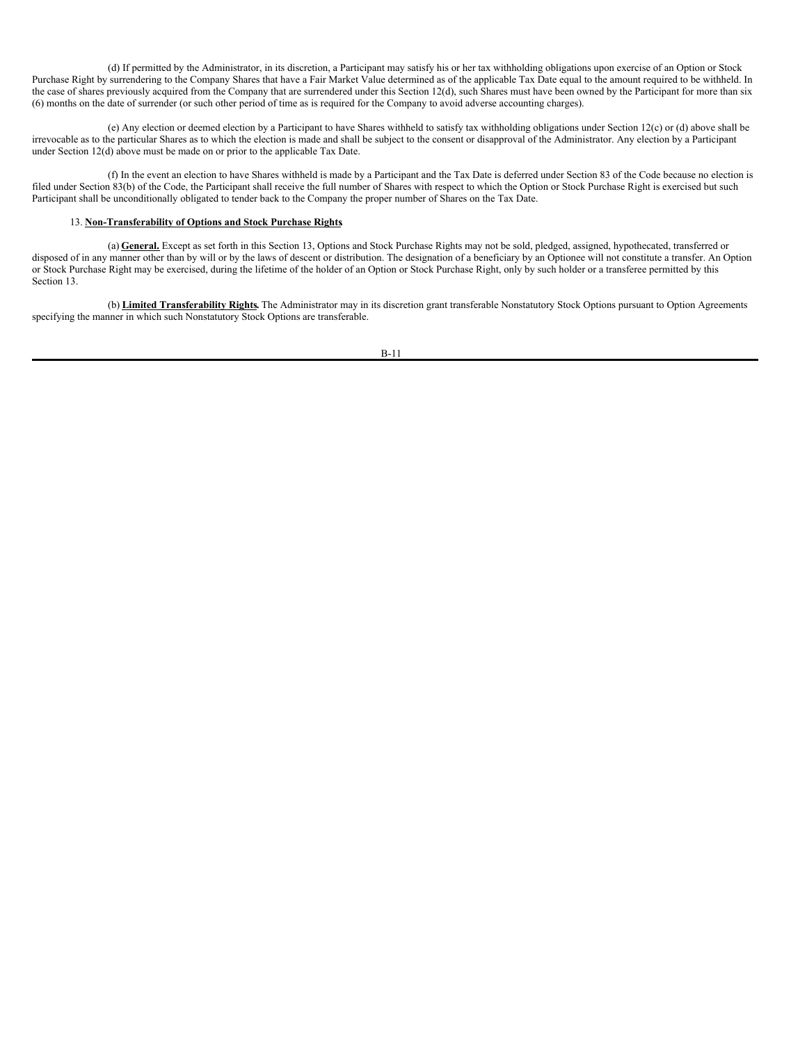(d) If permitted by the Administrator, in its discretion, a Participant may satisfy his or her tax withholding obligations upon exercise of an Option or Stock Purchase Right by surrendering to the Company Shares that have a Fair Market Value determined as of the applicable Tax Date equal to the amount required to be withheld. In the case of shares previously acquired from the Company that are surrendered under this Section 12(d), such Shares must have been owned by the Participant for more than six (6) months on the date of surrender (or such other period of time as is required for the Company to avoid adverse accounting charges).

(e) Any election or deemed election by a Participant to have Shares withheld to satisfy tax withholding obligations under Section 12(c) or (d) above shall be irrevocable as to the particular Shares as to which the election is made and shall be subject to the consent or disapproval of the Administrator. Any election by a Participant under Section 12(d) above must be made on or prior to the applicable Tax Date.

(f) In the event an election to have Shares withheld is made by a Participant and the Tax Date is deferred under Section 83 of the Code because no election is filed under Section 83(b) of the Code, the Participant shall receive the full number of Shares with respect to which the Option or Stock Purchase Right is exercised but such Participant shall be unconditionally obligated to tender back to the Company the proper number of Shares on the Tax Date.

### 13. **Non-Transferability of Options and Stock Purchase Rights.**

(a) **General.** Except as set forth in this Section 13, Options and Stock Purchase Rights may not be sold, pledged, assigned, hypothecated, transferred or disposed of in any manner other than by will or by the laws of descent or distribution. The designation of a beneficiary by an Optionee will not constitute a transfer. An Option or Stock Purchase Right may be exercised, during the lifetime of the holder of an Option or Stock Purchase Right, only by such holder or a transferee permitted by this Section 13.

(b) **Limited Transferability Rights.** The Administrator may in its discretion grant transferable Nonstatutory Stock Options pursuant to Option Agreements specifying the manner in which such Nonstatutory Stock Options are transferable.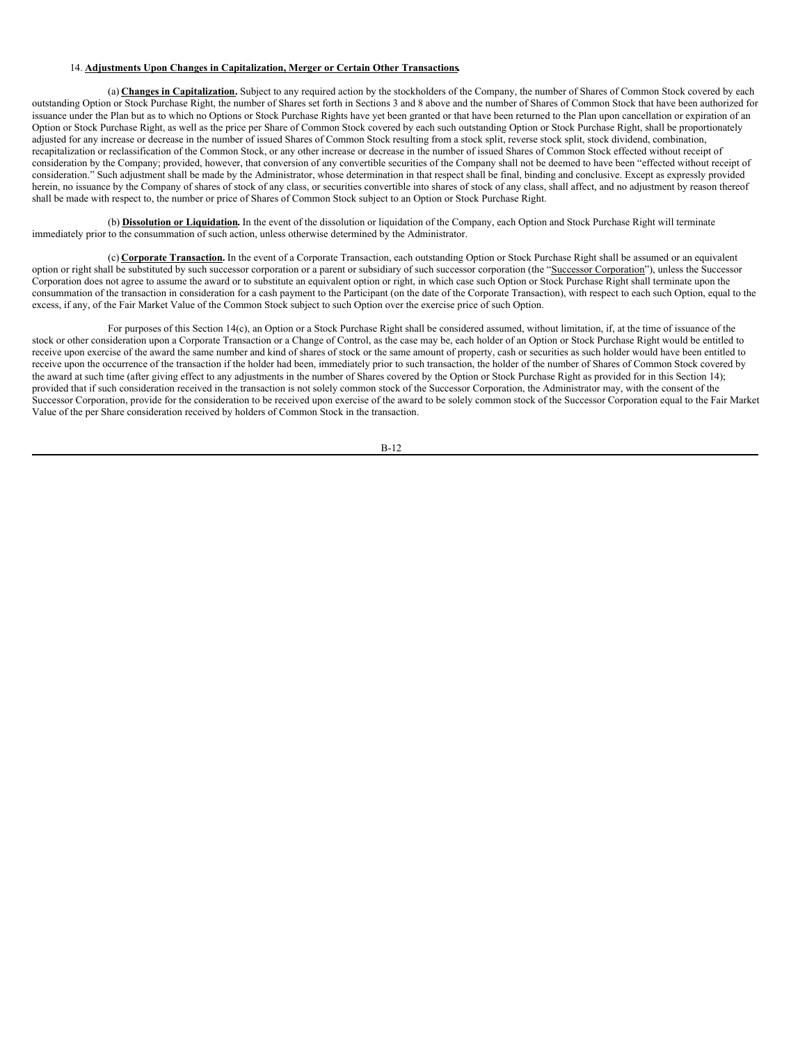### 14. **Adjustments Upon Changes in Capitalization, Merger or Certain Other Transactions.**

(a) **Changes in Capitalization.** Subject to any required action by the stockholders of the Company, the number of Shares of Common Stock covered by each outstanding Option or Stock Purchase Right, the number of Shares set forth in Sections 3 and 8 above and the number of Shares of Common Stock that have been authorized for issuance under the Plan but as to which no Options or Stock Purchase Rights have yet been granted or that have been returned to the Plan upon cancellation or expiration of an Option or Stock Purchase Right, as well as the price per Share of Common Stock covered by each such outstanding Option or Stock Purchase Right, shall be proportionately adjusted for any increase or decrease in the number of issued Shares of Common Stock resulting from a stock split, reverse stock split, stock dividend, combination, recapitalization or reclassification of the Common Stock, or any other increase or decrease in the number of issued Shares of Common Stock effected without receipt of consideration by the Company; provided, however, that conversion of any convertible securities of the Company shall not be deemed to have been "effected without receipt of consideration." Such adjustment shall be made by the Administrator, whose determination in that respect shall be final, binding and conclusive. Except as expressly provided herein, no issuance by the Company of shares of stock of any class, or securities convertible into shares of stock of any class, shall affect, and no adjustment by reason thereof shall be made with respect to, the number or price of Shares of Common Stock subject to an Option or Stock Purchase Right.

(b) **Dissolution or Liquidation.** In the event of the dissolution or liquidation of the Company, each Option and Stock Purchase Right will terminate immediately prior to the consummation of such action, unless otherwise determined by the Administrator.

(c) **Corporate Transaction.** In the event of a Corporate Transaction, each outstanding Option or Stock Purchase Right shall be assumed or an equivalent option or right shall be substituted by such successor corporation or a parent or subsidiary of such successor corporation (the "Successor Corporation"), unless the Successor Corporation does not agree to assume the award or to substitute an equivalent option or right, in which case such Option or Stock Purchase Right shall terminate upon the consummation of the transaction in consideration for a cash payment to the Participant (on the date of the Corporate Transaction), with respect to each such Option, equal to the excess, if any, of the Fair Market Value of the Common Stock subject to such Option over the exercise price of such Option.

For purposes of this Section 14(c), an Option or a Stock Purchase Right shall be considered assumed, without limitation, if, at the time of issuance of the stock or other consideration upon a Corporate Transaction or a Change of Control, as the case may be, each holder of an Option or Stock Purchase Right would be entitled to receive upon exercise of the award the same number and kind of shares of stock or the same amount of property, cash or securities as such holder would have been entitled to receive upon the occurrence of the transaction if the holder had been, immediately prior to such transaction, the holder of the number of Shares of Common Stock covered by the award at such time (after giving effect to any adjustments in the number of Shares covered by the Option or Stock Purchase Right as provided for in this Section 14); provided that if such consideration received in the transaction is not solely common stock of the Successor Corporation, the Administrator may, with the consent of the Successor Corporation, provide for the consideration to be received upon exercise of the award to be solely common stock of the Successor Corporation equal to the Fair Market Value of the per Share consideration received by holders of Common Stock in the transaction.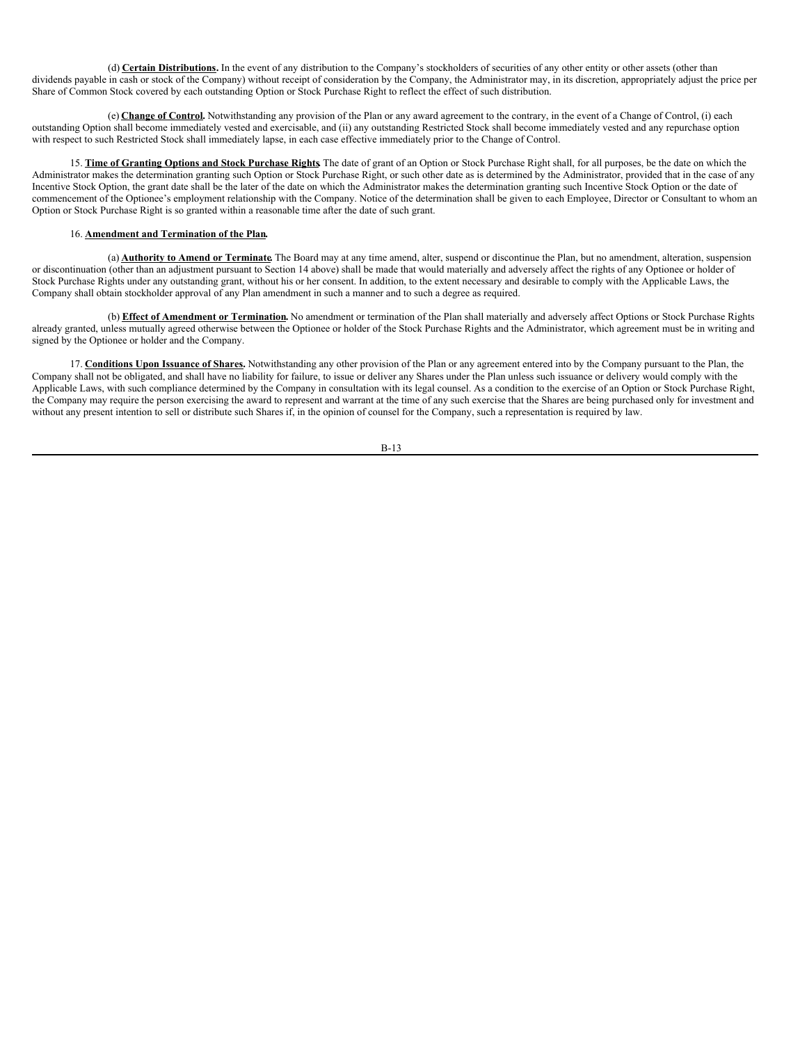(d) **Certain Distributions.** In the event of any distribution to the Company's stockholders of securities of any other entity or other assets (other than dividends payable in cash or stock of the Company) without receipt of consideration by the Company, the Administrator may, in its discretion, appropriately adjust the price per Share of Common Stock covered by each outstanding Option or Stock Purchase Right to reflect the effect of such distribution.

(e) **Change of Control.** Notwithstanding any provision of the Plan or any award agreement to the contrary, in the event of a Change of Control, (i) each outstanding Option shall become immediately vested and exercisable, and (ii) any outstanding Restricted Stock shall become immediately vested and any repurchase option with respect to such Restricted Stock shall immediately lapse, in each case effective immediately prior to the Change of Control.

15. **Time of Granting Options and Stock Purchase Rights.** The date of grant of an Option or Stock Purchase Right shall, for all purposes, be the date on which the Administrator makes the determination granting such Option or Stock Purchase Right, or such other date as is determined by the Administrator, provided that in the case of any Incentive Stock Option, the grant date shall be the later of the date on which the Administrator makes the determination granting such Incentive Stock Option or the date of commencement of the Optionee's employment relationship with the Company. Notice of the determination shall be given to each Employee, Director or Consultant to whom an Option or Stock Purchase Right is so granted within a reasonable time after the date of such grant.

## 16. **Amendment and Termination of the Plan.**

(a) **Authority to Amend or Terminate.** The Board may at any time amend, alter, suspend or discontinue the Plan, but no amendment, alteration, suspension or discontinuation (other than an adjustment pursuant to Section 14 above) shall be made that would materially and adversely affect the rights of any Optionee or holder of Stock Purchase Rights under any outstanding grant, without his or her consent. In addition, to the extent necessary and desirable to comply with the Applicable Laws, the Company shall obtain stockholder approval of any Plan amendment in such a manner and to such a degree as required.

(b) **Effect of Amendment or Termination.** No amendment or termination of the Plan shall materially and adversely affect Options or Stock Purchase Rights already granted, unless mutually agreed otherwise between the Optionee or holder of the Stock Purchase Rights and the Administrator, which agreement must be in writing and signed by the Optionee or holder and the Company.

17. **Conditions Upon Issuance of Shares.** Notwithstanding any other provision of the Plan or any agreement entered into by the Company pursuant to the Plan, the Company shall not be obligated, and shall have no liability for failure, to issue or deliver any Shares under the Plan unless such issuance or delivery would comply with the Applicable Laws, with such compliance determined by the Company in consultation with its legal counsel. As a condition to the exercise of an Option or Stock Purchase Right, the Company may require the person exercising the award to represent and warrant at the time of any such exercise that the Shares are being purchased only for investment and without any present intention to sell or distribute such Shares if, in the opinion of counsel for the Company, such a representation is required by law.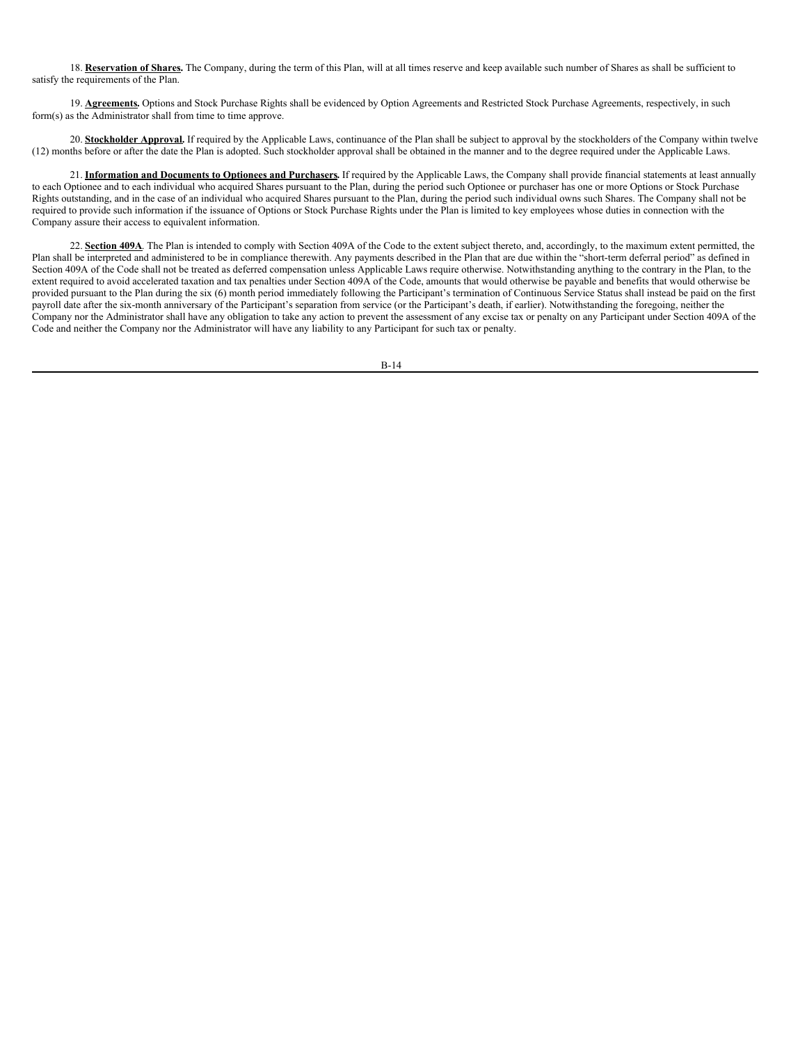18. **Reservation of Shares.** The Company, during the term of this Plan, will at all times reserve and keep available such number of Shares as shall be sufficient to satisfy the requirements of the Plan.

19. **Agreements**. Options and Stock Purchase Rights shall be evidenced by Option Agreements and Restricted Stock Purchase Agreements, respectively, in such form(s) as the Administrator shall from time to time approve.

20. **Stockholder Approval**. If required by the Applicable Laws, continuance of the Plan shall be subject to approval by the stockholders of the Company within twelve (12) months before or after the date the Plan is adopted. Such stockholder approval shall be obtained in the manner and to the degree required under the Applicable Laws.

21. **Information and Documents to Optionees and Purchasers.** If required by the Applicable Laws, the Company shall provide financial statements at least annually to each Optionee and to each individual who acquired Shares pursuant to the Plan, during the period such Optionee or purchaser has one or more Options or Stock Purchase Rights outstanding, and in the case of an individual who acquired Shares pursuant to the Plan, during the period such individual owns such Shares. The Company shall not be required to provide such information if the issuance of Options or Stock Purchase Rights under the Plan is limited to key employees whose duties in connection with the Company assure their access to equivalent information.

22. Section 409A. The Plan is intended to comply with Section 409A of the Code to the extent subject thereto, and, accordingly, to the maximum extent permitted, the Plan shall be interpreted and administered to be in compliance therewith. Any payments described in the Plan that are due within the "short-term deferral period" as defined in Section 409A of the Code shall not be treated as deferred compensation unless Applicable Laws require otherwise. Notwithstanding anything to the contrary in the Plan, to the extent required to avoid accelerated taxation and tax penalties under Section 409A of the Code, amounts that would otherwise be payable and benefits that would otherwise be provided pursuant to the Plan during the six (6) month period immediately following the Participant's termination of Continuous Service Status shall instead be paid on the first payroll date after the six-month anniversary of the Participant's separation from service (or the Participant's death, if earlier). Notwithstanding the foregoing, neither the Company nor the Administrator shall have any obligation to take any action to prevent the assessment of any excise tax or penalty on any Participant under Section 409A of the Code and neither the Company nor the Administrator will have any liability to any Participant for such tax or penalty.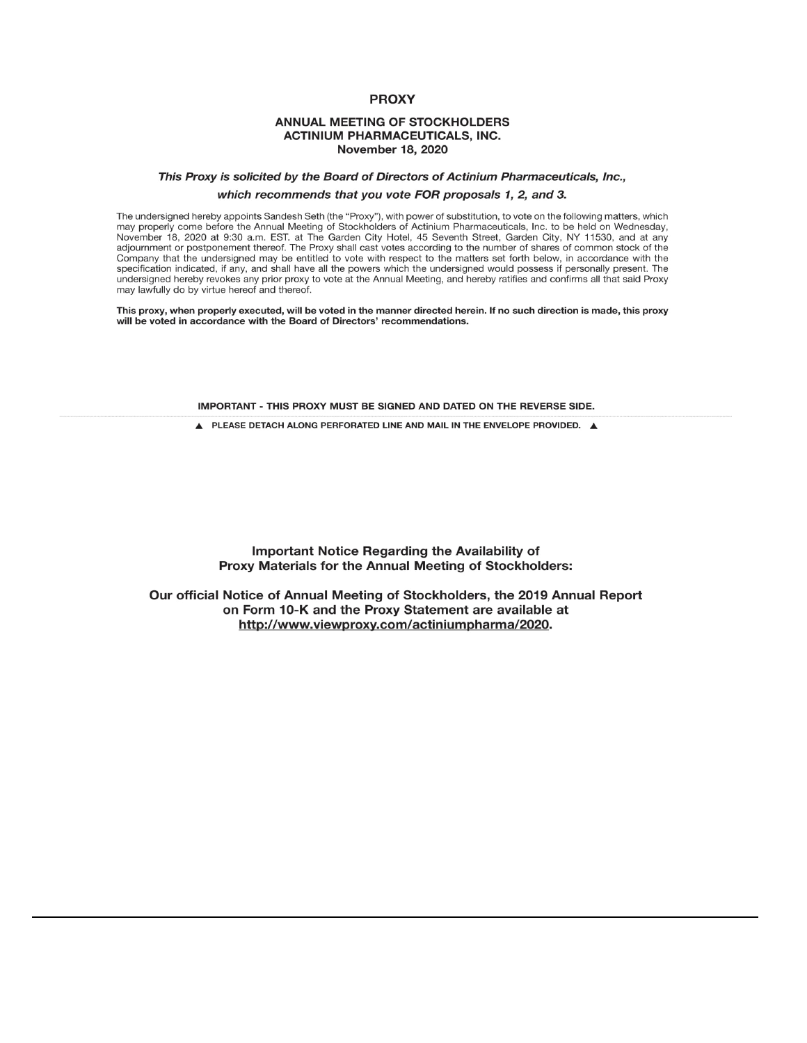# **PROXY**

# **ANNUAL MEETING OF STOCKHOLDERS ACTINIUM PHARMACEUTICALS, INC. November 18, 2020**

# This Proxy is solicited by the Board of Directors of Actinium Pharmaceuticals, Inc., which recommends that you vote FOR proposals 1, 2, and 3.

The undersigned hereby appoints Sandesh Seth (the "Proxy"), with power of substitution, to vote on the following matters, which may properly come before the Annual Meeting of Stockholders of Actinium Pharmaceuticals, Inc. to be held on Wednesday, November 18, 2020 at 9:30 a.m. EST. at The Garden City Hotel, 45 Seventh Street, Garden City, NY 11530, and at any adjournment or postponement thereof. The Proxy shall cast votes according to the number of shares of common stock of the Company that the undersigned may be entitled to vote with respect to the matters set forth below, in accordance with the specification indicated, if any, and shall have all the powers which the undersigned would possess if personally present. The undersigned hereby revokes any prior proxy to vote at the Annual Meeting, and hereby ratifies and confirms all that said Proxy may lawfully do by virtue hereof and thereof.

This proxy, when properly executed, will be voted in the manner directed herein. If no such direction is made, this proxy will be voted in accordance with the Board of Directors' recommendations.

IMPORTANT - THIS PROXY MUST BE SIGNED AND DATED ON THE REVERSE SIDE.

A PLEASE DETACH ALONG PERFORATED LINE AND MAIL IN THE ENVELOPE PROVIDED. A

Important Notice Regarding the Availability of Proxy Materials for the Annual Meeting of Stockholders:

Our official Notice of Annual Meeting of Stockholders, the 2019 Annual Report on Form 10-K and the Proxy Statement are available at http://www.viewproxy.com/actiniumpharma/2020.